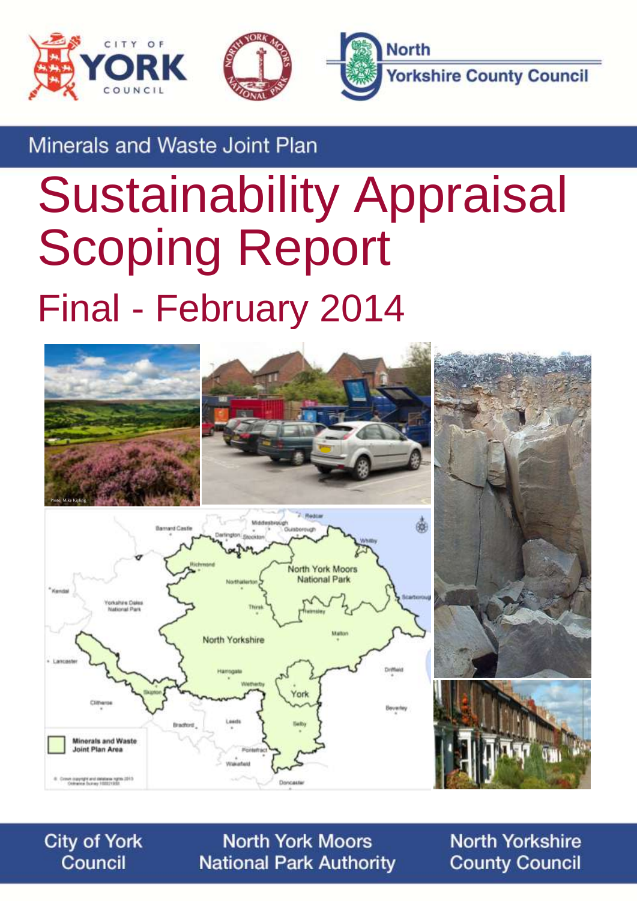



Minerals and Waste Joint Plan

# Sustainability Appraisal Scoping Report Final - February 2014



**City of York** Council

**North York Moors National Park Authority** 

**North Yorkshire County Council**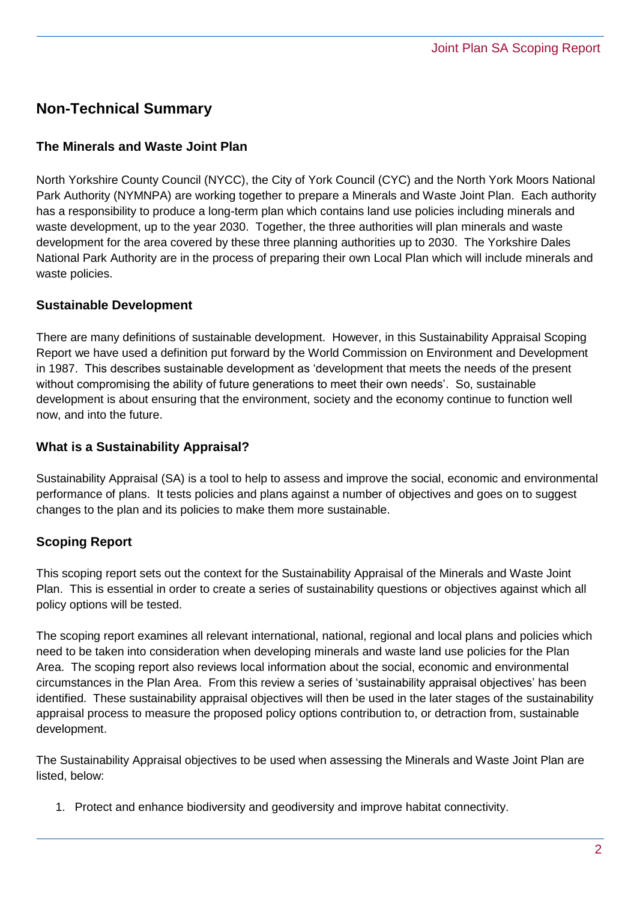## **Non-Technical Summary**

#### **The Minerals and Waste Joint Plan**

North Yorkshire County Council (NYCC), the City of York Council (CYC) and the North York Moors National Park Authority (NYMNPA) are working together to prepare a Minerals and Waste Joint Plan. Each authority has a responsibility to produce a long-term plan which contains land use policies including minerals and waste development, up to the year 2030. Together, the three authorities will plan minerals and waste development for the area covered by these three planning authorities up to 2030. The Yorkshire Dales National Park Authority are in the process of preparing their own Local Plan which will include minerals and waste policies.

#### **Sustainable Development**

There are many definitions of sustainable development. However, in this Sustainability Appraisal Scoping Report we have used a definition put forward by the World Commission on Environment and Development in 1987. This describes sustainable development as 'development that meets the needs of the present without compromising the ability of future generations to meet their own needs'. So, sustainable development is about ensuring that the environment, society and the economy continue to function well now, and into the future.

#### **What is a Sustainability Appraisal?**

Sustainability Appraisal (SA) is a tool to help to assess and improve the social, economic and environmental performance of plans. It tests policies and plans against a number of objectives and goes on to suggest changes to the plan and its policies to make them more sustainable.

#### **Scoping Report**

This scoping report sets out the context for the Sustainability Appraisal of the Minerals and Waste Joint Plan. This is essential in order to create a series of sustainability questions or objectives against which all policy options will be tested.

The scoping report examines all relevant international, national, regional and local plans and policies which need to be taken into consideration when developing minerals and waste land use policies for the Plan Area. The scoping report also reviews local information about the social, economic and environmental circumstances in the Plan Area. From this review a series of 'sustainability appraisal objectives' has been identified. These sustainability appraisal objectives will then be used in the later stages of the sustainability appraisal process to measure the proposed policy options contribution to, or detraction from, sustainable development.

The Sustainability Appraisal objectives to be used when assessing the Minerals and Waste Joint Plan are listed, below:

1. Protect and enhance biodiversity and geodiversity and improve habitat connectivity.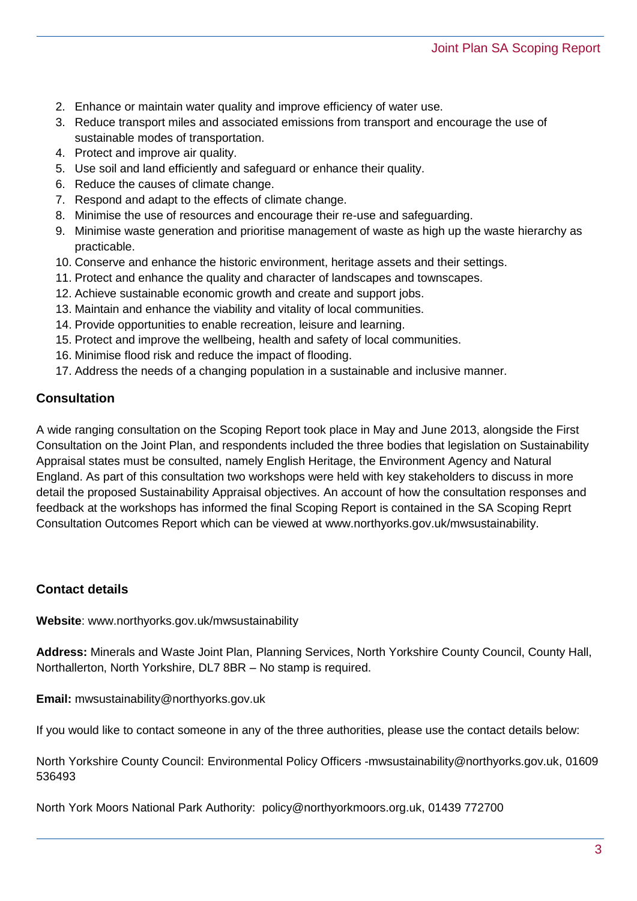- 2. Enhance or maintain water quality and improve efficiency of water use.
- 3. Reduce transport miles and associated emissions from transport and encourage the use of sustainable modes of transportation.
- 4. Protect and improve air quality.
- 5. Use soil and land efficiently and safeguard or enhance their quality.
- 6. Reduce the causes of climate change.
- 7. Respond and adapt to the effects of climate change.
- 8. Minimise the use of resources and encourage their re-use and safeguarding.
- 9. Minimise waste generation and prioritise management of waste as high up the waste hierarchy as practicable.
- 10. Conserve and enhance the historic environment, heritage assets and their settings.
- 11. Protect and enhance the quality and character of landscapes and townscapes.
- 12. Achieve sustainable economic growth and create and support jobs.
- 13. Maintain and enhance the viability and vitality of local communities.
- 14. Provide opportunities to enable recreation, leisure and learning.
- 15. Protect and improve the wellbeing, health and safety of local communities.
- 16. Minimise flood risk and reduce the impact of flooding.
- 17. Address the needs of a changing population in a sustainable and inclusive manner.

#### **Consultation**

A wide ranging consultation on the Scoping Report took place in May and June 2013, alongside the First Consultation on the Joint Plan, and respondents included the three bodies that legislation on Sustainability Appraisal states must be consulted, namely English Heritage, the Environment Agency and Natural England. As part of this consultation two workshops were held with key stakeholders to discuss in more detail the proposed Sustainability Appraisal objectives. An account of how the consultation responses and feedback at the workshops has informed the final Scoping Report is contained in the SA Scoping Reprt Consultation Outcomes Report which can be viewed at www.northyorks.gov.uk/mwsustainability.

#### **Contact details**

**Website**: www.northyorks.gov.uk/mwsustainability

**Address:** Minerals and Waste Joint Plan, Planning Services, North Yorkshire County Council, County Hall, Northallerton, North Yorkshire, DL7 8BR – No stamp is required.

**Email:** mwsustainability@northyorks.gov.uk

If you would like to contact someone in any of the three authorities, please use the contact details below:

North Yorkshire County Council: Environmental Policy Officers -mwsustainability@northyorks.gov.uk, 01609 536493

North York Moors National Park Authority: [policy@northyorkmoors.org.uk,](mailto:a.mcmillan@northyorkmoors.org.uk) 01439 772700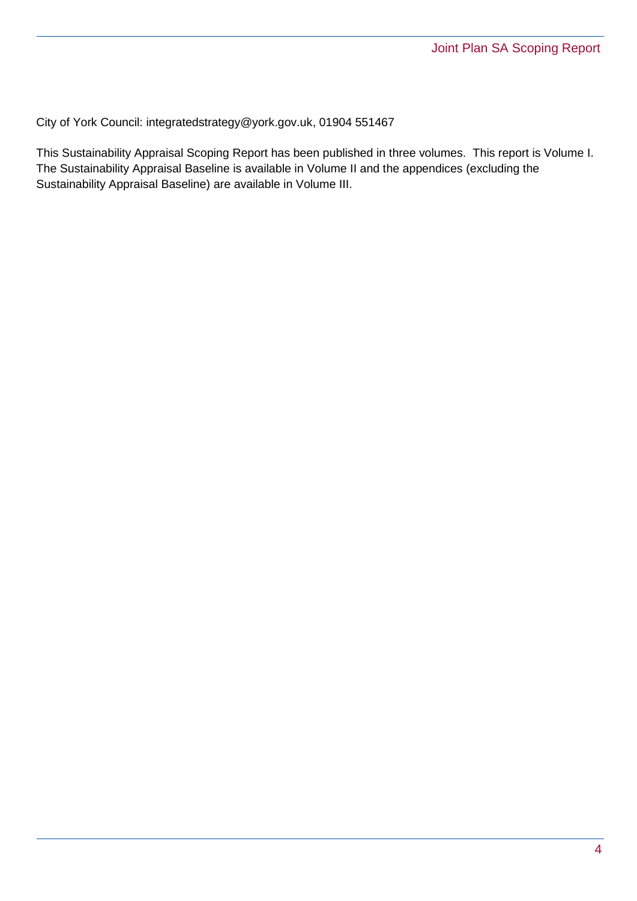City of York Council: [integratedstrategy@york.gov.uk,](mailto:integratedstrategy@york.gov.uk) 01904 551467

This Sustainability Appraisal Scoping Report has been published in three volumes. This report is Volume I. The Sustainability Appraisal Baseline is available in Volume II and the appendices (excluding the Sustainability Appraisal Baseline) are available in Volume III.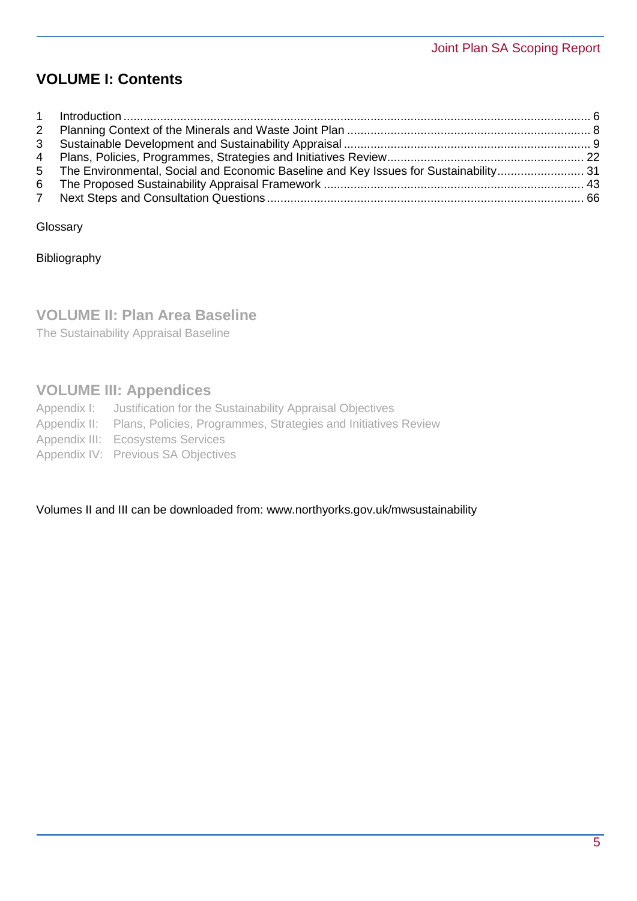# **VOLUME I: Contents**

|             | 5 The Environmental, Social and Economic Baseline and Key Issues for Sustainability 31 |  |
|-------------|----------------------------------------------------------------------------------------|--|
|             |                                                                                        |  |
| $7^{\circ}$ |                                                                                        |  |

**Glossary** 

Bibliography

## **VOLUME II: Plan Area Baseline**

The Sustainability Appraisal Baseline

## **VOLUME III: Appendices**

- Appendix I: Justification for the Sustainability Appraisal Objectives
- Appendix II: Plans, Policies, Programmes, Strategies and Initiatives Review
- Appendix III: Ecosystems Services
- Appendix IV: Previous SA Objectives

#### Volumes II and III can be downloaded from: [www.northyorks.gov.uk/mwsustainability](http://www.northyorks.gov.uk/mwsustainability)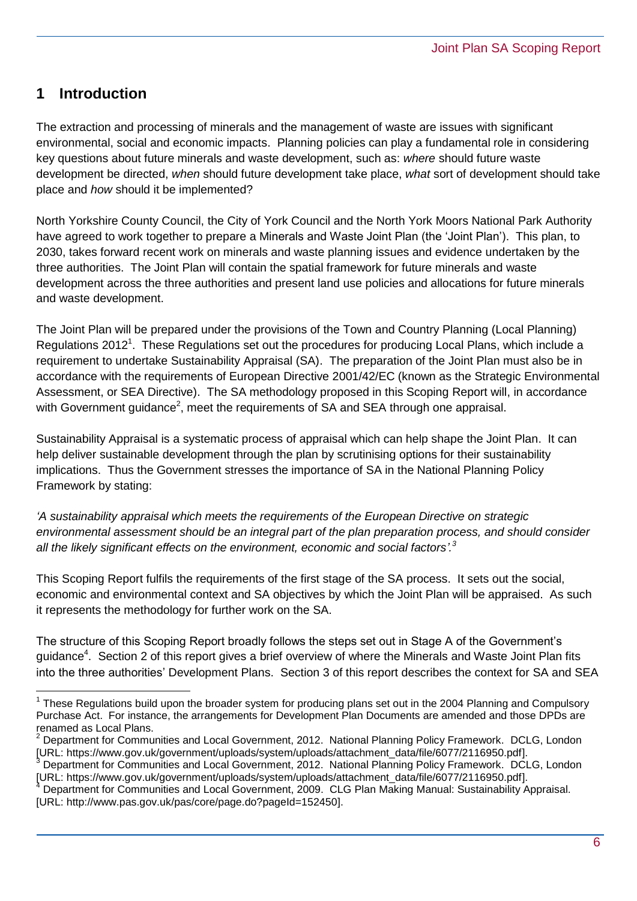## <span id="page-5-0"></span>**1 Introduction**

 $\overline{a}$ 

The extraction and processing of minerals and the management of waste are issues with significant environmental, social and economic impacts. Planning policies can play a fundamental role in considering key questions about future minerals and waste development, such as: *where* should future waste development be directed, *when* should future development take place, *what* sort of development should take place and *how* should it be implemented?

North Yorkshire County Council, the City of York Council and the North York Moors National Park Authority have agreed to work together to prepare a Minerals and Waste Joint Plan (the 'Joint Plan'). This plan, to 2030, takes forward recent work on minerals and waste planning issues and evidence undertaken by the three authorities. The Joint Plan will contain the spatial framework for future minerals and waste development across the three authorities and present land use policies and allocations for future minerals and waste development.

The Joint Plan will be prepared under the provisions of the Town and Country Planning (Local Planning) Regulations 2012<sup>1</sup>. These Regulations set out the procedures for producing Local Plans, which include a requirement to undertake Sustainability Appraisal (SA). The preparation of the Joint Plan must also be in accordance with the requirements of European Directive 2001/42/EC (known as the Strategic Environmental Assessment, or SEA Directive). The SA methodology proposed in this Scoping Report will, in accordance with Government guidance<sup>2</sup>, meet the requirements of SA and SEA through one appraisal.

Sustainability Appraisal is a systematic process of appraisal which can help shape the Joint Plan. It can help deliver sustainable development through the plan by scrutinising options for their sustainability implications. Thus the Government stresses the importance of SA in the National Planning Policy Framework by stating:

*'A sustainability appraisal which meets the requirements of the European Directive on strategic environmental assessment should be an integral part of the plan preparation process, and should consider all the likely significant effects on the environment, economic and social factors'. 3*

This Scoping Report fulfils the requirements of the first stage of the SA process. It sets out the social, economic and environmental context and SA objectives by which the Joint Plan will be appraised. As such it represents the methodology for further work on the SA.

The structure of this Scoping Report broadly follows the steps set out in Stage A of the Government's guidance<sup>4</sup>. Section 2 of this report gives a brief overview of where the Minerals and Waste Joint Plan fits into the three authorities' Development Plans. Section 3 of this report describes the context for SA and SEA

<sup>&</sup>lt;sup>1</sup> These Regulations build upon the broader system for producing plans set out in the 2004 Planning and Compulsory Purchase Act. For instance, the arrangements for Development Plan Documents are amended and those DPDs are renamed as Local Plans.

<sup>2</sup> Department for Communities and Local Government, 2012. National Planning Policy Framework. DCLG, London [URL: [https://www.gov.uk/government/uploads/system/uploads/attachment\\_data/file/6077/2116950.pdf\]](https://www.gov.uk/government/uploads/system/uploads/attachment_data/file/6077/2116950.pdf).

<sup>3</sup> Department for Communities and Local Government, 2012. National Planning Policy Framework. DCLG, London [URL: [https://www.gov.uk/government/uploads/system/uploads/attachment\\_data/file/6077/2116950.pdf\]](https://www.gov.uk/government/uploads/system/uploads/attachment_data/file/6077/2116950.pdf).

<sup>4</sup> Department for Communities and Local Government, 2009. CLG Plan Making Manual: Sustainability Appraisal. [URL: [http://www.pas.gov.uk/pas/core/page.do?pageId=152450\]](http://www.pas.gov.uk/pas/core/page.do?pageId=152450).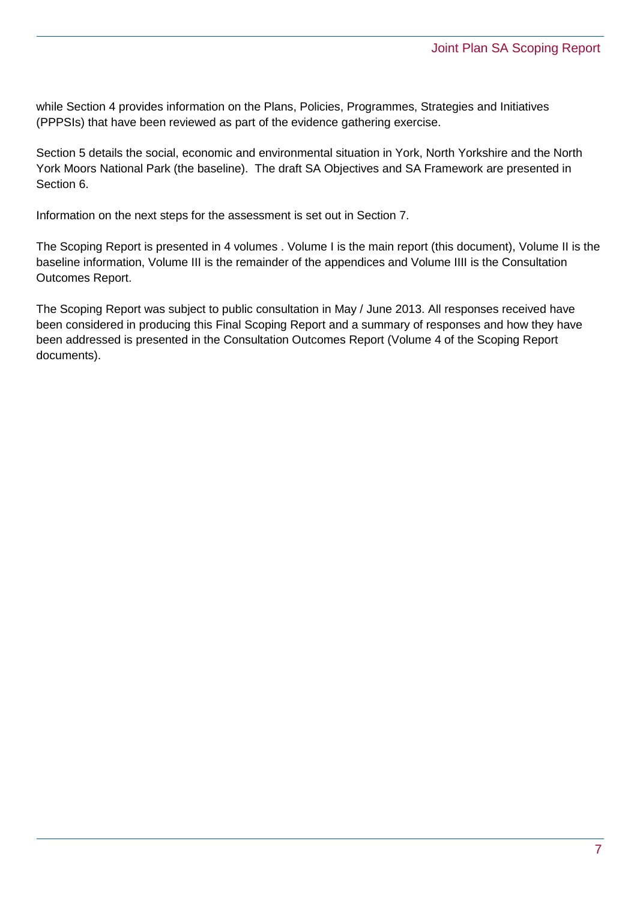while Section 4 provides information on the Plans, Policies, Programmes, Strategies and Initiatives (PPPSIs) that have been reviewed as part of the evidence gathering exercise.

Section 5 details the social, economic and environmental situation in York, North Yorkshire and the North York Moors National Park (the baseline). The draft SA Objectives and SA Framework are presented in Section 6.

Information on the next steps for the assessment is set out in Section 7.

The Scoping Report is presented in 4 volumes . Volume I is the main report (this document), Volume II is the baseline information, Volume III is the remainder of the appendices and Volume IIII is the Consultation Outcomes Report.

The Scoping Report was subject to public consultation in May / June 2013. All responses received have been considered in producing this Final Scoping Report and a summary of responses and how they have been addressed is presented in the Consultation Outcomes Report (Volume 4 of the Scoping Report documents).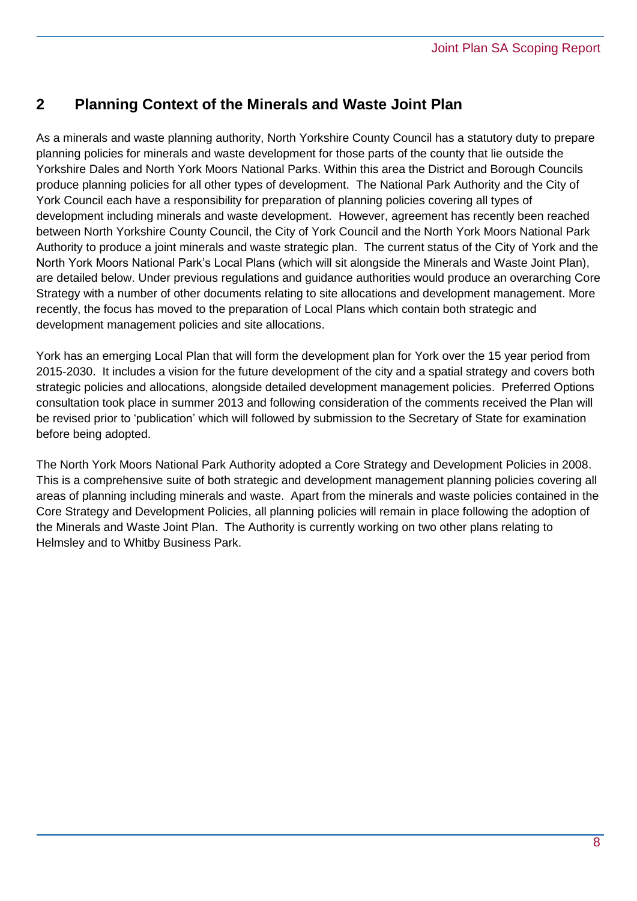## <span id="page-7-0"></span>**2 Planning Context of the Minerals and Waste Joint Plan**

As a minerals and waste planning authority, North Yorkshire County Council has a statutory duty to prepare planning policies for minerals and waste development for those parts of the county that lie outside the Yorkshire Dales and North York Moors National Parks. Within this area the District and Borough Councils produce planning policies for all other types of development. The National Park Authority and the City of York Council each have a responsibility for preparation of planning policies covering all types of development including minerals and waste development. However, agreement has recently been reached between North Yorkshire County Council, the City of York Council and the North York Moors National Park Authority to produce a joint minerals and waste strategic plan. The current status of the City of York and the North York Moors National Park's Local Plans (which will sit alongside the Minerals and Waste Joint Plan), are detailed below. Under previous regulations and guidance authorities would produce an overarching Core Strategy with a number of other documents relating to site allocations and development management. More recently, the focus has moved to the preparation of Local Plans which contain both strategic and development management policies and site allocations.

York has an emerging Local Plan that will form the development plan for York over the 15 year period from 2015-2030. It includes a vision for the future development of the city and a spatial strategy and covers both strategic policies and allocations, alongside detailed development management policies. Preferred Options consultation took place in summer 2013 and following consideration of the comments received the Plan will be revised prior to 'publication' which will followed by submission to the Secretary of State for examination before being adopted.

The North York Moors National Park Authority adopted a Core Strategy and Development Policies in 2008. This is a comprehensive suite of both strategic and development management planning policies covering all areas of planning including minerals and waste. Apart from the minerals and waste policies contained in the Core Strategy and Development Policies, all planning policies will remain in place following the adoption of the Minerals and Waste Joint Plan. The Authority is currently working on two other plans relating to Helmsley and to Whitby Business Park.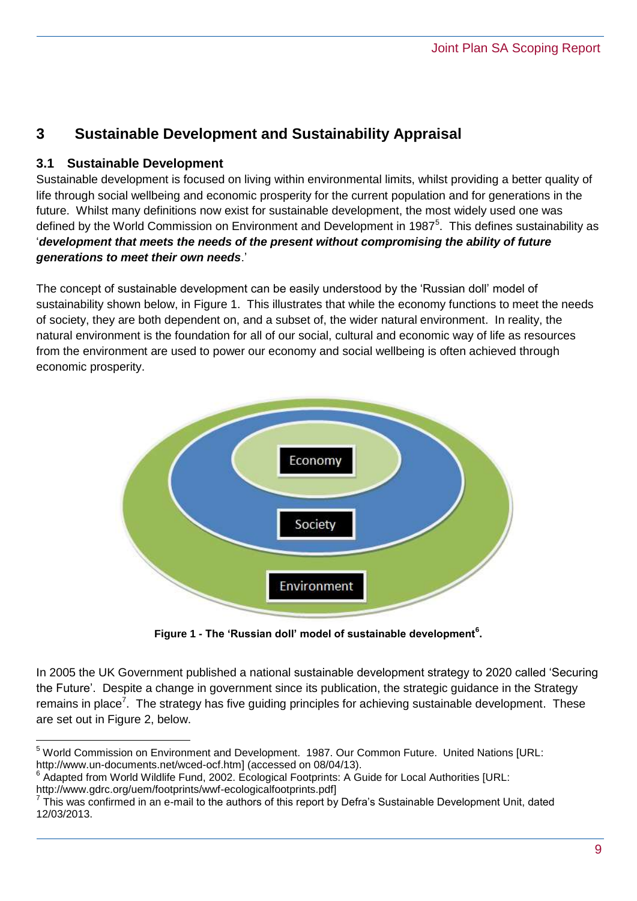# <span id="page-8-0"></span>**3 Sustainable Development and Sustainability Appraisal**

#### **3.1 Sustainable Development**

Sustainable development is focused on living within environmental limits, whilst providing a better quality of life through social wellbeing and economic prosperity for the current population and for generations in the future. Whilst many definitions now exist for sustainable development, the most widely used one was defined by the World Commission on Environment and Development in 1987<sup>5</sup>. This defines sustainability as '*development that meets the needs of the present without compromising the ability of future generations to meet their own needs*.'

The concept of sustainable development can be easily understood by the 'Russian doll' model of sustainability shown below, in Figure 1. This illustrates that while the economy functions to meet the needs of society, they are both dependent on, and a subset of, the wider natural environment. In reality, the natural environment is the foundation for all of our social, cultural and economic way of life as resources from the environment are used to power our economy and social wellbeing is often achieved through economic prosperity.



**Figure 1 - The 'Russian doll' model of sustainable development<sup>6</sup> .**

In 2005 the UK Government published a national sustainable development strategy to 2020 called 'Securing the Future'. Despite a change in government since its publication, the strategic guidance in the Strategy remains in place<sup>7</sup>. The strategy has five guiding principles for achieving sustainable development. These are set out in Figure 2, below.

 $\overline{a}$ <sup>5</sup> World Commission on Environment and Development. 1987. Our Common Future. United Nations [URL: http://www.un-documents.net/wced-ocf.htm] (accessed on 08/04/13).

<sup>&</sup>lt;sup>6</sup> Adapted from World Wildlife Fund, 2002. Ecological Footprints: A Guide for Local Authorities [URL: http://www.gdrc.org/uem/footprints/wwf-ecologicalfootprints.pdf]<br><sup>7</sup> This was confirmed in an a mail to the qutbers of this report by

This was confirmed in an e-mail to the authors of this report by Defra's Sustainable Development Unit, dated 12/03/2013.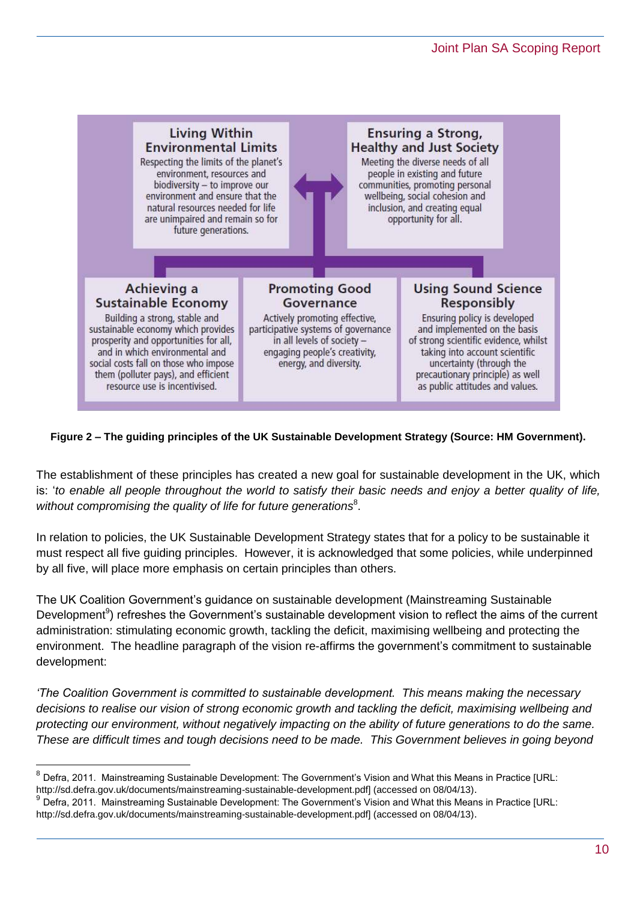

#### **Figure 2 – The guiding principles of the UK Sustainable Development Strategy (Source: HM Government).**

The establishment of these principles has created a new goal for sustainable development in the UK, which is: '*to enable all people throughout the world to satisfy their basic needs and enjoy a better quality of life,*  without compromising the quality of life for future generations<sup>8</sup>.

In relation to policies, the UK Sustainable Development Strategy states that for a policy to be sustainable it must respect all five guiding principles. However, it is acknowledged that some policies, while underpinned by all five, will place more emphasis on certain principles than others.

The UK Coalition Government's guidance on sustainable development (Mainstreaming Sustainable Development<sup>9</sup>) refreshes the Government's sustainable development vision to reflect the aims of the current administration: stimulating economic growth, tackling the deficit, maximising wellbeing and protecting the environment. The headline paragraph of the vision re-affirms the government's commitment to sustainable development:

*'The Coalition Government is committed to sustainable development. This means making the necessary decisions to realise our vision of strong economic growth and tackling the deficit, maximising wellbeing and protecting our environment, without negatively impacting on the ability of future generations to do the same. These are difficult times and tough decisions need to be made. This Government believes in going beyond* 

 $\overline{a}$ 

<sup>&</sup>lt;sup>8</sup> Defra, 2011. Mainstreaming Sustainable Development: The Government's Vision and What this Means in Practice [URL: http://sd.defra.gov.uk/documents/mainstreaming-sustainable-development.pdf] (accessed on 08/04/13).

<sup>9</sup> Defra, 2011. Mainstreaming Sustainable Development: The Government's Vision and What this Means in Practice [URL: http://sd.defra.gov.uk/documents/mainstreaming-sustainable-development.pdf] (accessed on 08/04/13).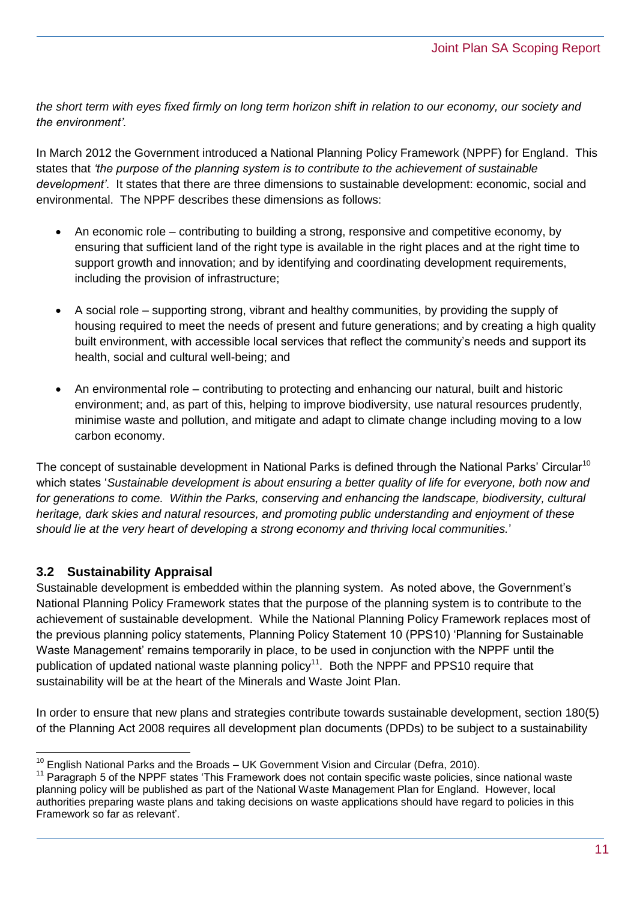*the short term with eyes fixed firmly on long term horizon shift in relation to our economy, our society and the environment'.*

In March 2012 the Government introduced a National Planning Policy Framework (NPPF) for England. This states that *'the purpose of the planning system is to contribute to the achievement of sustainable development'*. It states that there are three dimensions to sustainable development: economic, social and environmental. The NPPF describes these dimensions as follows:

- An economic role contributing to building a strong, responsive and competitive economy, by ensuring that sufficient land of the right type is available in the right places and at the right time to support growth and innovation; and by identifying and coordinating development requirements, including the provision of infrastructure;
- A social role supporting strong, vibrant and healthy communities, by providing the supply of housing required to meet the needs of present and future generations; and by creating a high quality built environment, with accessible local services that reflect the community's needs and support its health, social and cultural well-being; and
- An environmental role contributing to protecting and enhancing our natural, built and historic environment; and, as part of this, helping to improve biodiversity, use natural resources prudently, minimise waste and pollution, and mitigate and adapt to climate change including moving to a low carbon economy.

The concept of sustainable development in National Parks is defined through the National Parks' Circular<sup>10</sup> which states '*Sustainable development is about ensuring a better quality of life for everyone, both now and for generations to come. Within the Parks, conserving and enhancing the landscape, biodiversity, cultural heritage, dark skies and natural resources, and promoting public understanding and enjoyment of these should lie at the very heart of developing a strong economy and thriving local communities.*'

#### **3.2 Sustainability Appraisal**

Sustainable development is embedded within the planning system. As noted above, the Government's National Planning Policy Framework states that the purpose of the planning system is to contribute to the achievement of sustainable development. While the National Planning Policy Framework replaces most of the previous planning policy statements, Planning Policy Statement 10 (PPS10) 'Planning for Sustainable Waste Management' remains temporarily in place, to be used in conjunction with the NPPF until the publication of updated national waste planning policy<sup>11</sup>. Both the NPPF and PPS10 require that sustainability will be at the heart of the Minerals and Waste Joint Plan.

In order to ensure that new plans and strategies contribute towards sustainable development, section 180(5) of the Planning Act 2008 requires all development plan documents (DPDs) to be subject to a sustainability

 $\overline{a}$  $10$  English National Parks and the Broads – UK Government Vision and Circular (Defra, 2010).

<sup>&</sup>lt;sup>11</sup> Paragraph 5 of the NPPF states 'This Framework does not contain specific waste policies, since national waste planning policy will be published as part of the National Waste Management Plan for England. However, local authorities preparing waste plans and taking decisions on waste applications should have regard to policies in this Framework so far as relevant'.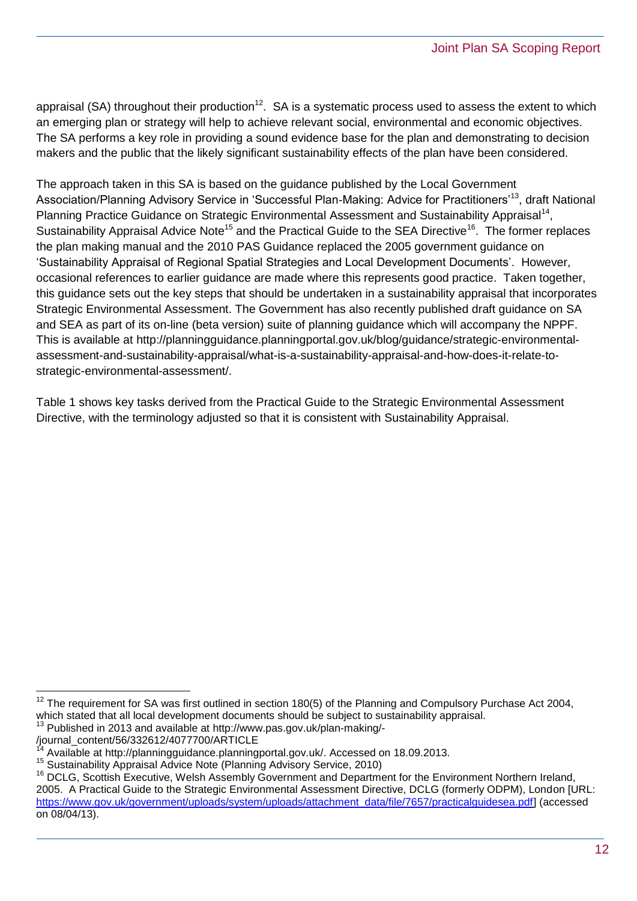appraisal (SA) throughout their production<sup>12</sup>. SA is a systematic process used to assess the extent to which an emerging plan or strategy will help to achieve relevant social, environmental and economic objectives. The SA performs a key role in providing a sound evidence base for the plan and demonstrating to decision makers and the public that the likely significant sustainability effects of the plan have been considered.

The approach taken in this SA is based on the guidance published by the Local Government Association/Planning Advisory Service in 'Successful Plan-Making: Advice for Practitioners<sup>13</sup>, draft National Planning Practice Guidance on Strategic Environmental Assessment and Sustainability Appraisal<sup>14</sup>, Sustainability Appraisal Advice Note<sup>15</sup> and the Practical Guide to the SEA Directive<sup>16</sup>. The former replaces the plan making manual and the 2010 PAS Guidance replaced the 2005 government guidance on 'Sustainability Appraisal of Regional Spatial Strategies and Local Development Documents'. However, occasional references to earlier guidance are made where this represents good practice. Taken together, this guidance sets out the key steps that should be undertaken in a sustainability appraisal that incorporates Strategic Environmental Assessment. The Government has also recently published draft guidance on SA and SEA as part of its on-line (beta version) suite of planning guidance which will accompany the NPPF. This is available at [http://planningguidance.planningportal.gov.uk/blog/guidance/strategic-environmental](http://planningguidance.planningportal.gov.uk/blog/guidance/strategic-environmental-assessment-and-sustainability-appraisal/what-is-a-sustainability-appraisal-and-how-does-it-relate-to-strategic-environmental-assessment/)[assessment-and-sustainability-appraisal/what-is-a-sustainability-appraisal-and-how-does-it-relate-to](http://planningguidance.planningportal.gov.uk/blog/guidance/strategic-environmental-assessment-and-sustainability-appraisal/what-is-a-sustainability-appraisal-and-how-does-it-relate-to-strategic-environmental-assessment/)[strategic-environmental-assessment/.](http://planningguidance.planningportal.gov.uk/blog/guidance/strategic-environmental-assessment-and-sustainability-appraisal/what-is-a-sustainability-appraisal-and-how-does-it-relate-to-strategic-environmental-assessment/)

Table 1 shows key tasks derived from the Practical Guide to the Strategic Environmental Assessment Directive, with the terminology adjusted so that it is consistent with Sustainability Appraisal.

 $\overline{a}$ 

 $12$  The requirement for SA was first outlined in section 180(5) of the Planning and Compulsory Purchase Act 2004, which stated that all local development documents should be subject to sustainability appraisal.

<sup>&</sup>lt;sup>13</sup> Published in 2013 and available at http://www.pas.gov.uk/plan-making/-

<sup>/</sup>journal\_content/56/332612/4077700/ARTICLE

<sup>14</sup> Available at [http://planningguidance.planningportal.gov.uk/.](http://planningguidance.planningportal.gov.uk/) Accessed on 18.09.2013.

<sup>15</sup> Sustainability Appraisal Advice Note (Planning Advisory Service, 2010)

<sup>&</sup>lt;sup>16</sup> DCLG, Scottish Executive, Welsh Assembly Government and Department for the Environment Northern Ireland, 2005. A Practical Guide to the Strategic Environmental Assessment Directive, DCLG (formerly ODPM), London [URL: https://www.gov.uk/government/uploads/system/uploads/attachment\_data/file/7657/practicalguidesea.pdf] (accessed on 08/04/13).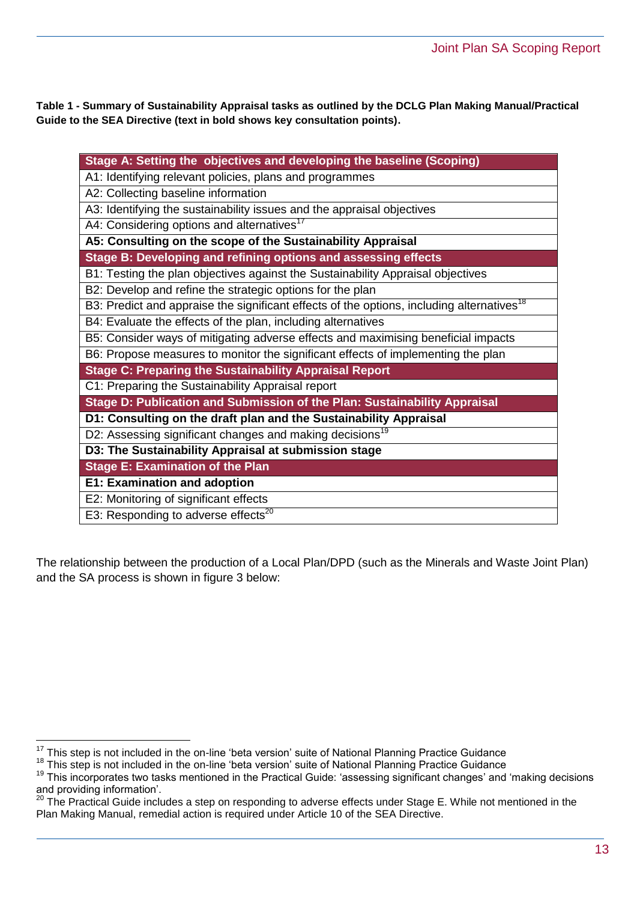**Table 1 - Summary of Sustainability Appraisal tasks as outlined by the DCLG Plan Making Manual/Practical Guide to the SEA Directive (text in bold shows key consultation points).**

| Stage A: Setting the objectives and developing the baseline (Scoping)                                 |
|-------------------------------------------------------------------------------------------------------|
| A1: Identifying relevant policies, plans and programmes                                               |
| A2: Collecting baseline information                                                                   |
| A3: Identifying the sustainability issues and the appraisal objectives                                |
| A4: Considering options and alternatives <sup>17</sup>                                                |
| A5: Consulting on the scope of the Sustainability Appraisal                                           |
| Stage B: Developing and refining options and assessing effects                                        |
| B1: Testing the plan objectives against the Sustainability Appraisal objectives                       |
| B2: Develop and refine the strategic options for the plan                                             |
| B3: Predict and appraise the significant effects of the options, including alternatives <sup>18</sup> |
| B4: Evaluate the effects of the plan, including alternatives                                          |
| B5: Consider ways of mitigating adverse effects and maximising beneficial impacts                     |
| B6: Propose measures to monitor the significant effects of implementing the plan                      |
| <b>Stage C: Preparing the Sustainability Appraisal Report</b>                                         |
| C1: Preparing the Sustainability Appraisal report                                                     |
| Stage D: Publication and Submission of the Plan: Sustainability Appraisal                             |
| D1: Consulting on the draft plan and the Sustainability Appraisal                                     |
| D2: Assessing significant changes and making decisions <sup>19</sup>                                  |
| D3: The Sustainability Appraisal at submission stage                                                  |
| <b>Stage E: Examination of the Plan</b>                                                               |
| <b>E1: Examination and adoption</b>                                                                   |
| E2: Monitoring of significant effects                                                                 |
| E3: Responding to adverse effects <sup>20</sup>                                                       |

The relationship between the production of a Local Plan/DPD (such as the Minerals and Waste Joint Plan) and the SA process is shown in figure 3 below:

 $\overline{a}$ 

 $17$  This step is not included in the on-line 'beta version' suite of National Planning Practice Guidance

<sup>&</sup>lt;sup>18</sup> This step is not included in the on-line 'beta version' suite of National Planning Practice Guidance

<sup>&</sup>lt;sup>19</sup> This incorporates two tasks mentioned in the Practical Guide: 'assessing significant changes' and 'making decisions and providing information'.<br><sup>20</sup> The Prostitute of the Property of the Subset of the Subset of the Subset of the Subset of the Subset of the

The Practical Guide includes a step on responding to adverse effects under Stage E. While not mentioned in the Plan Making Manual, remedial action is required under Article 10 of the SEA Directive.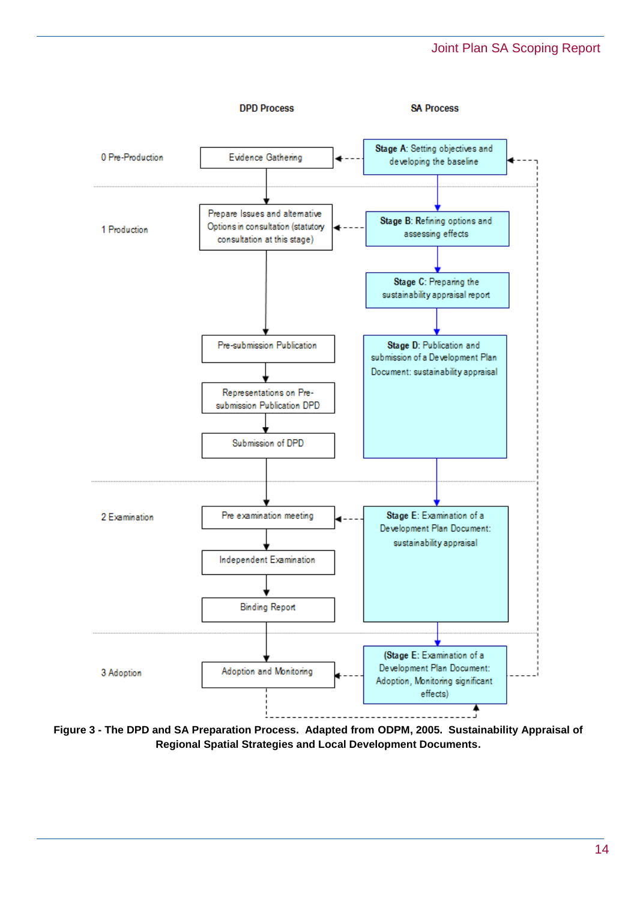

**Figure 3 - The DPD and SA Preparation Process. Adapted from ODPM, 2005. Sustainability Appraisal of Regional Spatial Strategies and Local Development Documents.**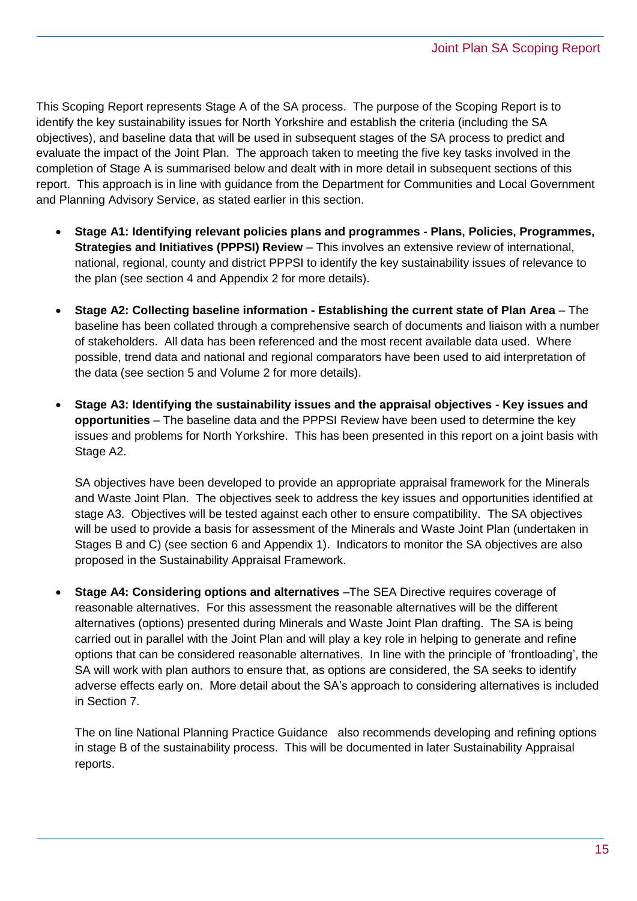This Scoping Report represents Stage A of the SA process. The purpose of the Scoping Report is to identify the key sustainability issues for North Yorkshire and establish the criteria (including the SA objectives), and baseline data that will be used in subsequent stages of the SA process to predict and evaluate the impact of the Joint Plan. The approach taken to meeting the five key tasks involved in the completion of Stage A is summarised below and dealt with in more detail in subsequent sections of this report. This approach is in line with guidance from the Department for Communities and Local Government and Planning Advisory Service, as stated earlier in this section.

- **Stage A1: Identifying relevant policies plans and programmes - Plans, Policies, Programmes, Strategies and Initiatives (PPPSI) Review** – This involves an extensive review of international, national, regional, county and district PPPSI to identify the key sustainability issues of relevance to the plan (see section 4 and Appendix 2 for more details).
- **Stage A2: Collecting baseline information - Establishing the current state of Plan Area** The baseline has been collated through a comprehensive search of documents and liaison with a number of stakeholders. All data has been referenced and the most recent available data used. Where possible, trend data and national and regional comparators have been used to aid interpretation of the data (see section 5 and Volume 2 for more details).
- **Stage A3: Identifying the sustainability issues and the appraisal objectives - Key issues and opportunities** – The baseline data and the PPPSI Review have been used to determine the key issues and problems for North Yorkshire. This has been presented in this report on a joint basis with Stage A2.

SA objectives have been developed to provide an appropriate appraisal framework for the Minerals and Waste Joint Plan. The objectives seek to address the key issues and opportunities identified at stage A3. Objectives will be tested against each other to ensure compatibility. The SA objectives will be used to provide a basis for assessment of the Minerals and Waste Joint Plan (undertaken in Stages B and C) (see section 6 and Appendix 1). Indicators to monitor the SA objectives are also proposed in the Sustainability Appraisal Framework.

 **Stage A4: Considering options and alternatives** –The SEA Directive requires coverage of reasonable alternatives. For this assessment the reasonable alternatives will be the different alternatives (options) presented during Minerals and Waste Joint Plan drafting. The SA is being carried out in parallel with the Joint Plan and will play a key role in helping to generate and refine options that can be considered reasonable alternatives. In line with the principle of 'frontloading', the SA will work with plan authors to ensure that, as options are considered, the SA seeks to identify adverse effects early on. More detail about the SA's approach to considering alternatives is included in Section 7.

The on line National Planning Practice Guidance also recommends developing and refining options in stage B of the sustainability process. This will be documented in later Sustainability Appraisal reports.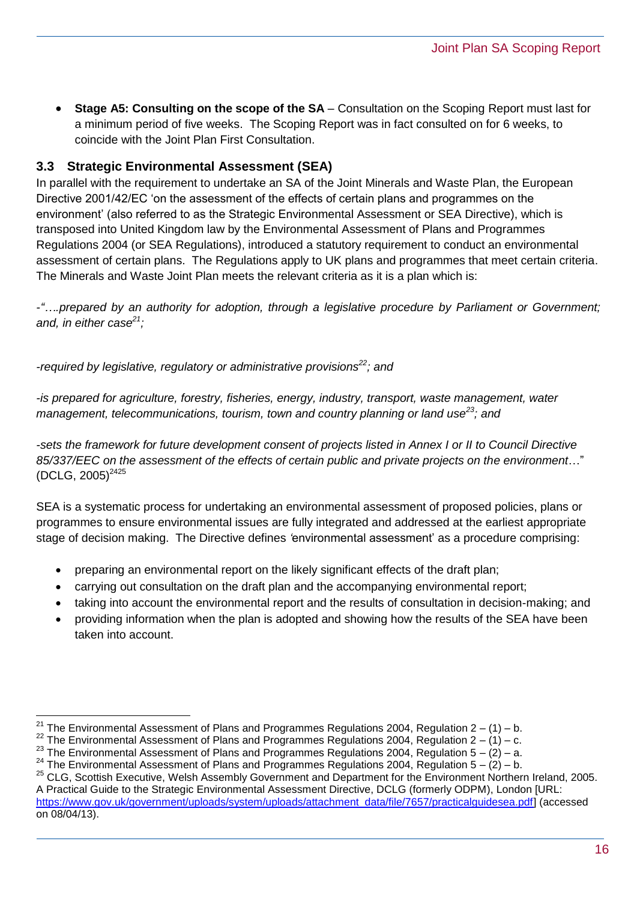**Stage A5: Consulting on the scope of the SA** – Consultation on the Scoping Report must last for a minimum period of five weeks. The Scoping Report was in fact consulted on for 6 weeks, to coincide with the Joint Plan First Consultation.

#### **3.3 Strategic Environmental Assessment (SEA)**

In parallel with the requirement to undertake an SA of the Joint Minerals and Waste Plan, the European Directive 2001/42/EC 'on the assessment of the effects of certain plans and programmes on the environment' (also referred to as the Strategic Environmental Assessment or SEA Directive), which is transposed into United Kingdom law by the Environmental Assessment of Plans and Programmes Regulations 2004 (or SEA Regulations), introduced a statutory requirement to conduct an environmental assessment of certain plans. The Regulations apply to UK plans and programmes that meet certain criteria. The Minerals and Waste Joint Plan meets the relevant criteria as it is a plan which is:

*-"….prepared by an authority for adoption, through a legislative procedure by Parliament or Government; and, in either case<sup>21</sup>;*

*-required by legislative, regulatory or administrative provisions<sup>22</sup>; and* 

*-is prepared for agriculture, forestry, fisheries, energy, industry, transport, waste management, water management, telecommunications, tourism, town and country planning or land use<sup>23</sup>; and*

*-sets the framework for future development consent of projects listed in Annex I or II to Council Directive 85/337/EEC on the assessment of the effects of certain public and private projects on the environment*…"  $(DCLG, 2005)^{2425}$ 

SEA is a systematic process for undertaking an environmental assessment of proposed policies, plans or programmes to ensure environmental issues are fully integrated and addressed at the earliest appropriate stage of decision making. The Directive defines *'*environmental assessment' as a procedure comprising:

- preparing an environmental report on the likely significant effects of the draft plan;
- carrying out consultation on the draft plan and the accompanying environmental report;
- taking into account the environmental report and the results of consultation in decision-making; and
- providing information when the plan is adopted and showing how the results of the SEA have been taken into account.

 $\overline{a}$ <sup>21</sup> The Environmental Assessment of Plans and Programmes Regulations 2004, Regulation 2 – (1) – b.

<sup>&</sup>lt;sup>22</sup> The Environmental Assessment of Plans and Programmes Regulations 2004, Regulation  $2 - (1) - c$ .

<sup>&</sup>lt;sup>23</sup> The Environmental Assessment of Plans and Programmes Regulations 2004, Regulation  $5 - (2) - a$ .

<sup>&</sup>lt;sup>24</sup> The Environmental Assessment of Plans and Programmes Regulations 2004, Regulation  $5 - (2) - b$ .

<sup>&</sup>lt;sup>25</sup> CLG, Scottish Executive, Welsh Assembly Government and Department for the Environment Northern Ireland, 2005. A Practical Guide to the Strategic Environmental Assessment Directive, DCLG (formerly ODPM), London [URL: https://www.gov.uk/government/uploads/system/uploads/attachment\_data/file/7657/practicalguidesea.pdf] (accessed on 08/04/13).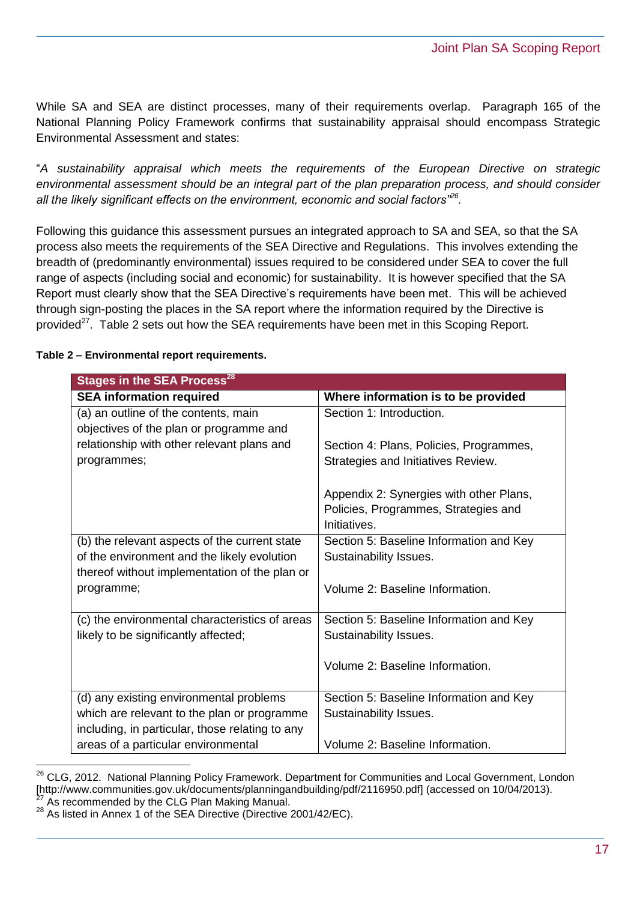While SA and SEA are distinct processes, many of their requirements overlap. Paragraph 165 of the National Planning Policy Framework confirms that sustainability appraisal should encompass Strategic Environmental Assessment and states:

"*A sustainability appraisal which meets the requirements of the European Directive on strategic environmental assessment should be an integral part of the plan preparation process, and should consider all the likely significant effects on the environment, economic and social factors"<sup>26</sup> .* 

Following this guidance this assessment pursues an integrated approach to SA and SEA, so that the SA process also meets the requirements of the SEA Directive and Regulations. This involves extending the breadth of (predominantly environmental) issues required to be considered under SEA to cover the full range of aspects (including social and economic) for sustainability. It is however specified that the SA Report must clearly show that the SEA Directive's requirements have been met. This will be achieved through sign-posting the places in the SA report where the information required by the Directive is provided<sup>27</sup>. Table 2 sets out how the SEA requirements have been met in this Scoping Report.

| <b>Stages in the SEA Process<sup>28</sup></b>   |                                                                                                 |  |  |  |  |
|-------------------------------------------------|-------------------------------------------------------------------------------------------------|--|--|--|--|
| <b>SEA information required</b>                 | Where information is to be provided                                                             |  |  |  |  |
| (a) an outline of the contents, main            | Section 1: Introduction.                                                                        |  |  |  |  |
| objectives of the plan or programme and         |                                                                                                 |  |  |  |  |
| relationship with other relevant plans and      | Section 4: Plans, Policies, Programmes,                                                         |  |  |  |  |
| programmes;                                     | Strategies and Initiatives Review.                                                              |  |  |  |  |
|                                                 | Appendix 2: Synergies with other Plans,<br>Policies, Programmes, Strategies and<br>Initiatives. |  |  |  |  |
| (b) the relevant aspects of the current state   | Section 5: Baseline Information and Key                                                         |  |  |  |  |
| of the environment and the likely evolution     | Sustainability Issues.                                                                          |  |  |  |  |
| thereof without implementation of the plan or   |                                                                                                 |  |  |  |  |
| programme;                                      | Volume 2: Baseline Information.                                                                 |  |  |  |  |
| (c) the environmental characteristics of areas  | Section 5: Baseline Information and Key                                                         |  |  |  |  |
| likely to be significantly affected;            | Sustainability Issues.                                                                          |  |  |  |  |
|                                                 | Volume 2: Baseline Information.                                                                 |  |  |  |  |
| (d) any existing environmental problems         | Section 5: Baseline Information and Key                                                         |  |  |  |  |
| which are relevant to the plan or programme     | Sustainability Issues.                                                                          |  |  |  |  |
| including, in particular, those relating to any |                                                                                                 |  |  |  |  |
| areas of a particular environmental             | Volume 2: Baseline Information.                                                                 |  |  |  |  |

**Table 2 – Environmental report requirements.**

 $\overline{a}$ <sup>26</sup> CLG, 2012. National Planning Policy Framework. Department for Communities and Local Government, London [http://www.communities.gov.uk/documents/planningandbuilding/pdf/2116950.pdf] (accessed on 10/04/2013). As recommended by the CLG Plan Making Manual.

 $^{28}$  As listed in Annex 1 of the SEA Directive (Directive 2001/42/EC).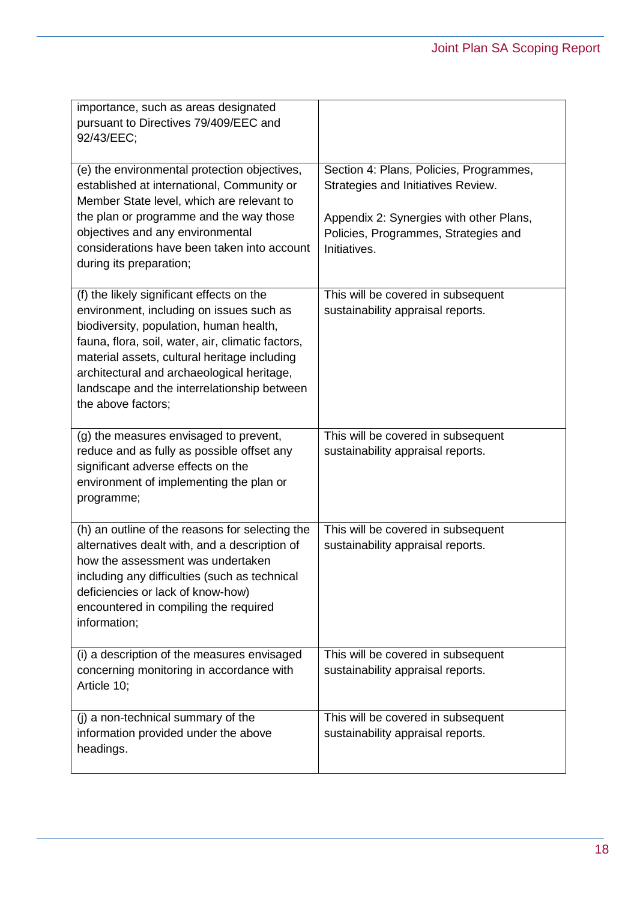| importance, such as areas designated<br>pursuant to Directives 79/409/EEC and<br>92/43/EEC;                                                                                                                                                                                                                                                              |                                                                                                                                                                                  |
|----------------------------------------------------------------------------------------------------------------------------------------------------------------------------------------------------------------------------------------------------------------------------------------------------------------------------------------------------------|----------------------------------------------------------------------------------------------------------------------------------------------------------------------------------|
| (e) the environmental protection objectives,<br>established at international, Community or<br>Member State level, which are relevant to<br>the plan or programme and the way those<br>objectives and any environmental<br>considerations have been taken into account<br>during its preparation;                                                         | Section 4: Plans, Policies, Programmes,<br>Strategies and Initiatives Review.<br>Appendix 2: Synergies with other Plans,<br>Policies, Programmes, Strategies and<br>Initiatives. |
| (f) the likely significant effects on the<br>environment, including on issues such as<br>biodiversity, population, human health,<br>fauna, flora, soil, water, air, climatic factors,<br>material assets, cultural heritage including<br>architectural and archaeological heritage,<br>landscape and the interrelationship between<br>the above factors; | This will be covered in subsequent<br>sustainability appraisal reports.                                                                                                          |
| (g) the measures envisaged to prevent,<br>reduce and as fully as possible offset any<br>significant adverse effects on the<br>environment of implementing the plan or<br>programme;                                                                                                                                                                      | This will be covered in subsequent<br>sustainability appraisal reports.                                                                                                          |
| (h) an outline of the reasons for selecting the<br>alternatives dealt with, and a description of<br>how the assessment was undertaken<br>including any difficulties (such as technical<br>deficiencies or lack of know-how)<br>encountered in compiling the required<br>information;                                                                     | This will be covered in subsequent<br>sustainability appraisal reports.                                                                                                          |
| (i) a description of the measures envisaged<br>concerning monitoring in accordance with<br>Article 10;                                                                                                                                                                                                                                                   | This will be covered in subsequent<br>sustainability appraisal reports.                                                                                                          |
| (j) a non-technical summary of the<br>information provided under the above<br>headings.                                                                                                                                                                                                                                                                  | This will be covered in subsequent<br>sustainability appraisal reports.                                                                                                          |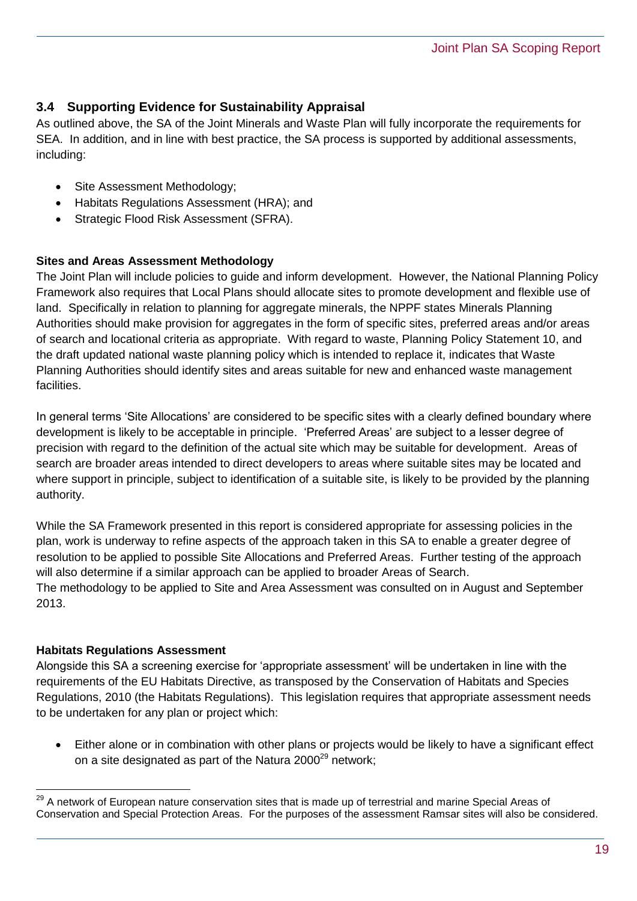#### **3.4 Supporting Evidence for Sustainability Appraisal**

As outlined above, the SA of the Joint Minerals and Waste Plan will fully incorporate the requirements for SEA. In addition, and in line with best practice, the SA process is supported by additional assessments, including:

- Site Assessment Methodology;
- Habitats Regulations Assessment (HRA); and
- Strategic Flood Risk Assessment (SFRA).

#### **Sites and Areas Assessment Methodology**

The Joint Plan will include policies to guide and inform development. However, the National Planning Policy Framework also requires that Local Plans should allocate sites to promote development and flexible use of land. Specifically in relation to planning for aggregate minerals, the NPPF states Minerals Planning Authorities should make provision for aggregates in the form of specific sites, preferred areas and/or areas of search and locational criteria as appropriate. With regard to waste, Planning Policy Statement 10, and the draft updated national waste planning policy which is intended to replace it, indicates that Waste Planning Authorities should identify sites and areas suitable for new and enhanced waste management facilities.

In general terms 'Site Allocations' are considered to be specific sites with a clearly defined boundary where development is likely to be acceptable in principle. 'Preferred Areas' are subject to a lesser degree of precision with regard to the definition of the actual site which may be suitable for development. Areas of search are broader areas intended to direct developers to areas where suitable sites may be located and where support in principle, subject to identification of a suitable site, is likely to be provided by the planning authority.

While the SA Framework presented in this report is considered appropriate for assessing policies in the plan, work is underway to refine aspects of the approach taken in this SA to enable a greater degree of resolution to be applied to possible Site Allocations and Preferred Areas. Further testing of the approach will also determine if a similar approach can be applied to broader Areas of Search. The methodology to be applied to Site and Area Assessment was consulted on in August and September 2013.

#### **Habitats Regulations Assessment**

 $\overline{a}$ 

Alongside this SA a screening exercise for 'appropriate assessment' will be undertaken in line with the requirements of the EU Habitats Directive, as transposed by the Conservation of Habitats and Species Regulations, 2010 (the Habitats Regulations). This legislation requires that appropriate assessment needs to be undertaken for any plan or project which:

 Either alone or in combination with other plans or projects would be likely to have a significant effect on a site designated as part of the Natura  $2000^{29}$  network;

<sup>&</sup>lt;sup>29</sup> A network of European nature conservation sites that is made up of terrestrial and marine Special Areas of Conservation and Special Protection Areas. For the purposes of the assessment Ramsar sites will also be considered.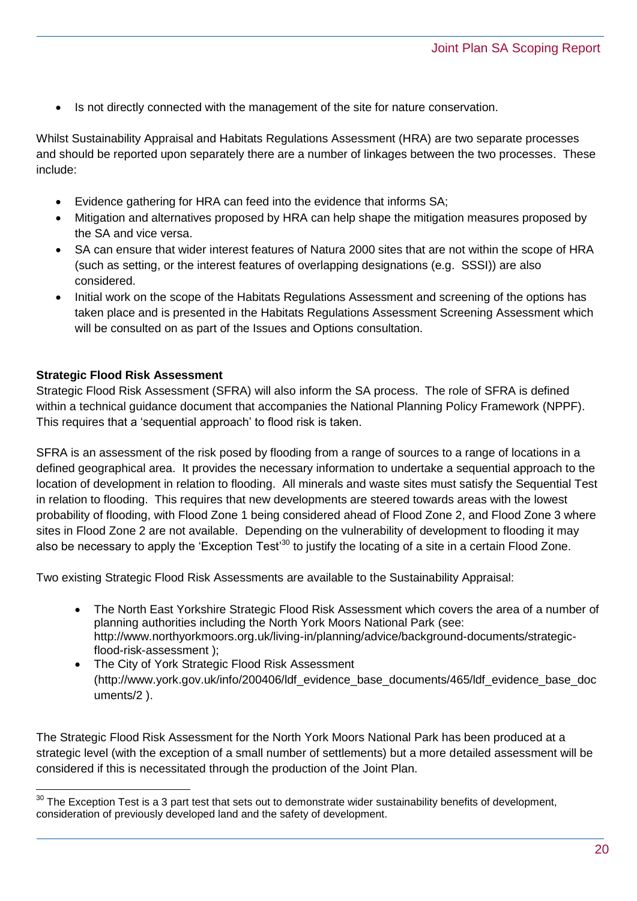Is not directly connected with the management of the site for nature conservation.

Whilst Sustainability Appraisal and Habitats Regulations Assessment (HRA) are two separate processes and should be reported upon separately there are a number of linkages between the two processes. These include:

- Evidence gathering for HRA can feed into the evidence that informs SA;
- Mitigation and alternatives proposed by HRA can help shape the mitigation measures proposed by the SA and vice versa.
- SA can ensure that wider interest features of Natura 2000 sites that are not within the scope of HRA (such as setting, or the interest features of overlapping designations (e.g. SSSI)) are also considered.
- Initial work on the scope of the Habitats Regulations Assessment and screening of the options has taken place and is presented in the Habitats Regulations Assessment Screening Assessment which will be consulted on as part of the Issues and Options consultation.

#### **Strategic Flood Risk Assessment**

Strategic Flood Risk Assessment (SFRA) will also inform the SA process. The role of SFRA is defined within a technical guidance document that accompanies the National Planning Policy Framework (NPPF). This requires that a 'sequential approach' to flood risk is taken.

SFRA is an assessment of the risk posed by flooding from a range of sources to a range of locations in a defined geographical area. It provides the necessary information to undertake a sequential approach to the location of development in relation to flooding. All minerals and waste sites must satisfy the Sequential Test in relation to flooding. This requires that new developments are steered towards areas with the lowest probability of flooding, with Flood Zone 1 being considered ahead of Flood Zone 2, and Flood Zone 3 where sites in Flood Zone 2 are not available. Depending on the vulnerability of development to flooding it may also be necessary to apply the 'Exception Test'<sup>30</sup> to justify the locating of a site in a certain Flood Zone.

Two existing Strategic Flood Risk Assessments are available to the Sustainability Appraisal:

- The North East Yorkshire Strategic Flood Risk Assessment which covers the area of a number of planning authorities including the North York Moors National Park (see: [http://www.northyorkmoors.org.uk/living-in/planning/advice/background-documents/strategic](http://www.northyorkmoors.org.uk/living-in/planning/advice/background-documents/strategic-flood-risk-assessment)[flood-risk-assessment](http://www.northyorkmoors.org.uk/living-in/planning/advice/background-documents/strategic-flood-risk-assessment) );
- The City of York Strategic Flood Risk Assessment [\(http://www.york.gov.uk/info/200406/ldf\\_evidence\\_base\\_documents/465/ldf\\_evidence\\_base\\_doc](http://www.york.gov.uk/info/200406/ldf_evidence_base_documents/465/ldf_evidence_base_documents/2) [uments/2](http://www.york.gov.uk/info/200406/ldf_evidence_base_documents/465/ldf_evidence_base_documents/2) ).

The Strategic Flood Risk Assessment for the North York Moors National Park has been produced at a strategic level (with the exception of a small number of settlements) but a more detailed assessment will be considered if this is necessitated through the production of the Joint Plan.

 $\overline{a}$  $30$  The Exception Test is a 3 part test that sets out to demonstrate wider sustainability benefits of development, consideration of previously developed land and the safety of development.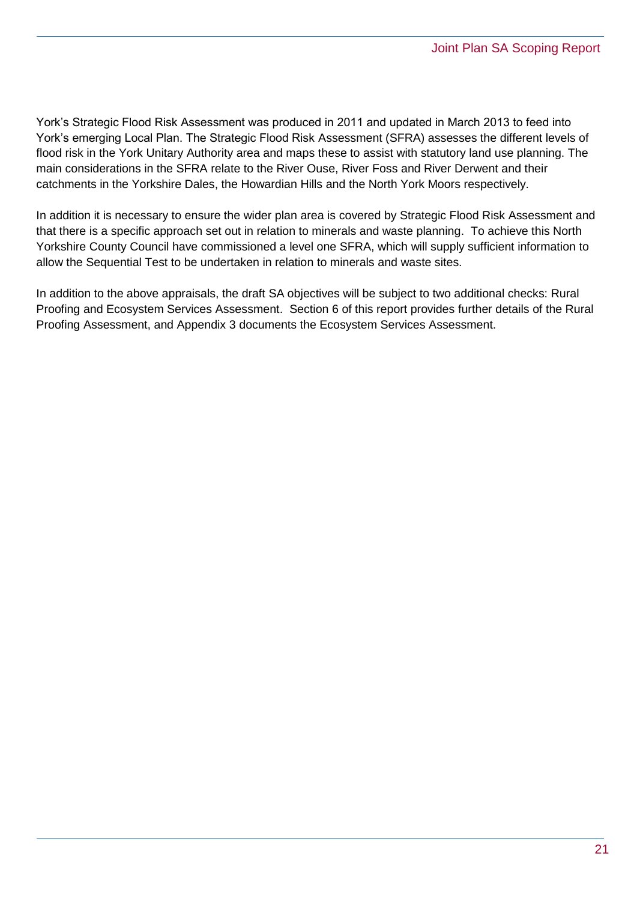York's Strategic Flood Risk Assessment was produced in 2011 and updated in March 2013 to feed into York's emerging Local Plan. The Strategic Flood Risk Assessment (SFRA) assesses the different levels of flood risk in the York Unitary Authority area and maps these to assist with statutory land use planning. The main considerations in the SFRA relate to the River Ouse, River Foss and River Derwent and their catchments in the Yorkshire Dales, the Howardian Hills and the North York Moors respectively.

In addition it is necessary to ensure the wider plan area is covered by Strategic Flood Risk Assessment and that there is a specific approach set out in relation to minerals and waste planning. To achieve this North Yorkshire County Council have commissioned a level one SFRA, which will supply sufficient information to allow the Sequential Test to be undertaken in relation to minerals and waste sites.

In addition to the above appraisals, the draft SA objectives will be subject to two additional checks: Rural Proofing and Ecosystem Services Assessment. Section 6 of this report provides further details of the Rural Proofing Assessment, and Appendix 3 documents the Ecosystem Services Assessment.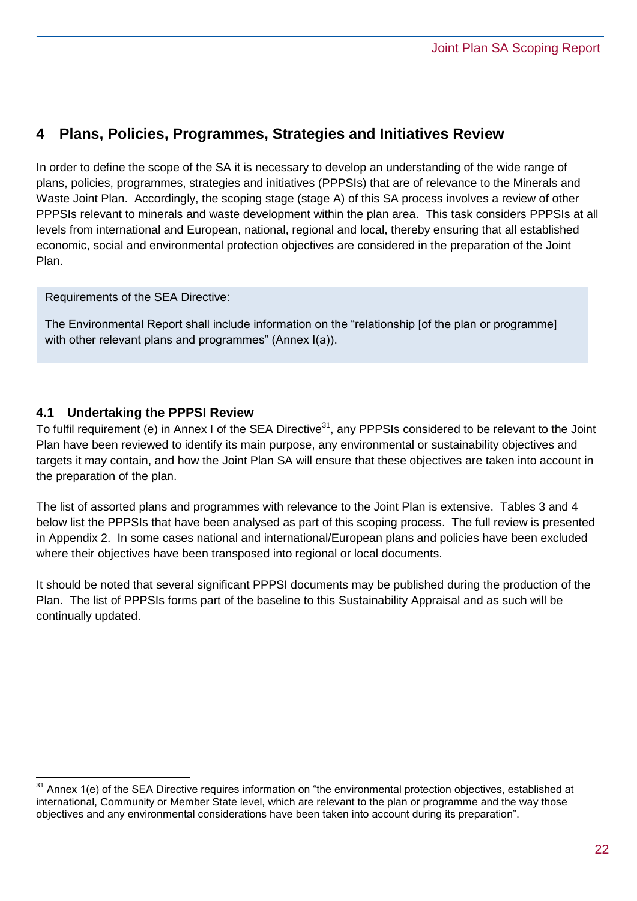## <span id="page-21-0"></span>**4 Plans, Policies, Programmes, Strategies and Initiatives Review**

In order to define the scope of the SA it is necessary to develop an understanding of the wide range of plans, policies, programmes, strategies and initiatives (PPPSIs) that are of relevance to the Minerals and Waste Joint Plan. Accordingly, the scoping stage (stage A) of this SA process involves a review of other PPPSIs relevant to minerals and waste development within the plan area. This task considers PPPSIs at all levels from international and European, national, regional and local, thereby ensuring that all established economic, social and environmental protection objectives are considered in the preparation of the Joint Plan.

Requirements of the SEA Directive:

The Environmental Report shall include information on the "relationship [of the plan or programme] with other relevant plans and programmes" (Annex I(a)).

#### **4.1 Undertaking the PPPSI Review**

To fulfil requirement (e) in Annex I of the SEA Directive<sup>31</sup>, any PPPSIs considered to be relevant to the Joint Plan have been reviewed to identify its main purpose, any environmental or sustainability objectives and targets it may contain, and how the Joint Plan SA will ensure that these objectives are taken into account in the preparation of the plan.

The list of assorted plans and programmes with relevance to the Joint Plan is extensive. Tables 3 and 4 below list the PPPSIs that have been analysed as part of this scoping process. The full review is presented in Appendix 2. In some cases national and international/European plans and policies have been excluded where their objectives have been transposed into regional or local documents.

It should be noted that several significant PPPSI documents may be published during the production of the Plan. The list of PPPSIs forms part of the baseline to this Sustainability Appraisal and as such will be continually updated.

 $\overline{a}$  $31$  Annex 1(e) of the SEA Directive requires information on "the environmental protection objectives, established at international, Community or Member State level, which are relevant to the plan or programme and the way those objectives and any environmental considerations have been taken into account during its preparation".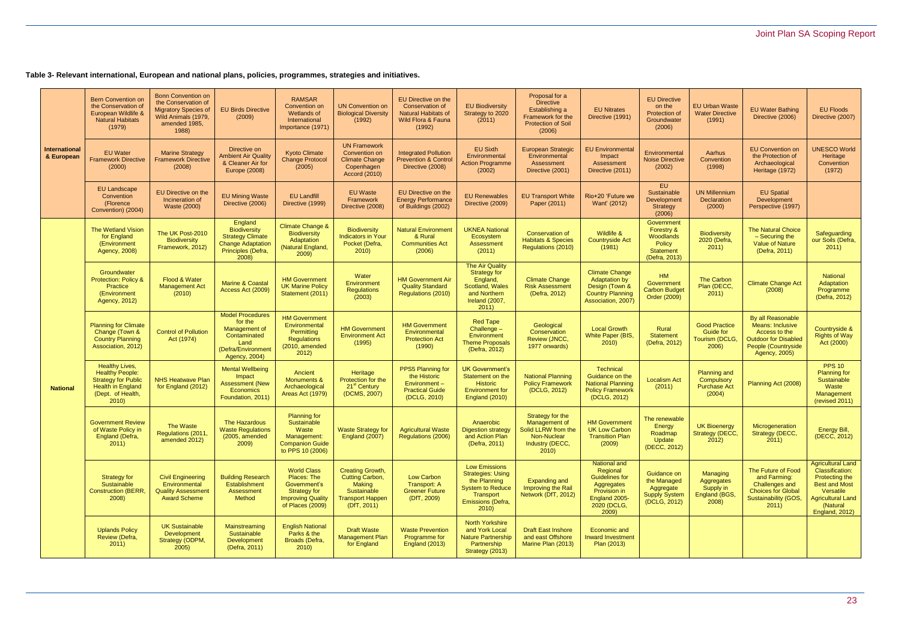## Joint Plan SA Scoping Report

**Table 3- Relevant international, European and national plans, policies, programmes, strategies and initiatives.**

| <b>International</b><br>& European | <b>Bern Convention on</b><br>the Conservation of<br>European Wildlife &<br><b>Natural Habitats</b><br>(1979)                           | <b>Bonn Convention on</b><br>the Conservation of<br><b>Migratory Species of</b><br>Wild Animals (1979,<br>amended 1985,<br>1988) | <b>EU Birds Directive</b><br>(2009)                                                                                | <b>RAMSAR</b><br><b>Convention on</b><br><b>Wetlands of</b><br>International<br>Importance (1971)                        | <b>UN Convention on</b><br><b>Biological Diversity</b><br>(1992)                                                     | EU Directive on the<br><b>Conservation of</b><br><b>Natural Habitats of</b><br>Wild Flora & Fauna<br>(1992) | <b>EU Biodiversity</b><br>Strategy to 2020<br>(2011)                                                                                  | Proposal for a<br><b>Directive</b><br>Establishing a<br>Framework for the<br><b>Protection of Soil</b><br>(2006) | <b>EU Nitrates</b><br>Directive (1991)                                                                                          | <b>EU Directive</b><br>on the<br>Protection of<br>Groundwater<br>(2006)              | <b>EU Urban Waste</b><br><b>Water Directive</b><br>(1991)           | <b>EU Water Bathing</b><br>Directive (2006)                                                                                                 | <b>EU Floods</b><br>Directive (2007)                                                                                                                                |
|------------------------------------|----------------------------------------------------------------------------------------------------------------------------------------|----------------------------------------------------------------------------------------------------------------------------------|--------------------------------------------------------------------------------------------------------------------|--------------------------------------------------------------------------------------------------------------------------|----------------------------------------------------------------------------------------------------------------------|-------------------------------------------------------------------------------------------------------------|---------------------------------------------------------------------------------------------------------------------------------------|------------------------------------------------------------------------------------------------------------------|---------------------------------------------------------------------------------------------------------------------------------|--------------------------------------------------------------------------------------|---------------------------------------------------------------------|---------------------------------------------------------------------------------------------------------------------------------------------|---------------------------------------------------------------------------------------------------------------------------------------------------------------------|
|                                    | <b>EU Water</b><br><b>Framework Directive</b><br>(2000)                                                                                | <b>Marine Strategy</b><br><b>Framework Directive</b><br>(2008)                                                                   | Directive on<br><b>Ambient Air Quality</b><br>& Cleaner Air for<br>Europe (2008)                                   | <b>Kyoto Climate</b><br><b>Change Protocol</b><br>(2005)                                                                 | <b>UN Framework</b><br>Convention on<br><b>Climate Change</b><br>Copenhagen<br><b>Accord (2010)</b>                  | <b>Integrated Pollution</b><br>Prevention & Control<br>Directive (2008)                                     | <b>EU Sixth</b><br>Environmental<br><b>Action Programme</b><br>(2002)                                                                 | <b>European Strategic</b><br>Environmental<br>Assessment<br>Directive (2001)                                     | <b>EU Environmental</b><br>Impact<br>Assessment<br>Directive (2011)                                                             | Environmental<br><b>Noise Directive</b><br>(2002)                                    | <b>Aarhus</b><br>Convention<br>(1998)                               | <b>EU Convention on</b><br>the Protection of<br>Archaeological<br>Heritage (1972)                                                           | <b>UNESCO World</b><br>Heritage<br>Convention<br>(1972)                                                                                                             |
|                                    | <b>EU Landscape</b><br>Convention<br>(Florence<br>Convention) (2004)                                                                   | <b>EU Directive on the</b><br>Incineration of<br><b>Waste (2000)</b>                                                             | <b>EU Mining Waste</b><br>Directive (2006)                                                                         | <b>EU Landfill</b><br>Directive (1999)                                                                                   | <b>EU Waste</b><br>Framework<br>Directive (2008)                                                                     | <b>EU Directive on the</b><br><b>Energy Performance</b><br>of Buildings (2002)                              | <b>EU Renewables</b><br>Directive (2009)                                                                                              | <b>EU Transport White</b><br>Paper (2011)                                                                        | Rio+20 'Future we<br>Want' (2012)                                                                                               | EU.<br>Sustainable<br>Development<br>Strategy<br>(2006)                              | <b>UN Millennium</b><br><b>Declaration</b><br>(2000)                | <b>EU Spatial</b><br>Development<br>Perspective (1997)                                                                                      |                                                                                                                                                                     |
| <b>National</b>                    | <b>The Wetland Vision</b><br>for England<br>(Environment<br>Agency, 2008)                                                              | The UK Post-2010<br><b>Biodiversity</b><br>Framework, 2012)                                                                      | England<br>Biodiversity<br><b>Strategy Climate</b><br><b>Change Adaptation</b><br>Principles (Defra,<br>2008)      | <b>Climate Change &amp;</b><br><b>Biodiversity</b><br>Adaptation<br>(Natural England,<br>2009                            | Biodiversity<br><b>Indicators in Your</b><br>Pocket (Defra,<br>2010                                                  | <b>Natural Environment</b><br>& Rural<br><b>Communities Act</b><br>(2006)                                   | <b>UKNEA National</b><br>Ecosystem<br>Assessment<br>(2011)                                                                            | <b>Conservation of</b><br><b>Habitats &amp; Species</b><br>Regulations (2010)                                    | Wildlife &<br><b>Countryside Act</b><br>(1981)                                                                                  | Government<br>Forestry &<br>Woodlands<br>Policy<br><b>Statement</b><br>(Defra, 2013) | Biodiversity<br>2020 (Defra,<br>2011)                               | <b>The Natural Choice</b><br>- Securing the<br>Value of Nature<br>(Defra, 2011)                                                             | Safeguarding<br>our Soils (Defra,<br>2011                                                                                                                           |
|                                    | Groundwater<br><b>Protection: Policy &amp;</b><br>Practice<br>(Environment<br>Agency, 2012)                                            | Flood & Water<br><b>Management Act</b><br>(2010)                                                                                 | <b>Marine &amp; Coastal</b><br>Access Act (2009)                                                                   | <b>HM Government</b><br><b>UK Marine Policy</b><br>Statement (2011)                                                      | Water<br>Environment<br><b>Regulations</b><br>(2003)                                                                 | <b>HM Government Air</b><br><b>Quality Standard</b><br>Regulations (2010)                                   | <b>The Air Quality</b><br>Strategy for<br>England,<br>Scotland, Wales<br>and Northern<br>Ireland (2007,<br>2011)                      | <b>Climate Change</b><br><b>Risk Assessment</b><br>(Defra, 2012)                                                 | <b>Climate Change</b><br><b>Adaptation by</b><br>Design (Town &<br><b>Country Planning</b><br>Association, 2007)                | HM<br>Government<br><b>Carbon Budget</b><br>Order (2009)                             | <b>The Carbon</b><br>Plan (DECC,<br>2011)                           | <b>Climate Change Act</b><br>(2008)                                                                                                         | National<br>Adaptation<br>Programme<br>(Defra, 2012)                                                                                                                |
|                                    | <b>Planning for Climate</b><br>Change (Town &<br><b>Country Planning</b><br>Association, 2012)                                         | <b>Control of Pollution</b><br>Act (1974)                                                                                        | <b>Model Procedures</b><br>for the<br>Management of<br>Contaminated<br>Land<br>(Defra/Environment<br>Agency, 2004) | <b>HM Government</b><br>Environmental<br>Permitting<br><b>Regulations</b><br>(2010, amended<br>2012)                     | <b>HM Government</b><br><b>Environment Act</b><br>(1995)                                                             | <b>HM Government</b><br>Environmental<br><b>Protection Act</b><br>(1990)                                    | <b>Red Tape</b><br>Challenge -<br>Environment<br><b>Theme Proposals</b><br>(Defra, 2012)                                              | Geological<br>Conservation<br>Review (JNCC,<br>1977 onwards)                                                     | <b>Local Growth</b><br>White Paper (BIS,<br>2010                                                                                | Rural<br><b>Statement</b><br>(Defra, 2012)                                           | <b>Good Practice</b><br><b>Guide for</b><br>Tourism (DCLG,<br>2006) | By all Reasonable<br><b>Means: Inclusive</b><br>Access to the<br><b>Outdoor for Disabled</b><br>People (Countryside<br><b>Agency, 2005)</b> | Countryside &<br><b>Rights of Way</b><br>Act (2000)                                                                                                                 |
|                                    | <b>Healthy Lives,</b><br><b>Healthy People:</b><br><b>Strategy for Public</b><br><b>Health in England</b><br>(Dept. of Health,<br>2010 | <b>NHS Heatwave Plan</b><br>for England (2012)                                                                                   | <b>Mental Wellbeing</b><br>Impact<br><b>Assessment (New</b><br><b>Economics</b><br>Foundation, 2011)               | Ancient<br><b>Monuments &amp;</b><br>Archaeological<br>Areas Act (1979)                                                  | Heritage<br>Protection for the<br>21 <sup>st</sup> Century<br>(DCMS, 2007)                                           | <b>PPS5 Planning for</b><br>the Historic<br>Environment-<br><b>Practical Guide</b><br>(DCLG, 2010)          | <b>UK Government's</b><br>Statement on the<br><b>Historic</b><br><b>Environment for</b><br>England (2010)                             | <b>National Planning</b><br><b>Policy Framework</b><br>(DCLG, 2012)                                              | <b>Technical</b><br>Guidance on the<br><b>National Planning</b><br><b>Policy Framework</b><br>(DCLG, 2012)                      | <b>Localism Act</b><br>(2011)                                                        | <b>Planning and</b><br>Compulsory<br><b>Purchase Act</b><br>(2004)  | Planning Act (2008)                                                                                                                         | <b>PPS 10</b><br><b>Planning for</b><br>Sustainable<br>Waste<br>Management<br>(revised 2011)                                                                        |
|                                    | <b>Government Review</b><br>of Waste Policy in<br>England (Defra,<br>2011                                                              | The Waste<br>Regulations (2011,<br>amended 2012)                                                                                 | The Hazardous<br><b>Waste Regulations</b><br>(2005, amended<br>2009)                                               | <b>Planning for</b><br>Sustainable<br>Waste<br>Management:<br><b>Companion Guide</b><br>to PPS 10 (2006)                 | <b>Waste Strategy for</b><br>England (2007)                                                                          | <b>Agricultural Waste</b><br>Regulations (2006)                                                             | Anaerobic<br><b>Digestion strategy</b><br>and Action Plan<br>(Defra, 2011)                                                            | Strategy for the<br>Management of<br>Solid LLRW from the<br>Non-Nuclear<br>Industry (DECC,<br>2010)              | <b>HM Government</b><br><b>UK Low Carbon</b><br><b>Transition Plan</b><br>(2009)                                                | The renewable<br>Energy<br>Roadmap<br>Update<br>(DECC, 2012)                         | <b>UK Bioenergy</b><br>Strategy (DECC,<br>2012)                     | Microgeneration<br>Strategy (DECC,<br>2011                                                                                                  | Energy Bill,<br>(DECC, 2012)                                                                                                                                        |
|                                    | Strategy for<br>Sustainable<br><b>Construction (BERR,</b><br>2008)                                                                     | <b>Civil Engineering</b><br>Environmental<br><b>Quality Assessment</b><br><b>Award Scheme</b>                                    | <b>Building Research</b><br>Establishment<br>Assessment<br><b>Method</b>                                           | <b>World Class</b><br>Places: The<br>Government's<br><b>Strategy for</b><br><b>Improving Quality</b><br>of Places (2009) | <b>Creating Growth,</b><br>Cutting Carbon,<br><b>Making</b><br>Sustainable<br><b>Transport Happen</b><br>(DfT, 2011) | Low Carbon<br>Transport: A<br><b>Greener Future</b><br>(DfT, 2009)                                          | <b>Low Emissions</b><br><b>Strategies: Using</b><br>the Planning<br><b>System to Reduce</b><br>Transport<br>Emissions (Defra,<br>2010 | <b>Expanding and</b><br>Improving the Rail<br>Network (DfT, 2012)                                                | <b>National and</b><br>Regional<br><b>Guidelines for</b><br>Aggregates<br>Provision in<br>England 2005-<br>2020 (DCLG,<br>2009) | Guidance on<br>the Managed<br>Aggregate<br><b>Supply System</b><br>(DCLG, 2012)      | Managing<br>Aggregates<br>Supply in<br>England (BGS,<br>2008)       | The Future of Food<br>and Farming:<br><b>Challenges and</b><br><b>Choices for Global</b><br>Sustainability (GOS,<br>2011)                   | <b>Agricultural Land</b><br><b>Classification:</b><br>Protecting the<br><b>Best and Most</b><br>Versatile<br><b>Agricultural Land</b><br>(Natural<br>England, 2012) |
|                                    | <b>Uplands Policy</b><br>Review (Defra,<br>2011)                                                                                       | <b>UK Sustainable</b><br>Development<br>Strategy (ODPM,<br>2005)                                                                 | Mainstreaming<br>Sustainable<br>Development<br>(Defra, 2011)                                                       | <b>English National</b><br>Parks & the<br>Broads (Defra,<br>2010                                                         | <b>Draft Waste</b><br><b>Management Plan</b><br>for England                                                          | <b>Waste Prevention</b><br>Programme for<br>England (2013)                                                  | <b>North Yorkshire</b><br>and York Local<br><b>Nature Partnership</b><br>Partnership<br>Strategy (2013)                               | <b>Draft East Inshore</b><br>and east Offshore<br>Marine Plan (2013)                                             | Economic and<br><b>Inward Investment</b><br>Plan (2013)                                                                         |                                                                                      |                                                                     |                                                                                                                                             |                                                                                                                                                                     |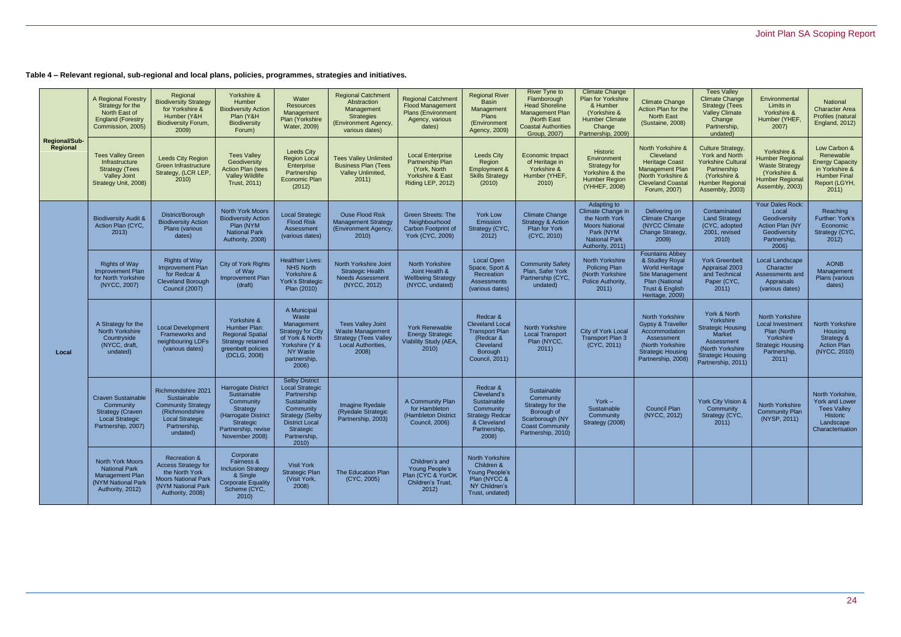## Joint Plan SA Scoping Report

**Table 4 – Relevant regional, sub-regional and local plans, policies, programmes, strategies and initiatives.**

|                                  | A Regional Forestry<br>Strategy for the<br>North East of<br><b>England (Forestry</b><br>Commission, 2005)          | Regional<br><b>Biodiversity Strategy</b><br>for Yorkshire &<br>Humber (Y&H<br><b>Biodiversity Forum,</b><br>2009)                               | Yorkshire &<br>Humber<br><b>Biodiversity Action</b><br>Plan (Y&H<br>Biodiversity<br>Forum)                                              | Water<br><b>Resources</b><br>Management<br>Plan (Yorkshire<br>Water, 2009)                                                                                                  | <b>Regional Catchment</b><br>Abstraction<br>Management<br><b>Strategies</b><br>(Environment Agency,<br>various dates) | <b>Regional Catchment</b><br><b>Flood Management</b><br><b>Plans (Environment</b><br>Agency, various<br>dates)  | <b>Regional River</b><br><b>Basin</b><br>Management<br>Plans<br>(Environment<br>Agency, 2009)                            | <b>River Tyne to</b><br>Flamborough<br><b>Head Shoreline</b><br><b>Management Plan</b><br>(North East<br><b>Coastal Authorities</b><br>Group, 2007) | <b>Climate Change</b><br>Plan for Yorkshire<br>& Humber<br>(Yorkshire &<br><b>Humber Climate</b><br>Change<br>Partnership, 2009)     | <b>Climate Change</b><br>Action Plan for the<br><b>North East</b><br>(Sustaine, 2008)                                                               | <b>Tees Valley</b><br><b>Climate Change</b><br><b>Strategy (Tees</b><br><b>Valley Climate</b><br>Change<br>Partnership,<br>undated)                         | Environmental<br>Limits in<br>Yorkshire &<br>Humber (YHEF,<br>2007)                                                                | National<br><b>Character Area</b><br>Profiles (natural<br><b>England, 2012)</b>                                        |
|----------------------------------|--------------------------------------------------------------------------------------------------------------------|-------------------------------------------------------------------------------------------------------------------------------------------------|-----------------------------------------------------------------------------------------------------------------------------------------|-----------------------------------------------------------------------------------------------------------------------------------------------------------------------------|-----------------------------------------------------------------------------------------------------------------------|-----------------------------------------------------------------------------------------------------------------|--------------------------------------------------------------------------------------------------------------------------|-----------------------------------------------------------------------------------------------------------------------------------------------------|--------------------------------------------------------------------------------------------------------------------------------------|-----------------------------------------------------------------------------------------------------------------------------------------------------|-------------------------------------------------------------------------------------------------------------------------------------------------------------|------------------------------------------------------------------------------------------------------------------------------------|------------------------------------------------------------------------------------------------------------------------|
| <b>Regional/Sub-</b><br>Regional | <b>Tees Valley Green</b><br>Infrastructure<br><b>Strategy (Tees</b><br><b>Valley Joint</b><br>Strategy Unit, 2008) | <b>Leeds City Region</b><br>Green Infrastructure<br>Strategy, (LCR LEP,<br>2010                                                                 | <b>Tees Valley</b><br>Geodiversity<br><b>Action Plan (tees</b><br><b>Valley Wildlife</b><br>Trust, 2011)                                | <b>Leeds City</b><br><b>Region Local</b><br>Enterprise<br>Partnership<br><b>Economic Plan</b><br>(2012)                                                                     | <b>Tees Valley Unlimited</b><br><b>Business Plan (Tees</b><br>Valley Unlimited,<br>2011)                              | <b>Local Enterprise</b><br>Partnership Plan<br>(York, North<br><b>Yorkshire &amp; East</b><br>Riding LEP, 2012) | <b>Leeds City</b><br>Region<br>Employment &<br><b>Skills Strategy</b><br>(2010)                                          | Economic Impact<br>of Heritage in<br>Yorkshire &<br>Humber (YHEF.<br>2010                                                                           | Historic<br>Environment<br>Strategy for<br>Yorkshire & the<br><b>Humber Region</b><br>(YHHEF, 2008)                                  | North Yorkshire &<br>Cleveland<br><b>Heritage Coast</b><br><b>Management Plan</b><br>(North Yorkshire &<br><b>Cleveland Coastal</b><br>Forum, 2007) | <b>Culture Strategy</b><br><b>York and North</b><br><b>Yorkshire Cultural</b><br>Partnership<br>(Yorkshire &<br><b>Humber Regional</b><br>Assembly, 2003)   | Yorkshire &<br><b>Humber Regional</b><br><b>Waste Strategy</b><br>(Yorkshire &<br><b>Humber Regional</b><br>Assembly, 2003)        | Low Carbon &<br>Renewable<br><b>Energy Capacity</b><br>in Yorkshire &<br><b>Humber Final</b><br>Report (LGYH,<br>2011) |
| Local                            | <b>Biodiversity Audit &amp;</b><br>Action Plan (CYC,<br>2013)                                                      | District/Borough<br><b>Biodiversity Action</b><br>Plans (various<br>dates)                                                                      | <b>North York Moors</b><br><b>Biodiversity Action</b><br>Plan (NYM<br><b>National Park</b><br>Authority, 2008)                          | <b>Local Strategic</b><br><b>Flood Risk</b><br>Assessment<br>(various dates)                                                                                                | <b>Ouse Flood Risk</b><br><b>Management Strategy</b><br>(Environment Agency<br>2010                                   | <b>Green Streets: The</b><br>Neighbourhood<br>Carbon Footprint of<br>York (CYC, 2009)                           | <b>York Low</b><br>Emission<br>Strategy (CYC,<br>2012)                                                                   | <b>Climate Change</b><br><b>Strategy &amp; Action</b><br>Plan for York<br>(CYC, 2010)                                                               | Adapting to<br>Climate Change in<br>the North York<br><b>Moors National</b><br>Park (NYM<br><b>National Park</b><br>Authority, 2011) | Delivering on<br><b>Climate Change</b><br>(NYCC Climate<br>Change Strategy,<br>2009                                                                 | Contaminated<br><b>Land Strategy</b><br>(CYC, adopted<br>2001, revised<br>2010                                                                              | Your Dales Rock:<br>Local<br>Geodiversity<br><b>Action Plan (NY</b><br>Geodiversity<br>Partnership,<br>2006)                       | Reaching<br>Further: York's<br>Economic<br>Strategy (CYC,<br>2012)                                                     |
|                                  | <b>Rights of Way</b><br>Improvement Plan<br>for North Yorkshire<br>(NYCC, 2007)                                    | <b>Rights of Way</b><br>Improvement Plan<br>for Redcar &<br><b>Cleveland Borough</b><br>Council (2007)                                          | City of York Rights<br>of Way<br>Improvement Plan<br>(draft)                                                                            | <b>Healthier Lives:</b><br><b>NHS North</b><br>Yorkshire &<br>York's Strategic<br>Plan (2010)                                                                               | North Yorkshire Joint<br><b>Strategic Health</b><br>Needs Assessment<br>(NYCC, 2012)                                  | <b>North Yorkshire</b><br>Joint Health &<br><b>Wellbeing Strategy</b><br>(NYCC, undated)                        | <b>Local Open</b><br>Space, Sport &<br>Recreation<br>Assessments<br>(various dates)                                      | <b>Community Safety</b><br>Plan, Safer York<br>Partnership (CYC,<br>undated)                                                                        | North Yorkshire<br><b>Policing Plan</b><br>(North Yorkshire<br>Police Authority,<br>2011                                             | <b>Fountains Abbey</b><br>& Studley Royal<br><b>World Heritage</b><br>Site Management<br>Plan (National<br>Trust & English<br>Heritage, 2009)       | <b>York Greenbel</b><br>Appraisal 2003<br>and Technical<br>Paper (CYC,<br>2011)                                                                             | Local Landscape<br>Character<br>Assessments and<br>Appraisals<br>(various dates)                                                   | <b>AONB</b><br>Management<br>Plans (various<br>dates)                                                                  |
|                                  | A Strategy for the<br>North Yorkshire<br>Countryside<br>(NYCC, draft,<br>undated)                                  | <b>Local Development</b><br>Frameworks and<br>neighbouring LDFs<br>(various dates)                                                              | Yorkshire &<br>Humber Plan:<br><b>Regional Spatial</b><br>Strategy retained<br>greenbelt policies<br>(DCLG, 2008)                       | A Municipal<br>Waste<br>Management<br>Strategy for City<br>of York & North<br>Yorkshire (Y &<br>NY Waste<br>partnership,<br>2006)                                           | <b>Tees Valley Joint</b><br><b>Waste Management</b><br><b>Strategy (Tees Valley</b><br>Local Authorities,<br>2008)    | York Renewable<br><b>Energy Strategic</b><br>Viability Study (AEA,<br>2010                                      | Redcar &<br><b>Cleveland Loca</b><br><b>Transport Plan</b><br>(Redcar &<br>Cleveland<br>Borough<br><b>Council, 2011)</b> | <b>North Yorkshire</b><br><b>Local Transport</b><br>Plan (NYCC,<br>2011                                                                             | City of York Local<br>Transport Plan 3<br>(CYC, 2011)                                                                                | North Yorkshire<br>Gypsy & Traveller<br>Accommodation<br>Assessment<br>(North Yorkshire<br><b>Strategic Housing</b><br>Partnership, 2008)           | York & North<br>Yorkshire<br><b>Strategic Housing</b><br><b>Market</b><br>Assessment<br>(North Yorkshire)<br><b>Strategic Housing</b><br>Partnership, 2011) | <b>North Yorkshire</b><br><b>Local Investment</b><br>Plan (North<br>Yorkshire<br><b>Strategic Housing</b><br>Partnership,<br>2011) | North Yorkshire<br>Housing<br>Strategy &<br><b>Action Plan</b><br>(NYCC, 2010)                                         |
|                                  | <b>Craven Sustainable</b><br>Community<br><b>Strategy (Craven</b><br><b>Local Strategic</b><br>Partnership, 2007)  | Richmondshire 2021<br>Sustainable<br><b>Community Strategy</b><br>(Richmondshire<br>Local Strategic<br>Partnership,<br>undated)                 | Harrogate District<br>Sustainable<br>Community<br>Strategy<br>(Harrogate District<br>Strategic<br>Partnership, revise<br>November 2008) | <b>Selby District</b><br>Local Strategic<br>Partnership<br>Sustainable<br>Community<br><b>Strategy (Selby</b><br><b>District Local</b><br>Strategic<br>Partnership,<br>2010 | Imagine Ryedale<br>(Ryedale Strategic<br>Partnership, 2003)                                                           | A Community Plan<br>for Hambleton<br>(Hambleton District<br><b>Council, 2006)</b>                               | Redcar &<br>Cleveland's<br>Sustainable<br>Community<br><b>Strategy Redcar</b><br>& Cleveland<br>Partnership,<br>2008)    | Sustainable<br>Community<br>Strategy for the<br>Borough of<br>Scarborough (NY<br><b>Coast Community</b><br>Partnership, 2010)                       | $York -$<br>Sustainable<br>Community<br>Strategy (2008)                                                                              | <b>Council Plan</b><br>(NYCC, 2012)                                                                                                                 | York City Vision &<br>Community<br>Strategy (CYC,<br>2011                                                                                                   | North Yorkshire<br><b>Community Plan</b><br>(NYSP, 2011)                                                                           | North Yorkshire,<br><b>York and Lower</b><br><b>Tees Valley</b><br>Historic<br>Landscape<br>Characterisation           |
|                                  | North York Moors<br><b>National Park</b><br>Management Plan<br>(NYM National Park<br>Authority, 2012)              | <b>Recreation &amp;</b><br><b>Access Strategy for</b><br>the North York<br><b>Moors National Park</b><br>(NYM National Park<br>Authority, 2008) | Corporate<br>Fairness &<br><b>Inclusion Strategy</b><br>& Single<br><b>Corporate Equality</b><br>Scheme (CYC,<br>2010                   | Visit York<br><b>Strategic Plan</b><br>(Visit York,<br>2008)                                                                                                                | The Education Plan<br>(CYC, 2005)                                                                                     | Children's and<br>Young People's<br>Plan (CYC & YorOK<br>Children's Trust,<br>2012)                             | North Yorkshire<br>Children &<br>Young People's<br>Plan (NYCC &<br>NY Children's<br>Trust, undated)                      |                                                                                                                                                     |                                                                                                                                      |                                                                                                                                                     |                                                                                                                                                             |                                                                                                                                    |                                                                                                                        |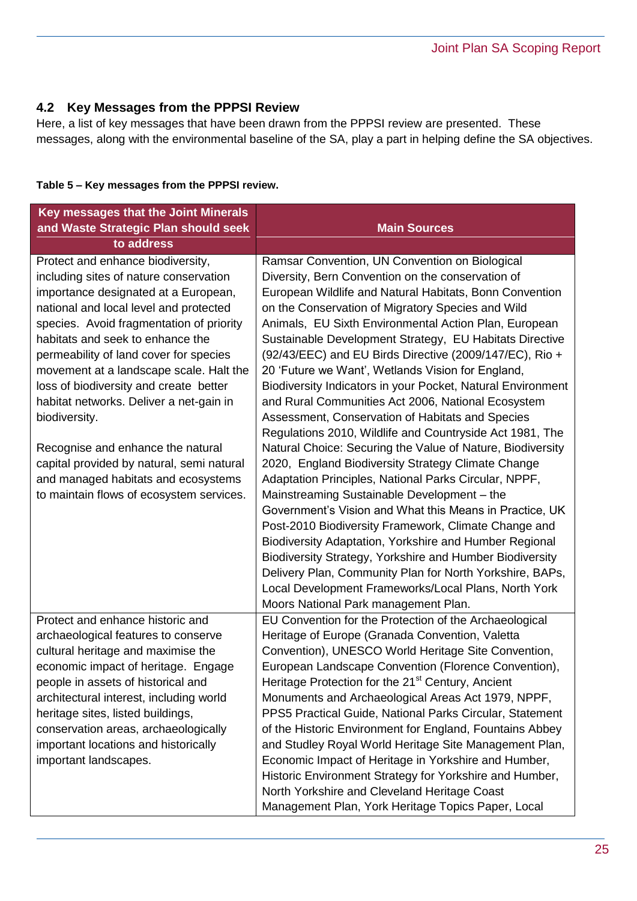#### **4.2 Key Messages from the PPPSI Review**

Here, a list of key messages that have been drawn from the PPPSI review are presented. These messages, along with the environmental baseline of the SA, play a part in helping define the SA objectives.

| Table 5 - Key messages from the PPPSI review. |  |  |
|-----------------------------------------------|--|--|
|                                               |  |  |

| Key messages that the Joint Minerals<br>and Waste Strategic Plan should seek<br>to address                                                                                                                                                                                                                                                                                                                              | <b>Main Sources</b>                                                                                                                                                                                                                                                                                                                                                                                                                                                                                                                                                                                                                                                                                                                                        |
|-------------------------------------------------------------------------------------------------------------------------------------------------------------------------------------------------------------------------------------------------------------------------------------------------------------------------------------------------------------------------------------------------------------------------|------------------------------------------------------------------------------------------------------------------------------------------------------------------------------------------------------------------------------------------------------------------------------------------------------------------------------------------------------------------------------------------------------------------------------------------------------------------------------------------------------------------------------------------------------------------------------------------------------------------------------------------------------------------------------------------------------------------------------------------------------------|
| Protect and enhance biodiversity,<br>including sites of nature conservation<br>importance designated at a European,<br>national and local level and protected<br>species. Avoid fragmentation of priority<br>habitats and seek to enhance the<br>permeability of land cover for species<br>movement at a landscape scale. Halt the<br>loss of biodiversity and create better<br>habitat networks. Deliver a net-gain in | Ramsar Convention, UN Convention on Biological<br>Diversity, Bern Convention on the conservation of<br>European Wildlife and Natural Habitats, Bonn Convention<br>on the Conservation of Migratory Species and Wild<br>Animals, EU Sixth Environmental Action Plan, European<br>Sustainable Development Strategy, EU Habitats Directive<br>(92/43/EEC) and EU Birds Directive (2009/147/EC), Rio +<br>20 'Future we Want', Wetlands Vision for England,<br>Biodiversity Indicators in your Pocket, Natural Environment<br>and Rural Communities Act 2006, National Ecosystem                                                                                                                                                                               |
| biodiversity.                                                                                                                                                                                                                                                                                                                                                                                                           | Assessment, Conservation of Habitats and Species<br>Regulations 2010, Wildlife and Countryside Act 1981, The                                                                                                                                                                                                                                                                                                                                                                                                                                                                                                                                                                                                                                               |
| Recognise and enhance the natural<br>capital provided by natural, semi natural<br>and managed habitats and ecosystems<br>to maintain flows of ecosystem services.                                                                                                                                                                                                                                                       | Natural Choice: Securing the Value of Nature, Biodiversity<br>2020, England Biodiversity Strategy Climate Change<br>Adaptation Principles, National Parks Circular, NPPF,<br>Mainstreaming Sustainable Development - the<br>Government's Vision and What this Means in Practice, UK<br>Post-2010 Biodiversity Framework, Climate Change and<br>Biodiversity Adaptation, Yorkshire and Humber Regional<br>Biodiversity Strategy, Yorkshire and Humber Biodiversity<br>Delivery Plan, Community Plan for North Yorkshire, BAPs,<br>Local Development Frameworks/Local Plans, North York<br>Moors National Park management Plan.                                                                                                                              |
| Protect and enhance historic and<br>archaeological features to conserve<br>cultural heritage and maximise the<br>economic impact of heritage. Engage<br>people in assets of historical and<br>architectural interest, including world<br>heritage sites, listed buildings,<br>conservation areas, archaeologically<br>important locations and historically<br>important landscapes.                                     | EU Convention for the Protection of the Archaeological<br>Heritage of Europe (Granada Convention, Valetta<br>Convention), UNESCO World Heritage Site Convention,<br>European Landscape Convention (Florence Convention),<br>Heritage Protection for the 21 <sup>st</sup> Century, Ancient<br>Monuments and Archaeological Areas Act 1979, NPPF,<br>PPS5 Practical Guide, National Parks Circular, Statement<br>of the Historic Environment for England, Fountains Abbey<br>and Studley Royal World Heritage Site Management Plan,<br>Economic Impact of Heritage in Yorkshire and Humber,<br>Historic Environment Strategy for Yorkshire and Humber,<br>North Yorkshire and Cleveland Heritage Coast<br>Management Plan, York Heritage Topics Paper, Local |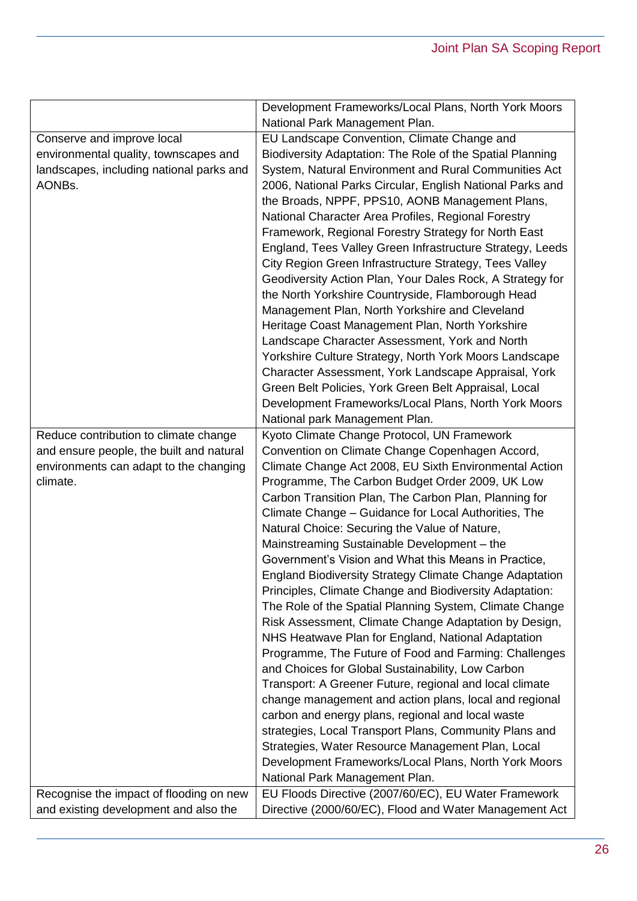| EU Landscape Convention, Climate Change and<br>Conserve and improve local<br>Biodiversity Adaptation: The Role of the Spatial Planning<br>environmental quality, townscapes and<br>System, Natural Environment and Rural Communities Act<br>landscapes, including national parks and<br>2006, National Parks Circular, English National Parks and<br>AONBs.<br>the Broads, NPPF, PPS10, AONB Management Plans,<br>National Character Area Profiles, Regional Forestry<br>Framework, Regional Forestry Strategy for North East<br>England, Tees Valley Green Infrastructure Strategy, Leeds<br>City Region Green Infrastructure Strategy, Tees Valley<br>Geodiversity Action Plan, Your Dales Rock, A Strategy for<br>the North Yorkshire Countryside, Flamborough Head<br>Management Plan, North Yorkshire and Cleveland<br>Heritage Coast Management Plan, North Yorkshire<br>Landscape Character Assessment, York and North<br>Yorkshire Culture Strategy, North York Moors Landscape<br>Character Assessment, York Landscape Appraisal, York<br>Green Belt Policies, York Green Belt Appraisal, Local<br>Development Frameworks/Local Plans, North York Moors<br>National park Management Plan.<br>Reduce contribution to climate change<br>Kyoto Climate Change Protocol, UN Framework<br>and ensure people, the built and natural<br>Convention on Climate Change Copenhagen Accord,<br>environments can adapt to the changing<br>Climate Change Act 2008, EU Sixth Environmental Action<br>Programme, The Carbon Budget Order 2009, UK Low<br>climate.<br>Carbon Transition Plan, The Carbon Plan, Planning for<br>Climate Change - Guidance for Local Authorities, The<br>Natural Choice: Securing the Value of Nature,<br>Mainstreaming Sustainable Development - the<br>Government's Vision and What this Means in Practice.<br><b>England Biodiversity Strategy Climate Change Adaptation</b><br>Principles, Climate Change and Biodiversity Adaptation:<br>The Role of the Spatial Planning System, Climate Change<br>Risk Assessment, Climate Change Adaptation by Design,<br>NHS Heatwave Plan for England, National Adaptation<br>Programme, The Future of Food and Farming: Challenges<br>and Choices for Global Sustainability, Low Carbon<br>Transport: A Greener Future, regional and local climate<br>change management and action plans, local and regional<br>carbon and energy plans, regional and local waste<br>strategies, Local Transport Plans, Community Plans and<br>Strategies, Water Resource Management Plan, Local<br>Development Frameworks/Local Plans, North York Moors<br>National Park Management Plan.<br>EU Floods Directive (2007/60/EC), EU Water Framework<br>Recognise the impact of flooding on new<br>and existing development and also the<br>Directive (2000/60/EC), Flood and Water Management Act | Development Frameworks/Local Plans, North York Moors |
|-----------------------------------------------------------------------------------------------------------------------------------------------------------------------------------------------------------------------------------------------------------------------------------------------------------------------------------------------------------------------------------------------------------------------------------------------------------------------------------------------------------------------------------------------------------------------------------------------------------------------------------------------------------------------------------------------------------------------------------------------------------------------------------------------------------------------------------------------------------------------------------------------------------------------------------------------------------------------------------------------------------------------------------------------------------------------------------------------------------------------------------------------------------------------------------------------------------------------------------------------------------------------------------------------------------------------------------------------------------------------------------------------------------------------------------------------------------------------------------------------------------------------------------------------------------------------------------------------------------------------------------------------------------------------------------------------------------------------------------------------------------------------------------------------------------------------------------------------------------------------------------------------------------------------------------------------------------------------------------------------------------------------------------------------------------------------------------------------------------------------------------------------------------------------------------------------------------------------------------------------------------------------------------------------------------------------------------------------------------------------------------------------------------------------------------------------------------------------------------------------------------------------------------------------------------------------------------------------------------------------------------------------------------------------------------------------------------------------------------------------------------------------------------------------------------------------------------------------------|------------------------------------------------------|
|                                                                                                                                                                                                                                                                                                                                                                                                                                                                                                                                                                                                                                                                                                                                                                                                                                                                                                                                                                                                                                                                                                                                                                                                                                                                                                                                                                                                                                                                                                                                                                                                                                                                                                                                                                                                                                                                                                                                                                                                                                                                                                                                                                                                                                                                                                                                                                                                                                                                                                                                                                                                                                                                                                                                                                                                                                                     | National Park Management Plan.                       |
|                                                                                                                                                                                                                                                                                                                                                                                                                                                                                                                                                                                                                                                                                                                                                                                                                                                                                                                                                                                                                                                                                                                                                                                                                                                                                                                                                                                                                                                                                                                                                                                                                                                                                                                                                                                                                                                                                                                                                                                                                                                                                                                                                                                                                                                                                                                                                                                                                                                                                                                                                                                                                                                                                                                                                                                                                                                     |                                                      |
|                                                                                                                                                                                                                                                                                                                                                                                                                                                                                                                                                                                                                                                                                                                                                                                                                                                                                                                                                                                                                                                                                                                                                                                                                                                                                                                                                                                                                                                                                                                                                                                                                                                                                                                                                                                                                                                                                                                                                                                                                                                                                                                                                                                                                                                                                                                                                                                                                                                                                                                                                                                                                                                                                                                                                                                                                                                     |                                                      |
|                                                                                                                                                                                                                                                                                                                                                                                                                                                                                                                                                                                                                                                                                                                                                                                                                                                                                                                                                                                                                                                                                                                                                                                                                                                                                                                                                                                                                                                                                                                                                                                                                                                                                                                                                                                                                                                                                                                                                                                                                                                                                                                                                                                                                                                                                                                                                                                                                                                                                                                                                                                                                                                                                                                                                                                                                                                     |                                                      |
|                                                                                                                                                                                                                                                                                                                                                                                                                                                                                                                                                                                                                                                                                                                                                                                                                                                                                                                                                                                                                                                                                                                                                                                                                                                                                                                                                                                                                                                                                                                                                                                                                                                                                                                                                                                                                                                                                                                                                                                                                                                                                                                                                                                                                                                                                                                                                                                                                                                                                                                                                                                                                                                                                                                                                                                                                                                     |                                                      |
|                                                                                                                                                                                                                                                                                                                                                                                                                                                                                                                                                                                                                                                                                                                                                                                                                                                                                                                                                                                                                                                                                                                                                                                                                                                                                                                                                                                                                                                                                                                                                                                                                                                                                                                                                                                                                                                                                                                                                                                                                                                                                                                                                                                                                                                                                                                                                                                                                                                                                                                                                                                                                                                                                                                                                                                                                                                     |                                                      |
|                                                                                                                                                                                                                                                                                                                                                                                                                                                                                                                                                                                                                                                                                                                                                                                                                                                                                                                                                                                                                                                                                                                                                                                                                                                                                                                                                                                                                                                                                                                                                                                                                                                                                                                                                                                                                                                                                                                                                                                                                                                                                                                                                                                                                                                                                                                                                                                                                                                                                                                                                                                                                                                                                                                                                                                                                                                     |                                                      |
|                                                                                                                                                                                                                                                                                                                                                                                                                                                                                                                                                                                                                                                                                                                                                                                                                                                                                                                                                                                                                                                                                                                                                                                                                                                                                                                                                                                                                                                                                                                                                                                                                                                                                                                                                                                                                                                                                                                                                                                                                                                                                                                                                                                                                                                                                                                                                                                                                                                                                                                                                                                                                                                                                                                                                                                                                                                     |                                                      |
|                                                                                                                                                                                                                                                                                                                                                                                                                                                                                                                                                                                                                                                                                                                                                                                                                                                                                                                                                                                                                                                                                                                                                                                                                                                                                                                                                                                                                                                                                                                                                                                                                                                                                                                                                                                                                                                                                                                                                                                                                                                                                                                                                                                                                                                                                                                                                                                                                                                                                                                                                                                                                                                                                                                                                                                                                                                     |                                                      |
|                                                                                                                                                                                                                                                                                                                                                                                                                                                                                                                                                                                                                                                                                                                                                                                                                                                                                                                                                                                                                                                                                                                                                                                                                                                                                                                                                                                                                                                                                                                                                                                                                                                                                                                                                                                                                                                                                                                                                                                                                                                                                                                                                                                                                                                                                                                                                                                                                                                                                                                                                                                                                                                                                                                                                                                                                                                     |                                                      |
|                                                                                                                                                                                                                                                                                                                                                                                                                                                                                                                                                                                                                                                                                                                                                                                                                                                                                                                                                                                                                                                                                                                                                                                                                                                                                                                                                                                                                                                                                                                                                                                                                                                                                                                                                                                                                                                                                                                                                                                                                                                                                                                                                                                                                                                                                                                                                                                                                                                                                                                                                                                                                                                                                                                                                                                                                                                     |                                                      |
|                                                                                                                                                                                                                                                                                                                                                                                                                                                                                                                                                                                                                                                                                                                                                                                                                                                                                                                                                                                                                                                                                                                                                                                                                                                                                                                                                                                                                                                                                                                                                                                                                                                                                                                                                                                                                                                                                                                                                                                                                                                                                                                                                                                                                                                                                                                                                                                                                                                                                                                                                                                                                                                                                                                                                                                                                                                     |                                                      |
|                                                                                                                                                                                                                                                                                                                                                                                                                                                                                                                                                                                                                                                                                                                                                                                                                                                                                                                                                                                                                                                                                                                                                                                                                                                                                                                                                                                                                                                                                                                                                                                                                                                                                                                                                                                                                                                                                                                                                                                                                                                                                                                                                                                                                                                                                                                                                                                                                                                                                                                                                                                                                                                                                                                                                                                                                                                     |                                                      |
|                                                                                                                                                                                                                                                                                                                                                                                                                                                                                                                                                                                                                                                                                                                                                                                                                                                                                                                                                                                                                                                                                                                                                                                                                                                                                                                                                                                                                                                                                                                                                                                                                                                                                                                                                                                                                                                                                                                                                                                                                                                                                                                                                                                                                                                                                                                                                                                                                                                                                                                                                                                                                                                                                                                                                                                                                                                     |                                                      |
|                                                                                                                                                                                                                                                                                                                                                                                                                                                                                                                                                                                                                                                                                                                                                                                                                                                                                                                                                                                                                                                                                                                                                                                                                                                                                                                                                                                                                                                                                                                                                                                                                                                                                                                                                                                                                                                                                                                                                                                                                                                                                                                                                                                                                                                                                                                                                                                                                                                                                                                                                                                                                                                                                                                                                                                                                                                     |                                                      |
|                                                                                                                                                                                                                                                                                                                                                                                                                                                                                                                                                                                                                                                                                                                                                                                                                                                                                                                                                                                                                                                                                                                                                                                                                                                                                                                                                                                                                                                                                                                                                                                                                                                                                                                                                                                                                                                                                                                                                                                                                                                                                                                                                                                                                                                                                                                                                                                                                                                                                                                                                                                                                                                                                                                                                                                                                                                     |                                                      |
|                                                                                                                                                                                                                                                                                                                                                                                                                                                                                                                                                                                                                                                                                                                                                                                                                                                                                                                                                                                                                                                                                                                                                                                                                                                                                                                                                                                                                                                                                                                                                                                                                                                                                                                                                                                                                                                                                                                                                                                                                                                                                                                                                                                                                                                                                                                                                                                                                                                                                                                                                                                                                                                                                                                                                                                                                                                     |                                                      |
|                                                                                                                                                                                                                                                                                                                                                                                                                                                                                                                                                                                                                                                                                                                                                                                                                                                                                                                                                                                                                                                                                                                                                                                                                                                                                                                                                                                                                                                                                                                                                                                                                                                                                                                                                                                                                                                                                                                                                                                                                                                                                                                                                                                                                                                                                                                                                                                                                                                                                                                                                                                                                                                                                                                                                                                                                                                     |                                                      |
|                                                                                                                                                                                                                                                                                                                                                                                                                                                                                                                                                                                                                                                                                                                                                                                                                                                                                                                                                                                                                                                                                                                                                                                                                                                                                                                                                                                                                                                                                                                                                                                                                                                                                                                                                                                                                                                                                                                                                                                                                                                                                                                                                                                                                                                                                                                                                                                                                                                                                                                                                                                                                                                                                                                                                                                                                                                     |                                                      |
|                                                                                                                                                                                                                                                                                                                                                                                                                                                                                                                                                                                                                                                                                                                                                                                                                                                                                                                                                                                                                                                                                                                                                                                                                                                                                                                                                                                                                                                                                                                                                                                                                                                                                                                                                                                                                                                                                                                                                                                                                                                                                                                                                                                                                                                                                                                                                                                                                                                                                                                                                                                                                                                                                                                                                                                                                                                     |                                                      |
|                                                                                                                                                                                                                                                                                                                                                                                                                                                                                                                                                                                                                                                                                                                                                                                                                                                                                                                                                                                                                                                                                                                                                                                                                                                                                                                                                                                                                                                                                                                                                                                                                                                                                                                                                                                                                                                                                                                                                                                                                                                                                                                                                                                                                                                                                                                                                                                                                                                                                                                                                                                                                                                                                                                                                                                                                                                     |                                                      |
|                                                                                                                                                                                                                                                                                                                                                                                                                                                                                                                                                                                                                                                                                                                                                                                                                                                                                                                                                                                                                                                                                                                                                                                                                                                                                                                                                                                                                                                                                                                                                                                                                                                                                                                                                                                                                                                                                                                                                                                                                                                                                                                                                                                                                                                                                                                                                                                                                                                                                                                                                                                                                                                                                                                                                                                                                                                     |                                                      |
|                                                                                                                                                                                                                                                                                                                                                                                                                                                                                                                                                                                                                                                                                                                                                                                                                                                                                                                                                                                                                                                                                                                                                                                                                                                                                                                                                                                                                                                                                                                                                                                                                                                                                                                                                                                                                                                                                                                                                                                                                                                                                                                                                                                                                                                                                                                                                                                                                                                                                                                                                                                                                                                                                                                                                                                                                                                     |                                                      |
|                                                                                                                                                                                                                                                                                                                                                                                                                                                                                                                                                                                                                                                                                                                                                                                                                                                                                                                                                                                                                                                                                                                                                                                                                                                                                                                                                                                                                                                                                                                                                                                                                                                                                                                                                                                                                                                                                                                                                                                                                                                                                                                                                                                                                                                                                                                                                                                                                                                                                                                                                                                                                                                                                                                                                                                                                                                     |                                                      |
|                                                                                                                                                                                                                                                                                                                                                                                                                                                                                                                                                                                                                                                                                                                                                                                                                                                                                                                                                                                                                                                                                                                                                                                                                                                                                                                                                                                                                                                                                                                                                                                                                                                                                                                                                                                                                                                                                                                                                                                                                                                                                                                                                                                                                                                                                                                                                                                                                                                                                                                                                                                                                                                                                                                                                                                                                                                     |                                                      |
|                                                                                                                                                                                                                                                                                                                                                                                                                                                                                                                                                                                                                                                                                                                                                                                                                                                                                                                                                                                                                                                                                                                                                                                                                                                                                                                                                                                                                                                                                                                                                                                                                                                                                                                                                                                                                                                                                                                                                                                                                                                                                                                                                                                                                                                                                                                                                                                                                                                                                                                                                                                                                                                                                                                                                                                                                                                     |                                                      |
|                                                                                                                                                                                                                                                                                                                                                                                                                                                                                                                                                                                                                                                                                                                                                                                                                                                                                                                                                                                                                                                                                                                                                                                                                                                                                                                                                                                                                                                                                                                                                                                                                                                                                                                                                                                                                                                                                                                                                                                                                                                                                                                                                                                                                                                                                                                                                                                                                                                                                                                                                                                                                                                                                                                                                                                                                                                     |                                                      |
|                                                                                                                                                                                                                                                                                                                                                                                                                                                                                                                                                                                                                                                                                                                                                                                                                                                                                                                                                                                                                                                                                                                                                                                                                                                                                                                                                                                                                                                                                                                                                                                                                                                                                                                                                                                                                                                                                                                                                                                                                                                                                                                                                                                                                                                                                                                                                                                                                                                                                                                                                                                                                                                                                                                                                                                                                                                     |                                                      |
|                                                                                                                                                                                                                                                                                                                                                                                                                                                                                                                                                                                                                                                                                                                                                                                                                                                                                                                                                                                                                                                                                                                                                                                                                                                                                                                                                                                                                                                                                                                                                                                                                                                                                                                                                                                                                                                                                                                                                                                                                                                                                                                                                                                                                                                                                                                                                                                                                                                                                                                                                                                                                                                                                                                                                                                                                                                     |                                                      |
|                                                                                                                                                                                                                                                                                                                                                                                                                                                                                                                                                                                                                                                                                                                                                                                                                                                                                                                                                                                                                                                                                                                                                                                                                                                                                                                                                                                                                                                                                                                                                                                                                                                                                                                                                                                                                                                                                                                                                                                                                                                                                                                                                                                                                                                                                                                                                                                                                                                                                                                                                                                                                                                                                                                                                                                                                                                     |                                                      |
|                                                                                                                                                                                                                                                                                                                                                                                                                                                                                                                                                                                                                                                                                                                                                                                                                                                                                                                                                                                                                                                                                                                                                                                                                                                                                                                                                                                                                                                                                                                                                                                                                                                                                                                                                                                                                                                                                                                                                                                                                                                                                                                                                                                                                                                                                                                                                                                                                                                                                                                                                                                                                                                                                                                                                                                                                                                     |                                                      |
|                                                                                                                                                                                                                                                                                                                                                                                                                                                                                                                                                                                                                                                                                                                                                                                                                                                                                                                                                                                                                                                                                                                                                                                                                                                                                                                                                                                                                                                                                                                                                                                                                                                                                                                                                                                                                                                                                                                                                                                                                                                                                                                                                                                                                                                                                                                                                                                                                                                                                                                                                                                                                                                                                                                                                                                                                                                     |                                                      |
|                                                                                                                                                                                                                                                                                                                                                                                                                                                                                                                                                                                                                                                                                                                                                                                                                                                                                                                                                                                                                                                                                                                                                                                                                                                                                                                                                                                                                                                                                                                                                                                                                                                                                                                                                                                                                                                                                                                                                                                                                                                                                                                                                                                                                                                                                                                                                                                                                                                                                                                                                                                                                                                                                                                                                                                                                                                     |                                                      |
|                                                                                                                                                                                                                                                                                                                                                                                                                                                                                                                                                                                                                                                                                                                                                                                                                                                                                                                                                                                                                                                                                                                                                                                                                                                                                                                                                                                                                                                                                                                                                                                                                                                                                                                                                                                                                                                                                                                                                                                                                                                                                                                                                                                                                                                                                                                                                                                                                                                                                                                                                                                                                                                                                                                                                                                                                                                     |                                                      |
|                                                                                                                                                                                                                                                                                                                                                                                                                                                                                                                                                                                                                                                                                                                                                                                                                                                                                                                                                                                                                                                                                                                                                                                                                                                                                                                                                                                                                                                                                                                                                                                                                                                                                                                                                                                                                                                                                                                                                                                                                                                                                                                                                                                                                                                                                                                                                                                                                                                                                                                                                                                                                                                                                                                                                                                                                                                     |                                                      |
|                                                                                                                                                                                                                                                                                                                                                                                                                                                                                                                                                                                                                                                                                                                                                                                                                                                                                                                                                                                                                                                                                                                                                                                                                                                                                                                                                                                                                                                                                                                                                                                                                                                                                                                                                                                                                                                                                                                                                                                                                                                                                                                                                                                                                                                                                                                                                                                                                                                                                                                                                                                                                                                                                                                                                                                                                                                     |                                                      |
|                                                                                                                                                                                                                                                                                                                                                                                                                                                                                                                                                                                                                                                                                                                                                                                                                                                                                                                                                                                                                                                                                                                                                                                                                                                                                                                                                                                                                                                                                                                                                                                                                                                                                                                                                                                                                                                                                                                                                                                                                                                                                                                                                                                                                                                                                                                                                                                                                                                                                                                                                                                                                                                                                                                                                                                                                                                     |                                                      |
|                                                                                                                                                                                                                                                                                                                                                                                                                                                                                                                                                                                                                                                                                                                                                                                                                                                                                                                                                                                                                                                                                                                                                                                                                                                                                                                                                                                                                                                                                                                                                                                                                                                                                                                                                                                                                                                                                                                                                                                                                                                                                                                                                                                                                                                                                                                                                                                                                                                                                                                                                                                                                                                                                                                                                                                                                                                     |                                                      |
|                                                                                                                                                                                                                                                                                                                                                                                                                                                                                                                                                                                                                                                                                                                                                                                                                                                                                                                                                                                                                                                                                                                                                                                                                                                                                                                                                                                                                                                                                                                                                                                                                                                                                                                                                                                                                                                                                                                                                                                                                                                                                                                                                                                                                                                                                                                                                                                                                                                                                                                                                                                                                                                                                                                                                                                                                                                     |                                                      |
|                                                                                                                                                                                                                                                                                                                                                                                                                                                                                                                                                                                                                                                                                                                                                                                                                                                                                                                                                                                                                                                                                                                                                                                                                                                                                                                                                                                                                                                                                                                                                                                                                                                                                                                                                                                                                                                                                                                                                                                                                                                                                                                                                                                                                                                                                                                                                                                                                                                                                                                                                                                                                                                                                                                                                                                                                                                     |                                                      |
|                                                                                                                                                                                                                                                                                                                                                                                                                                                                                                                                                                                                                                                                                                                                                                                                                                                                                                                                                                                                                                                                                                                                                                                                                                                                                                                                                                                                                                                                                                                                                                                                                                                                                                                                                                                                                                                                                                                                                                                                                                                                                                                                                                                                                                                                                                                                                                                                                                                                                                                                                                                                                                                                                                                                                                                                                                                     |                                                      |
|                                                                                                                                                                                                                                                                                                                                                                                                                                                                                                                                                                                                                                                                                                                                                                                                                                                                                                                                                                                                                                                                                                                                                                                                                                                                                                                                                                                                                                                                                                                                                                                                                                                                                                                                                                                                                                                                                                                                                                                                                                                                                                                                                                                                                                                                                                                                                                                                                                                                                                                                                                                                                                                                                                                                                                                                                                                     |                                                      |
|                                                                                                                                                                                                                                                                                                                                                                                                                                                                                                                                                                                                                                                                                                                                                                                                                                                                                                                                                                                                                                                                                                                                                                                                                                                                                                                                                                                                                                                                                                                                                                                                                                                                                                                                                                                                                                                                                                                                                                                                                                                                                                                                                                                                                                                                                                                                                                                                                                                                                                                                                                                                                                                                                                                                                                                                                                                     |                                                      |
|                                                                                                                                                                                                                                                                                                                                                                                                                                                                                                                                                                                                                                                                                                                                                                                                                                                                                                                                                                                                                                                                                                                                                                                                                                                                                                                                                                                                                                                                                                                                                                                                                                                                                                                                                                                                                                                                                                                                                                                                                                                                                                                                                                                                                                                                                                                                                                                                                                                                                                                                                                                                                                                                                                                                                                                                                                                     |                                                      |
|                                                                                                                                                                                                                                                                                                                                                                                                                                                                                                                                                                                                                                                                                                                                                                                                                                                                                                                                                                                                                                                                                                                                                                                                                                                                                                                                                                                                                                                                                                                                                                                                                                                                                                                                                                                                                                                                                                                                                                                                                                                                                                                                                                                                                                                                                                                                                                                                                                                                                                                                                                                                                                                                                                                                                                                                                                                     |                                                      |
|                                                                                                                                                                                                                                                                                                                                                                                                                                                                                                                                                                                                                                                                                                                                                                                                                                                                                                                                                                                                                                                                                                                                                                                                                                                                                                                                                                                                                                                                                                                                                                                                                                                                                                                                                                                                                                                                                                                                                                                                                                                                                                                                                                                                                                                                                                                                                                                                                                                                                                                                                                                                                                                                                                                                                                                                                                                     |                                                      |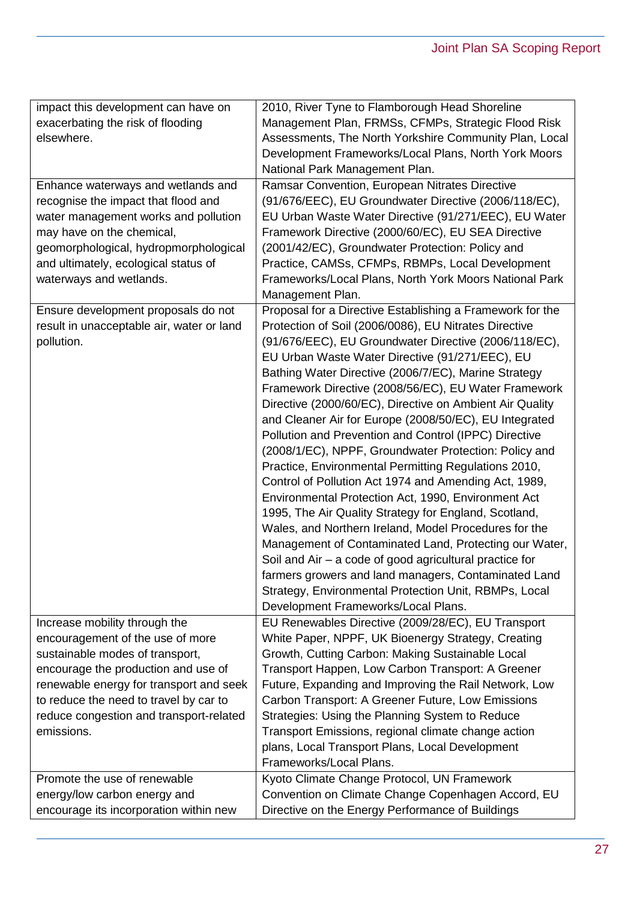| impact this development can have on       | 2010, River Tyne to Flamborough Head Shoreline                                                               |
|-------------------------------------------|--------------------------------------------------------------------------------------------------------------|
| exacerbating the risk of flooding         | Management Plan, FRMSs, CFMPs, Strategic Flood Risk                                                          |
| elsewhere.                                | Assessments, The North Yorkshire Community Plan, Local                                                       |
|                                           | Development Frameworks/Local Plans, North York Moors                                                         |
|                                           | National Park Management Plan.                                                                               |
| Enhance waterways and wetlands and        | Ramsar Convention, European Nitrates Directive                                                               |
| recognise the impact that flood and       | (91/676/EEC), EU Groundwater Directive (2006/118/EC),                                                        |
| water management works and pollution      | EU Urban Waste Water Directive (91/271/EEC), EU Water                                                        |
| may have on the chemical,                 | Framework Directive (2000/60/EC), EU SEA Directive                                                           |
| geomorphological, hydropmorphological     | (2001/42/EC), Groundwater Protection: Policy and                                                             |
| and ultimately, ecological status of      | Practice, CAMSs, CFMPs, RBMPs, Local Development                                                             |
| waterways and wetlands.                   | Frameworks/Local Plans, North York Moors National Park                                                       |
|                                           | Management Plan.                                                                                             |
| Ensure development proposals do not       | Proposal for a Directive Establishing a Framework for the                                                    |
| result in unacceptable air, water or land | Protection of Soil (2006/0086), EU Nitrates Directive                                                        |
| pollution.                                | (91/676/EEC), EU Groundwater Directive (2006/118/EC),                                                        |
|                                           | EU Urban Waste Water Directive (91/271/EEC), EU                                                              |
|                                           |                                                                                                              |
|                                           | Bathing Water Directive (2006/7/EC), Marine Strategy<br>Framework Directive (2008/56/EC), EU Water Framework |
|                                           |                                                                                                              |
|                                           | Directive (2000/60/EC), Directive on Ambient Air Quality                                                     |
|                                           | and Cleaner Air for Europe (2008/50/EC), EU Integrated                                                       |
|                                           | Pollution and Prevention and Control (IPPC) Directive                                                        |
|                                           | (2008/1/EC), NPPF, Groundwater Protection: Policy and                                                        |
|                                           | Practice, Environmental Permitting Regulations 2010,                                                         |
|                                           | Control of Pollution Act 1974 and Amending Act, 1989,                                                        |
|                                           | Environmental Protection Act, 1990, Environment Act                                                          |
|                                           | 1995, The Air Quality Strategy for England, Scotland,                                                        |
|                                           | Wales, and Northern Ireland, Model Procedures for the                                                        |
|                                           | Management of Contaminated Land, Protecting our Water,                                                       |
|                                           | Soil and $Air - a code of good agricultural practice for$                                                    |
|                                           | farmers growers and land managers, Contaminated Land                                                         |
|                                           | Strategy, Environmental Protection Unit, RBMPs, Local                                                        |
|                                           | Development Frameworks/Local Plans.                                                                          |
| Increase mobility through the             | EU Renewables Directive (2009/28/EC), EU Transport                                                           |
| encouragement of the use of more          | White Paper, NPPF, UK Bioenergy Strategy, Creating                                                           |
| sustainable modes of transport,           | Growth, Cutting Carbon: Making Sustainable Local                                                             |
| encourage the production and use of       | Transport Happen, Low Carbon Transport: A Greener                                                            |
| renewable energy for transport and seek   | Future, Expanding and Improving the Rail Network, Low                                                        |
| to reduce the need to travel by car to    | Carbon Transport: A Greener Future, Low Emissions                                                            |
| reduce congestion and transport-related   | Strategies: Using the Planning System to Reduce                                                              |
| emissions.                                | Transport Emissions, regional climate change action                                                          |
|                                           | plans, Local Transport Plans, Local Development                                                              |
|                                           | Frameworks/Local Plans.                                                                                      |
| Promote the use of renewable              | Kyoto Climate Change Protocol, UN Framework                                                                  |
|                                           | Convention on Climate Change Copenhagen Accord, EU                                                           |
| energy/low carbon energy and              |                                                                                                              |
| encourage its incorporation within new    | Directive on the Energy Performance of Buildings                                                             |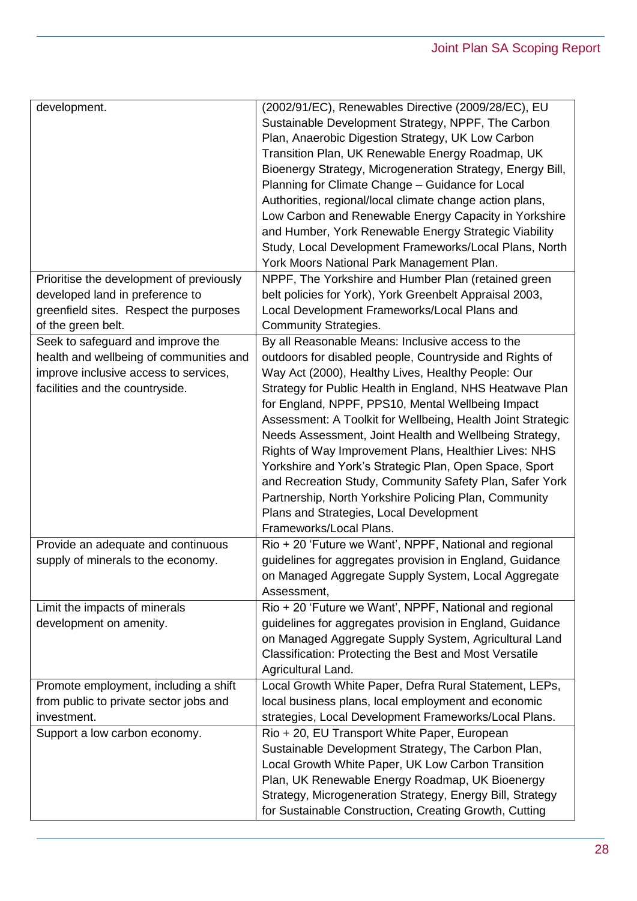| development.                                                                                                                                              | (2002/91/EC), Renewables Directive (2009/28/EC), EU<br>Sustainable Development Strategy, NPPF, The Carbon<br>Plan, Anaerobic Digestion Strategy, UK Low Carbon<br>Transition Plan, UK Renewable Energy Roadmap, UK<br>Bioenergy Strategy, Microgeneration Strategy, Energy Bill,<br>Planning for Climate Change - Guidance for Local<br>Authorities, regional/local climate change action plans,<br>Low Carbon and Renewable Energy Capacity in Yorkshire<br>and Humber, York Renewable Energy Strategic Viability<br>Study, Local Development Frameworks/Local Plans, North<br>York Moors National Park Management Plan.                                                                                                      |
|-----------------------------------------------------------------------------------------------------------------------------------------------------------|--------------------------------------------------------------------------------------------------------------------------------------------------------------------------------------------------------------------------------------------------------------------------------------------------------------------------------------------------------------------------------------------------------------------------------------------------------------------------------------------------------------------------------------------------------------------------------------------------------------------------------------------------------------------------------------------------------------------------------|
| Prioritise the development of previously                                                                                                                  | NPPF, The Yorkshire and Humber Plan (retained green                                                                                                                                                                                                                                                                                                                                                                                                                                                                                                                                                                                                                                                                            |
| developed land in preference to                                                                                                                           | belt policies for York), York Greenbelt Appraisal 2003,                                                                                                                                                                                                                                                                                                                                                                                                                                                                                                                                                                                                                                                                        |
| greenfield sites. Respect the purposes                                                                                                                    | Local Development Frameworks/Local Plans and                                                                                                                                                                                                                                                                                                                                                                                                                                                                                                                                                                                                                                                                                   |
| of the green belt.                                                                                                                                        | <b>Community Strategies.</b>                                                                                                                                                                                                                                                                                                                                                                                                                                                                                                                                                                                                                                                                                                   |
| Seek to safeguard and improve the                                                                                                                         | By all Reasonable Means: Inclusive access to the                                                                                                                                                                                                                                                                                                                                                                                                                                                                                                                                                                                                                                                                               |
| health and wellbeing of communities and<br>improve inclusive access to services,<br>facilities and the countryside.<br>Provide an adequate and continuous | outdoors for disabled people, Countryside and Rights of<br>Way Act (2000), Healthy Lives, Healthy People: Our<br>Strategy for Public Health in England, NHS Heatwave Plan<br>for England, NPPF, PPS10, Mental Wellbeing Impact<br>Assessment: A Toolkit for Wellbeing, Health Joint Strategic<br>Needs Assessment, Joint Health and Wellbeing Strategy,<br>Rights of Way Improvement Plans, Healthier Lives: NHS<br>Yorkshire and York's Strategic Plan, Open Space, Sport<br>and Recreation Study, Community Safety Plan, Safer York<br>Partnership, North Yorkshire Policing Plan, Community<br>Plans and Strategies, Local Development<br>Frameworks/Local Plans.<br>Rio + 20 'Future we Want', NPPF, National and regional |
| supply of minerals to the economy.                                                                                                                        | guidelines for aggregates provision in England, Guidance                                                                                                                                                                                                                                                                                                                                                                                                                                                                                                                                                                                                                                                                       |
|                                                                                                                                                           | on Managed Aggregate Supply System, Local Aggregate<br>Assessment,                                                                                                                                                                                                                                                                                                                                                                                                                                                                                                                                                                                                                                                             |
| Limit the impacts of minerals                                                                                                                             | Rio + 20 'Future we Want', NPPF, National and regional                                                                                                                                                                                                                                                                                                                                                                                                                                                                                                                                                                                                                                                                         |
| development on amenity.                                                                                                                                   | quidelines for aggregates provision in England, Guidance<br>on Managed Aggregate Supply System, Agricultural Land<br>Classification: Protecting the Best and Most Versatile<br>Agricultural Land.                                                                                                                                                                                                                                                                                                                                                                                                                                                                                                                              |
| Promote employment, including a shift                                                                                                                     | Local Growth White Paper, Defra Rural Statement, LEPs,                                                                                                                                                                                                                                                                                                                                                                                                                                                                                                                                                                                                                                                                         |
| from public to private sector jobs and                                                                                                                    | local business plans, local employment and economic                                                                                                                                                                                                                                                                                                                                                                                                                                                                                                                                                                                                                                                                            |
| investment.                                                                                                                                               | strategies, Local Development Frameworks/Local Plans.                                                                                                                                                                                                                                                                                                                                                                                                                                                                                                                                                                                                                                                                          |
| Support a low carbon economy.                                                                                                                             | Rio + 20, EU Transport White Paper, European<br>Sustainable Development Strategy, The Carbon Plan,<br>Local Growth White Paper, UK Low Carbon Transition<br>Plan, UK Renewable Energy Roadmap, UK Bioenergy<br>Strategy, Microgeneration Strategy, Energy Bill, Strategy<br>for Sustainable Construction, Creating Growth, Cutting                                                                                                                                                                                                                                                                                                                                                                                             |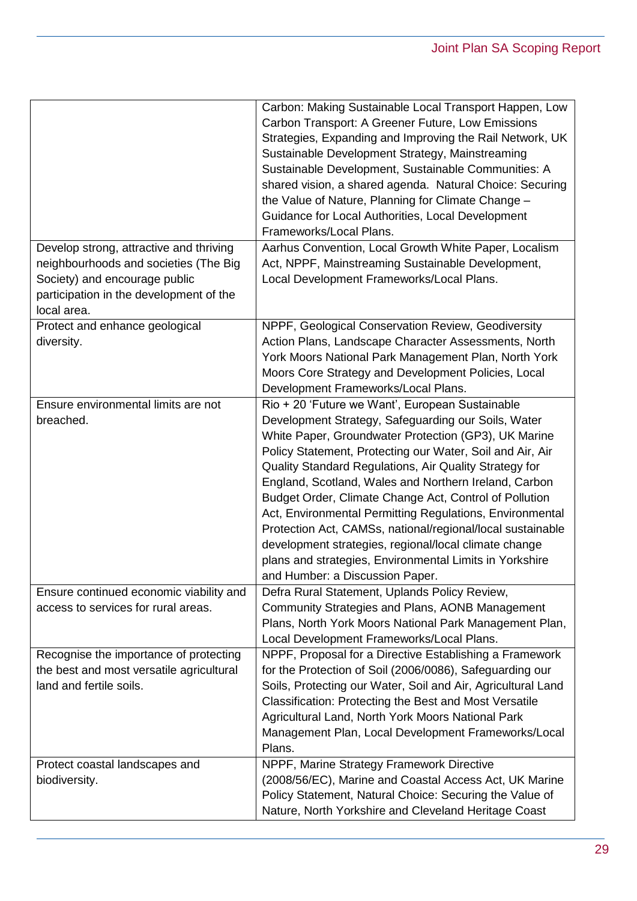|                                                                                                                                                                             | Carbon: Making Sustainable Local Transport Happen, Low<br>Carbon Transport: A Greener Future, Low Emissions<br>Strategies, Expanding and Improving the Rail Network, UK<br>Sustainable Development Strategy, Mainstreaming<br>Sustainable Development, Sustainable Communities: A<br>shared vision, a shared agenda. Natural Choice: Securing<br>the Value of Nature, Planning for Climate Change -<br>Guidance for Local Authorities, Local Development<br>Frameworks/Local Plans.                                                                                                                                                                                                       |
|-----------------------------------------------------------------------------------------------------------------------------------------------------------------------------|-------------------------------------------------------------------------------------------------------------------------------------------------------------------------------------------------------------------------------------------------------------------------------------------------------------------------------------------------------------------------------------------------------------------------------------------------------------------------------------------------------------------------------------------------------------------------------------------------------------------------------------------------------------------------------------------|
| Develop strong, attractive and thriving<br>neighbourhoods and societies (The Big<br>Society) and encourage public<br>participation in the development of the<br>local area. | Aarhus Convention, Local Growth White Paper, Localism<br>Act, NPPF, Mainstreaming Sustainable Development,<br>Local Development Frameworks/Local Plans.                                                                                                                                                                                                                                                                                                                                                                                                                                                                                                                                   |
| Protect and enhance geological<br>diversity.                                                                                                                                | NPPF, Geological Conservation Review, Geodiversity<br>Action Plans, Landscape Character Assessments, North<br>York Moors National Park Management Plan, North York<br>Moors Core Strategy and Development Policies, Local<br>Development Frameworks/Local Plans.                                                                                                                                                                                                                                                                                                                                                                                                                          |
| Ensure environmental limits are not<br>breached.                                                                                                                            | Rio + 20 'Future we Want', European Sustainable<br>Development Strategy, Safeguarding our Soils, Water<br>White Paper, Groundwater Protection (GP3), UK Marine<br>Policy Statement, Protecting our Water, Soil and Air, Air<br>Quality Standard Regulations, Air Quality Strategy for<br>England, Scotland, Wales and Northern Ireland, Carbon<br>Budget Order, Climate Change Act, Control of Pollution<br>Act, Environmental Permitting Regulations, Environmental<br>Protection Act, CAMSs, national/regional/local sustainable<br>development strategies, regional/local climate change<br>plans and strategies, Environmental Limits in Yorkshire<br>and Humber: a Discussion Paper. |
| Ensure continued economic viability and<br>access to services for rural areas.                                                                                              | Defra Rural Statement, Uplands Policy Review,<br>Community Strategies and Plans, AONB Management<br>Plans, North York Moors National Park Management Plan,<br>Local Development Frameworks/Local Plans.                                                                                                                                                                                                                                                                                                                                                                                                                                                                                   |
| Recognise the importance of protecting<br>the best and most versatile agricultural<br>land and fertile soils.                                                               | NPPF, Proposal for a Directive Establishing a Framework<br>for the Protection of Soil (2006/0086), Safeguarding our<br>Soils, Protecting our Water, Soil and Air, Agricultural Land<br>Classification: Protecting the Best and Most Versatile<br>Agricultural Land, North York Moors National Park<br>Management Plan, Local Development Frameworks/Local<br>Plans.                                                                                                                                                                                                                                                                                                                       |
| Protect coastal landscapes and<br>biodiversity.                                                                                                                             | NPPF, Marine Strategy Framework Directive<br>(2008/56/EC), Marine and Coastal Access Act, UK Marine<br>Policy Statement, Natural Choice: Securing the Value of<br>Nature, North Yorkshire and Cleveland Heritage Coast                                                                                                                                                                                                                                                                                                                                                                                                                                                                    |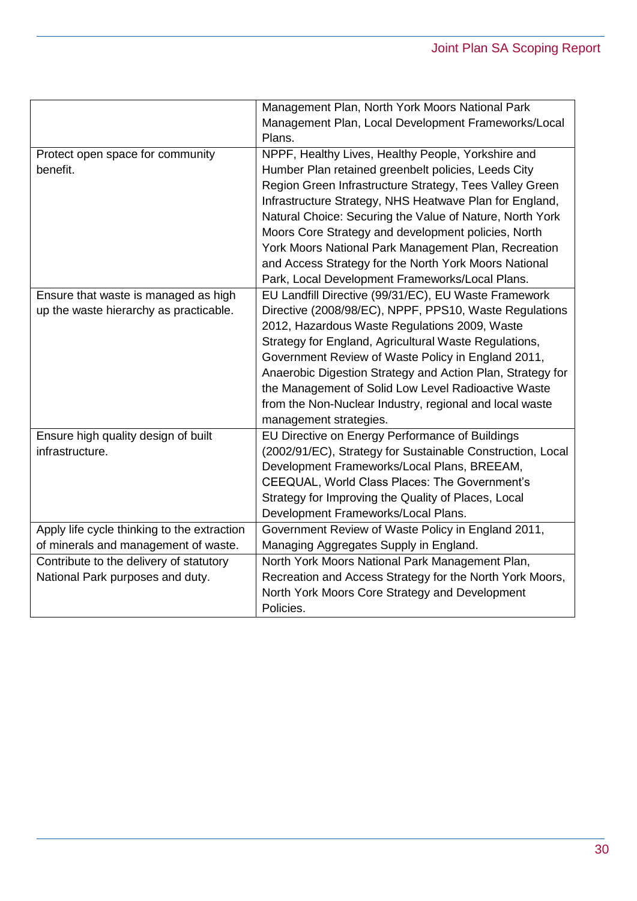|                                             | Management Plan, North York Moors National Park            |  |  |
|---------------------------------------------|------------------------------------------------------------|--|--|
|                                             | Management Plan, Local Development Frameworks/Local        |  |  |
|                                             | Plans.                                                     |  |  |
| Protect open space for community            | NPPF, Healthy Lives, Healthy People, Yorkshire and         |  |  |
| benefit.                                    | Humber Plan retained greenbelt policies, Leeds City        |  |  |
|                                             | Region Green Infrastructure Strategy, Tees Valley Green    |  |  |
|                                             | Infrastructure Strategy, NHS Heatwave Plan for England,    |  |  |
|                                             | Natural Choice: Securing the Value of Nature, North York   |  |  |
|                                             | Moors Core Strategy and development policies, North        |  |  |
|                                             | York Moors National Park Management Plan, Recreation       |  |  |
|                                             | and Access Strategy for the North York Moors National      |  |  |
|                                             | Park, Local Development Frameworks/Local Plans.            |  |  |
| Ensure that waste is managed as high        | EU Landfill Directive (99/31/EC), EU Waste Framework       |  |  |
| up the waste hierarchy as practicable.      | Directive (2008/98/EC), NPPF, PPS10, Waste Regulations     |  |  |
|                                             | 2012, Hazardous Waste Regulations 2009, Waste              |  |  |
|                                             | Strategy for England, Agricultural Waste Regulations,      |  |  |
|                                             | Government Review of Waste Policy in England 2011,         |  |  |
|                                             | Anaerobic Digestion Strategy and Action Plan, Strategy for |  |  |
|                                             | the Management of Solid Low Level Radioactive Waste        |  |  |
|                                             | from the Non-Nuclear Industry, regional and local waste    |  |  |
|                                             | management strategies.                                     |  |  |
| Ensure high quality design of built         | EU Directive on Energy Performance of Buildings            |  |  |
| infrastructure.                             | (2002/91/EC), Strategy for Sustainable Construction, Local |  |  |
|                                             | Development Frameworks/Local Plans, BREEAM,                |  |  |
|                                             | CEEQUAL, World Class Places: The Government's              |  |  |
|                                             | Strategy for Improving the Quality of Places, Local        |  |  |
|                                             | Development Frameworks/Local Plans.                        |  |  |
| Apply life cycle thinking to the extraction | Government Review of Waste Policy in England 2011,         |  |  |
| of minerals and management of waste.        | Managing Aggregates Supply in England.                     |  |  |
| Contribute to the delivery of statutory     | North York Moors National Park Management Plan,            |  |  |
| National Park purposes and duty.            | Recreation and Access Strategy for the North York Moors,   |  |  |
|                                             | North York Moors Core Strategy and Development             |  |  |
|                                             | Policies.                                                  |  |  |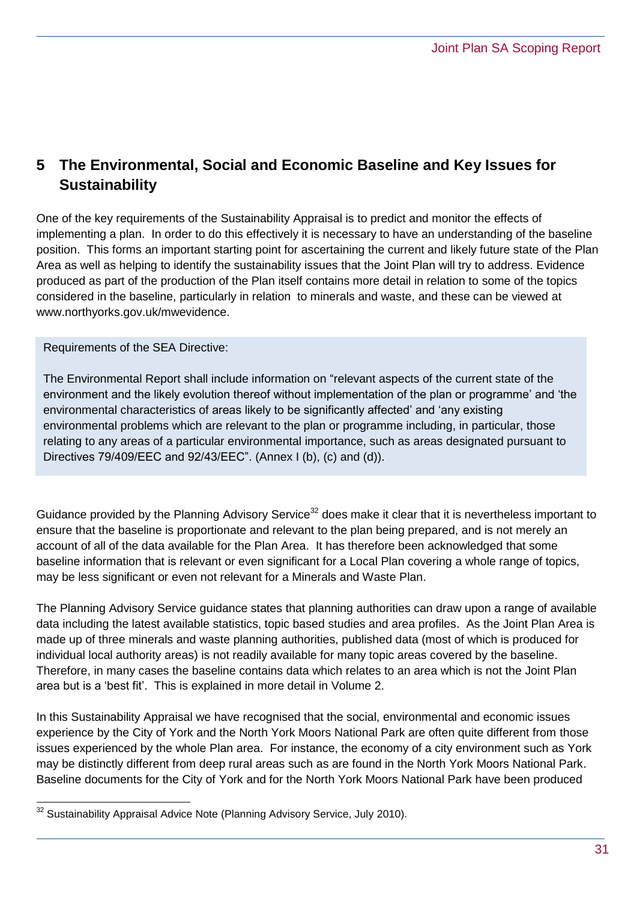## <span id="page-30-0"></span>**5 The Environmental, Social and Economic Baseline and Key Issues for Sustainability**

One of the key requirements of the Sustainability Appraisal is to predict and monitor the effects of implementing a plan. In order to do this effectively it is necessary to have an understanding of the baseline position. This forms an important starting point for ascertaining the current and likely future state of the Plan Area as well as helping to identify the sustainability issues that the Joint Plan will try to address. Evidence produced as part of the production of the Plan itself contains more detail in relation to some of the topics considered in the baseline, particularly in relation to minerals and waste, and these can be viewed at [www.northyorks.gov.uk/mwevidence.](http://www.northyorks.gov.uk/mwevidence)

Requirements of the SEA Directive:

The Environmental Report shall include information on "relevant aspects of the current state of the environment and the likely evolution thereof without implementation of the plan or programme' and 'the environmental characteristics of areas likely to be significantly affected' and 'any existing environmental problems which are relevant to the plan or programme including, in particular, those relating to any areas of a particular environmental importance, such as areas designated pursuant to Directives 79/409/EEC and 92/43/EEC". (Annex I (b), (c) and (d)).

Guidance provided by the Planning Advisory Service<sup>32</sup> does make it clear that it is nevertheless important to ensure that the baseline is proportionate and relevant to the plan being prepared, and is not merely an account of all of the data available for the Plan Area. It has therefore been acknowledged that some baseline information that is relevant or even significant for a Local Plan covering a whole range of topics, may be less significant or even not relevant for a Minerals and Waste Plan.

The Planning Advisory Service guidance states that planning authorities can draw upon a range of available data including the latest available statistics, topic based studies and area profiles. As the Joint Plan Area is made up of three minerals and waste planning authorities, published data (most of which is produced for individual local authority areas) is not readily available for many topic areas covered by the baseline. Therefore, in many cases the baseline contains data which relates to an area which is not the Joint Plan area but is a 'best fit'. This is explained in more detail in Volume 2.

In this Sustainability Appraisal we have recognised that the social, environmental and economic issues experience by the City of York and the North York Moors National Park are often quite different from those issues experienced by the whole Plan area. For instance, the economy of a city environment such as York may be distinctly different from deep rural areas such as are found in the North York Moors National Park. Baseline documents for the City of York and for the North York Moors National Park have been produced

 $\overline{a}$ 

Sustainability Appraisal Advice Note (Planning Advisory Service, July 2010).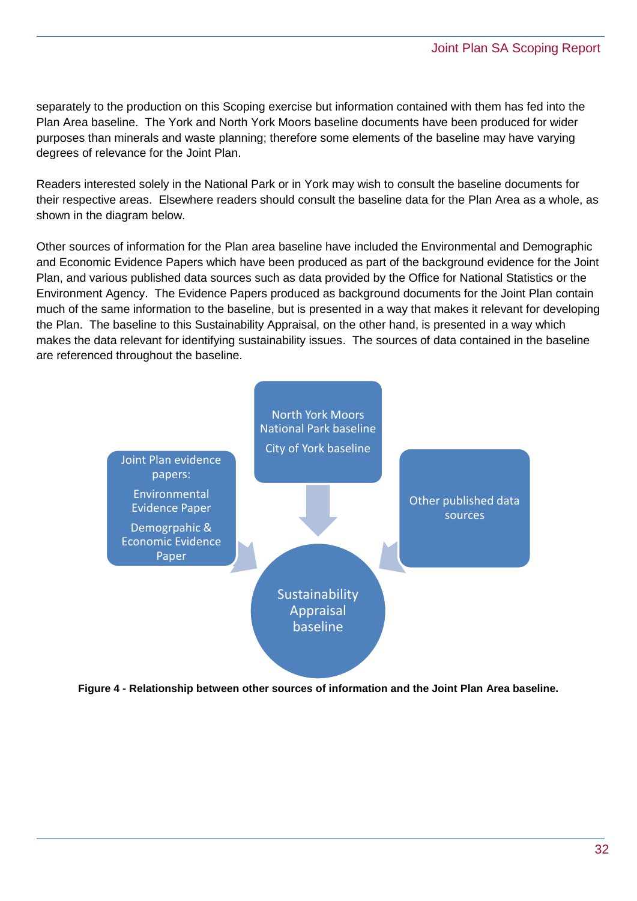separately to the production on this Scoping exercise but information contained with them has fed into the Plan Area baseline. The York and North York Moors baseline documents have been produced for wider purposes than minerals and waste planning; therefore some elements of the baseline may have varying degrees of relevance for the Joint Plan.

Readers interested solely in the National Park or in York may wish to consult the baseline documents for their respective areas. Elsewhere readers should consult the baseline data for the Plan Area as a whole, as shown in the diagram below.

Other sources of information for the Plan area baseline have included the Environmental and Demographic and Economic Evidence Papers which have been produced as part of the background evidence for the Joint Plan, and various published data sources such as data provided by the Office for National Statistics or the Environment Agency. The Evidence Papers produced as background documents for the Joint Plan contain much of the same information to the baseline, but is presented in a way that makes it relevant for developing the Plan. The baseline to this Sustainability Appraisal, on the other hand, is presented in a way which makes the data relevant for identifying sustainability issues. The sources of data contained in the baseline are referenced throughout the baseline.



**Figure 4 - Relationship between other sources of information and the Joint Plan Area baseline.**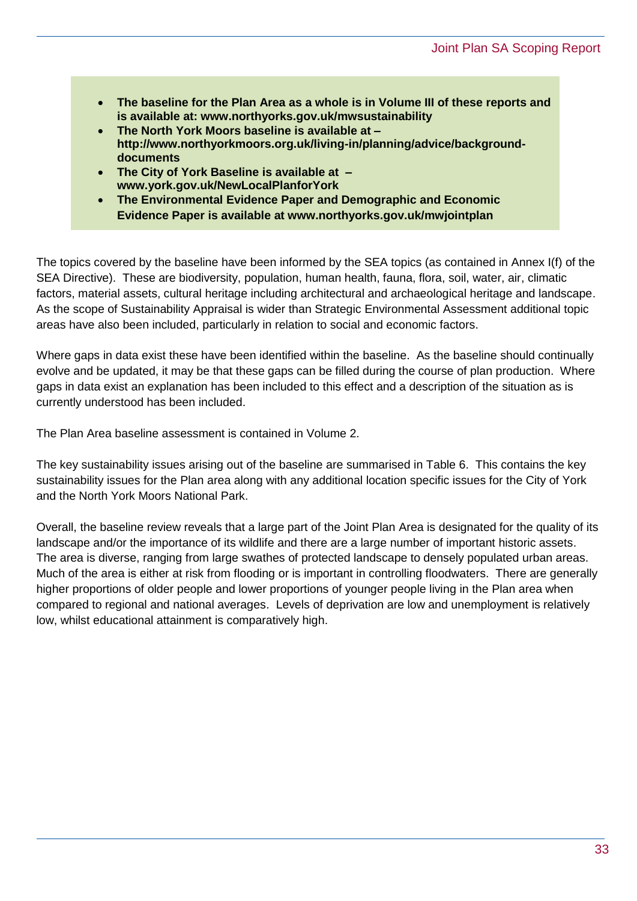- **The baseline for the Plan Area as a whole is [in](http://in/) Volume III of these reports and is available at: www.northyorks.gov.uk/mwsustainability**
- **The North York Moors baseline is available at – http://www.northyorkmoors.org.uk/living-in/planning/advice/backgrounddocuments**
- **The City of York Baseline is available at – [www.york.gov.uk/NewLocalPlanforYork](http://www.york.gov.uk/NewLocalPlanforYork)**
- **The Environmental Evidence Paper and Demographic and Economic Evidence Paper is available at [www.northyorks.gov.uk/m](http://www.northyorks.gov.uk/)wjointplan**

The topics covered by the baseline have been informed by the SEA topics (as contained in Annex I(f) of the SEA Directive). These are biodiversity, population, human health, fauna, flora, soil, water, air, climatic factors, material assets, cultural heritage including architectural and archaeological heritage and landscape. As the scope of Sustainability Appraisal is wider than Strategic Environmental Assessment additional topic areas have also been included, particularly in relation to social and economic factors.

Where gaps in data exist these have been identified within the baseline. As the baseline should continually evolve and be updated, it may be that these gaps can be filled during the course of plan production. Where gaps in data exist an explanation has been included to this effect and a description of the situation as is currently understood has been included.

The Plan Area baseline assessment is contained in Volume 2.

The key sustainability issues arising out of the baseline are summarised in Table 6. This contains the key sustainability issues for the Plan area along with any additional location specific issues for the City of York and the North York Moors National Park.

Overall, the baseline review reveals that a large part of the Joint Plan Area is designated for the quality of its landscape and/or the importance of its wildlife and there are a large number of important historic assets. The area is diverse, ranging from large swathes of protected landscape to densely populated urban areas. Much of the area is either at risk from flooding or is important in controlling floodwaters. There are generally higher proportions of older people and lower proportions of younger people living in the Plan area when compared to regional and national averages. Levels of deprivation are low and unemployment is relatively low, whilst educational attainment is comparatively high.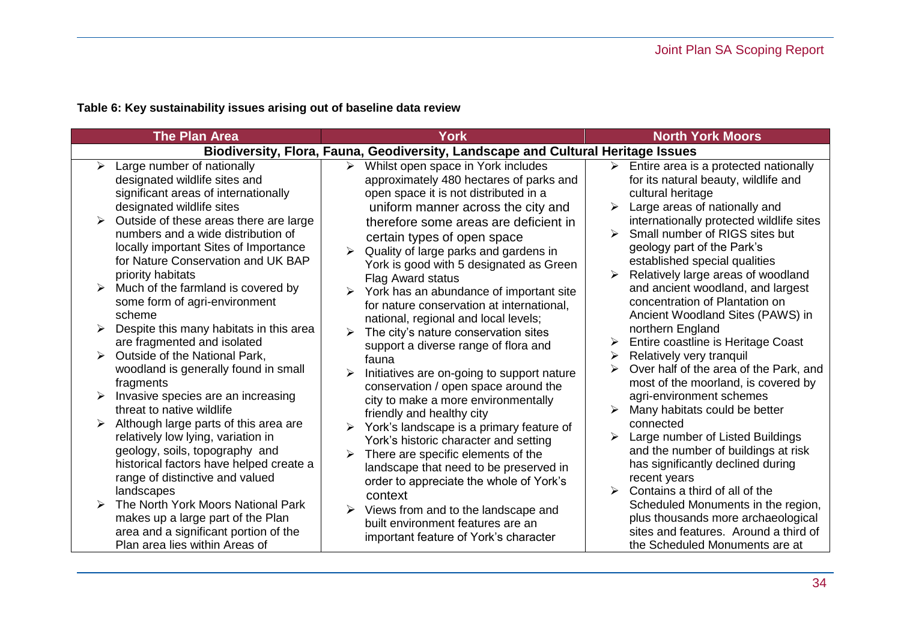**Table 6: Key sustainability issues arising out of baseline data review**

| <b>The Plan Area</b>                                                                                                                                                                                                                                                                                                                                                                                                                                                                                                                                                                                                                          | <b>York</b>                                                                                                                                                                                                                                                                                                                                                                                                                                                                                                                                                                                                                                                                                                                                | <b>North York Moors</b>                                                                                                                                                                                                                                                                                                                                                                                                                                                                                                                                                                                                                                                                                            |  |  |  |  |  |
|-----------------------------------------------------------------------------------------------------------------------------------------------------------------------------------------------------------------------------------------------------------------------------------------------------------------------------------------------------------------------------------------------------------------------------------------------------------------------------------------------------------------------------------------------------------------------------------------------------------------------------------------------|--------------------------------------------------------------------------------------------------------------------------------------------------------------------------------------------------------------------------------------------------------------------------------------------------------------------------------------------------------------------------------------------------------------------------------------------------------------------------------------------------------------------------------------------------------------------------------------------------------------------------------------------------------------------------------------------------------------------------------------------|--------------------------------------------------------------------------------------------------------------------------------------------------------------------------------------------------------------------------------------------------------------------------------------------------------------------------------------------------------------------------------------------------------------------------------------------------------------------------------------------------------------------------------------------------------------------------------------------------------------------------------------------------------------------------------------------------------------------|--|--|--|--|--|
| Biodiversity, Flora, Fauna, Geodiversity, Landscape and Cultural Heritage Issues                                                                                                                                                                                                                                                                                                                                                                                                                                                                                                                                                              |                                                                                                                                                                                                                                                                                                                                                                                                                                                                                                                                                                                                                                                                                                                                            |                                                                                                                                                                                                                                                                                                                                                                                                                                                                                                                                                                                                                                                                                                                    |  |  |  |  |  |
| Large number of nationally<br>➤<br>designated wildlife sites and<br>significant areas of internationally<br>designated wildlife sites<br>Outside of these areas there are large<br>numbers and a wide distribution of<br>locally important Sites of Importance<br>for Nature Conservation and UK BAP<br>priority habitats<br>Much of the farmland is covered by<br>some form of agri-environment<br>scheme<br>Despite this many habitats in this area<br>are fragmented and isolated<br>Outside of the National Park,<br>woodland is generally found in small<br>fragments<br>Invasive species are an increasing<br>threat to native wildlife | Whilst open space in York includes<br>➤<br>approximately 480 hectares of parks and<br>open space it is not distributed in a<br>uniform manner across the city and<br>therefore some areas are deficient in<br>certain types of open space<br>Quality of large parks and gardens in<br>York is good with 5 designated as Green<br>Flag Award status<br>York has an abundance of important site<br>for nature conservation at international,<br>national, regional and local levels;<br>The city's nature conservation sites<br>support a diverse range of flora and<br>fauna<br>Initiatives are on-going to support nature<br>➤<br>conservation / open space around the<br>city to make a more environmentally<br>friendly and healthy city | $\triangleright$ Entire area is a protected nationally<br>for its natural beauty, wildlife and<br>cultural heritage<br>Large areas of nationally and<br>➤<br>internationally protected wildlife sites<br>Small number of RIGS sites but<br>geology part of the Park's<br>established special qualities<br>Relatively large areas of woodland<br>and ancient woodland, and largest<br>concentration of Plantation on<br>Ancient Woodland Sites (PAWS) in<br>northern England<br>Entire coastline is Heritage Coast<br>➤<br>Relatively very tranquil<br>➤<br>Over half of the area of the Park, and<br>most of the moorland, is covered by<br>agri-environment schemes<br>Many habitats could be better<br>connected |  |  |  |  |  |
| Although large parts of this area are<br>relatively low lying, variation in<br>geology, soils, topography and<br>historical factors have helped create a<br>range of distinctive and valued                                                                                                                                                                                                                                                                                                                                                                                                                                                   | York's landscape is a primary feature of<br>York's historic character and setting<br>There are specific elements of the<br>landscape that need to be preserved in<br>order to appreciate the whole of York's                                                                                                                                                                                                                                                                                                                                                                                                                                                                                                                               | Large number of Listed Buildings<br>and the number of buildings at risk<br>has significantly declined during<br>recent years                                                                                                                                                                                                                                                                                                                                                                                                                                                                                                                                                                                       |  |  |  |  |  |
| landscapes<br>The North York Moors National Park<br>makes up a large part of the Plan<br>area and a significant portion of the<br>Plan area lies within Areas of                                                                                                                                                                                                                                                                                                                                                                                                                                                                              | context<br>Views from and to the landscape and<br>➤<br>built environment features are an<br>important feature of York's character                                                                                                                                                                                                                                                                                                                                                                                                                                                                                                                                                                                                          | Contains a third of all of the<br>Scheduled Monuments in the region,<br>plus thousands more archaeological<br>sites and features. Around a third of<br>the Scheduled Monuments are at                                                                                                                                                                                                                                                                                                                                                                                                                                                                                                                              |  |  |  |  |  |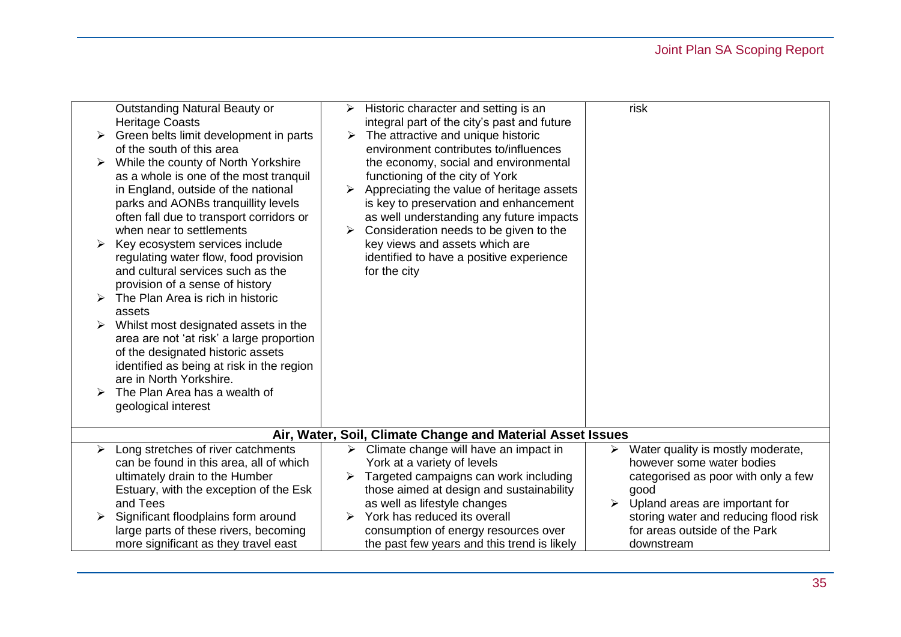# Joint Plan SA Scoping Report

| ➤                                                          | Outstanding Natural Beauty or<br><b>Heritage Coasts</b><br>Green belts limit development in parts<br>of the south of this area<br>While the county of North Yorkshire<br>as a whole is one of the most tranguil<br>in England, outside of the national<br>parks and AONBs tranquillity levels<br>often fall due to transport corridors or<br>when near to settlements<br>Key ecosystem services include<br>regulating water flow, food provision<br>and cultural services such as the<br>provision of a sense of history<br>The Plan Area is rich in historic<br>assets<br>Whilst most designated assets in the<br>area are not 'at risk' a large proportion<br>of the designated historic assets<br>identified as being at risk in the region<br>are in North Yorkshire.<br>The Plan Area has a wealth of<br>geological interest | ➤<br>$\blacktriangleright$<br>➤ | Historic character and setting is an<br>integral part of the city's past and future<br>The attractive and unique historic<br>environment contributes to/influences<br>the economy, social and environmental<br>functioning of the city of York<br>Appreciating the value of heritage assets<br>is key to preservation and enhancement<br>as well understanding any future impacts<br>Consideration needs to be given to the<br>key views and assets which are<br>identified to have a positive experience<br>for the city |  | risk                                                                                                                                                                                                                                    |  |  |
|------------------------------------------------------------|-----------------------------------------------------------------------------------------------------------------------------------------------------------------------------------------------------------------------------------------------------------------------------------------------------------------------------------------------------------------------------------------------------------------------------------------------------------------------------------------------------------------------------------------------------------------------------------------------------------------------------------------------------------------------------------------------------------------------------------------------------------------------------------------------------------------------------------|---------------------------------|---------------------------------------------------------------------------------------------------------------------------------------------------------------------------------------------------------------------------------------------------------------------------------------------------------------------------------------------------------------------------------------------------------------------------------------------------------------------------------------------------------------------------|--|-----------------------------------------------------------------------------------------------------------------------------------------------------------------------------------------------------------------------------------------|--|--|
| Air, Water, Soil, Climate Change and Material Asset Issues |                                                                                                                                                                                                                                                                                                                                                                                                                                                                                                                                                                                                                                                                                                                                                                                                                                   |                                 |                                                                                                                                                                                                                                                                                                                                                                                                                                                                                                                           |  |                                                                                                                                                                                                                                         |  |  |
| ➤<br>≻                                                     | Long stretches of river catchments<br>can be found in this area, all of which<br>ultimately drain to the Humber<br>Estuary, with the exception of the Esk<br>and Tees<br>Significant floodplains form around<br>large parts of these rivers, becoming<br>more significant as they travel east                                                                                                                                                                                                                                                                                                                                                                                                                                                                                                                                     | $\blacktriangleright$           | Climate change will have an impact in<br>York at a variety of levels<br>Targeted campaigns can work including<br>those aimed at design and sustainability<br>as well as lifestyle changes<br>York has reduced its overall<br>consumption of energy resources over<br>the past few years and this trend is likely                                                                                                                                                                                                          |  | Water quality is mostly moderate,<br>however some water bodies<br>categorised as poor with only a few<br>good<br>Upland areas are important for<br>storing water and reducing flood risk<br>for areas outside of the Park<br>downstream |  |  |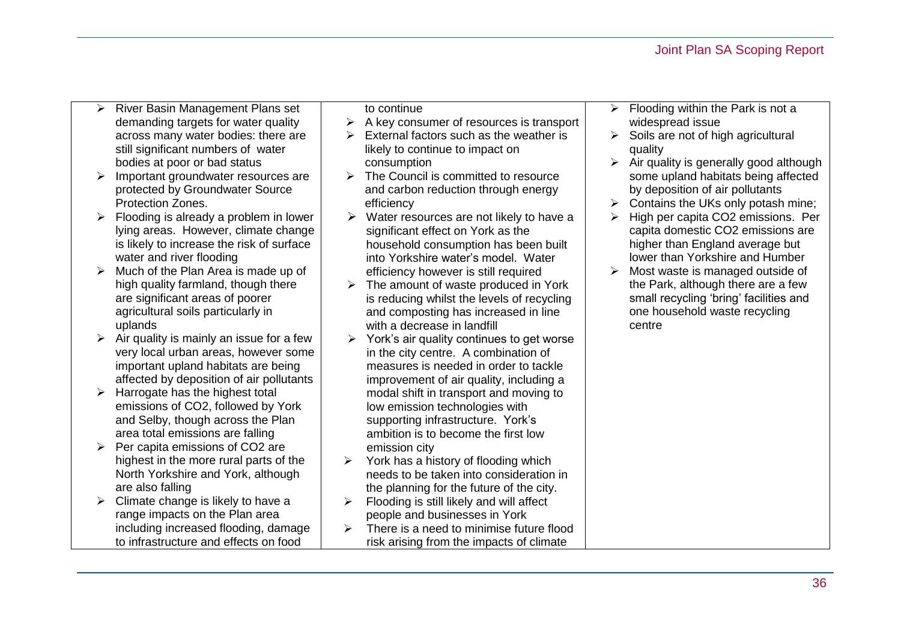- $\triangleright$  River Basin Management Plans set demanding targets for water quality across many water bodies: there are still significant numbers of water bodies at poor or bad status
- $\triangleright$  Important groundwater resources are protected by Groundwater Source Protection Zones.
- $\triangleright$  Flooding is already a problem in lower lying areas. However, climate change is likely to increase the risk of surface water and river flooding
- $\triangleright$  Much of the Plan Area is made up of high quality farmland, though there are significant areas of poorer agricultural soils particularly in uplands
- $\triangleright$  Air quality is mainly an issue for a few very local urban areas, however some important upland habitats are being affected by deposition of air pollutants
- $\triangleright$  Harrogate has the highest total emissions of CO2, followed by York and Selby, though across the Plan area total emissions are falling
- $\triangleright$  Per capita emissions of CO2 are highest in the more rural parts of the North Yorkshire and York, although are also falling
- $\triangleright$  Climate change is likely to have a range impacts on the Plan area including increased flooding, damage to infrastructure and effects on food

to continue

- $\triangleright$  A key consumer of resources is transport
- $\triangleright$  External factors such as the weather is likely to continue to impact on consumption
- $\triangleright$  The Council is committed to resource and carbon reduction through energy efficiency
- $\triangleright$  Water resources are not likely to have a significant effect on York as the household consumption has been built into Yorkshire water's model. Water efficiency however is still required
- $\triangleright$  The amount of waste produced in York is reducing whilst the levels of recycling and composting has increased in line with a decrease in landfill
- $\triangleright$  York's air quality continues to get worse in the city centre. A combination of measures is needed in order to tackle improvement of air quality, including a modal shift in transport and moving to low emission technologies with supporting infrastructure. York's ambition is to become the first low emission city
- $\triangleright$  York has a history of flooding which needs to be taken into consideration in the planning for the future of the city.
- $\triangleright$  Flooding is still likely and will affect people and businesses in York
- $\triangleright$  There is a need to minimise future flood risk arising from the impacts of climate
- $\triangleright$  Flooding within the Park is not a widespread issue
- $\triangleright$  Soils are not of high agricultural quality
- $\triangleright$  Air quality is generally good although some upland habitats being affected by deposition of air pollutants
- $\triangleright$  Contains the UKs only potash mine;
- $\triangleright$  High per capita CO2 emissions. Per capita domestic CO2 emissions are higher than England average but lower than Yorkshire and Humber
- $\triangleright$  Most waste is managed outside of the Park, although there are a few small recycling 'bring' facilities and one household waste recycling centre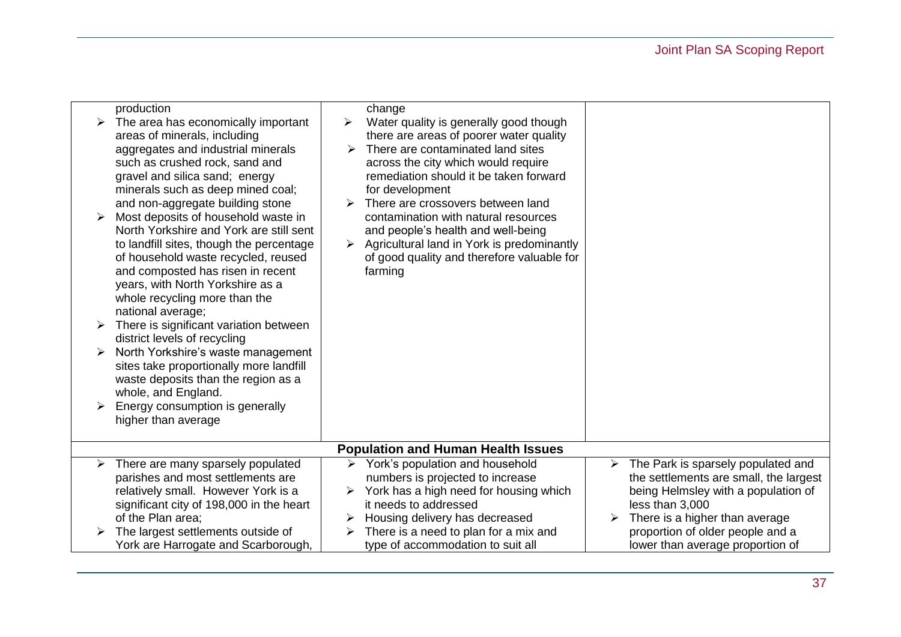| ➤ | production<br>The area has economically important<br>areas of minerals, including<br>aggregates and industrial minerals<br>such as crushed rock, sand and<br>gravel and silica sand; energy<br>minerals such as deep mined coal;<br>and non-aggregate building stone<br>Most deposits of household waste in<br>North Yorkshire and York are still sent<br>to landfill sites, though the percentage<br>of household waste recycled, reused<br>and composted has risen in recent<br>years, with North Yorkshire as a<br>whole recycling more than the<br>national average;<br>There is significant variation between<br>district levels of recycling<br>North Yorkshire's waste management<br>sites take proportionally more landfill<br>waste deposits than the region as a<br>whole, and England.<br>Energy consumption is generally<br>higher than average | change<br>Water quality is generally good though<br>≻<br>there are areas of poorer water quality<br>There are contaminated land sites<br>➤<br>across the city which would require<br>remediation should it be taken forward<br>for development<br>There are crossovers between land<br>contamination with natural resources<br>and people's health and well-being<br>Agricultural land in York is predominantly<br>$\blacktriangleright$<br>of good quality and therefore valuable for<br>farming |                                                                                                                                                                                                                                                       |  |  |
|---|-------------------------------------------------------------------------------------------------------------------------------------------------------------------------------------------------------------------------------------------------------------------------------------------------------------------------------------------------------------------------------------------------------------------------------------------------------------------------------------------------------------------------------------------------------------------------------------------------------------------------------------------------------------------------------------------------------------------------------------------------------------------------------------------------------------------------------------------------------------|---------------------------------------------------------------------------------------------------------------------------------------------------------------------------------------------------------------------------------------------------------------------------------------------------------------------------------------------------------------------------------------------------------------------------------------------------------------------------------------------------|-------------------------------------------------------------------------------------------------------------------------------------------------------------------------------------------------------------------------------------------------------|--|--|
|   | <b>Population and Human Health Issues</b>                                                                                                                                                                                                                                                                                                                                                                                                                                                                                                                                                                                                                                                                                                                                                                                                                   |                                                                                                                                                                                                                                                                                                                                                                                                                                                                                                   |                                                                                                                                                                                                                                                       |  |  |
| ➤ | There are many sparsely populated<br>parishes and most settlements are<br>relatively small. However York is a<br>significant city of 198,000 in the heart<br>of the Plan area;<br>The largest settlements outside of<br>York are Harrogate and Scarborough,                                                                                                                                                                                                                                                                                                                                                                                                                                                                                                                                                                                                 | York's population and household<br>$\blacktriangleright$<br>numbers is projected to increase<br>York has a high need for housing which<br>it needs to addressed<br>Housing delivery has decreased<br>➤<br>There is a need to plan for a mix and<br>type of accommodation to suit all                                                                                                                                                                                                              | The Park is sparsely populated and<br>➤<br>the settlements are small, the largest<br>being Helmsley with a population of<br>less than 3,000<br>There is a higher than average<br>proportion of older people and a<br>lower than average proportion of |  |  |
|   |                                                                                                                                                                                                                                                                                                                                                                                                                                                                                                                                                                                                                                                                                                                                                                                                                                                             |                                                                                                                                                                                                                                                                                                                                                                                                                                                                                                   |                                                                                                                                                                                                                                                       |  |  |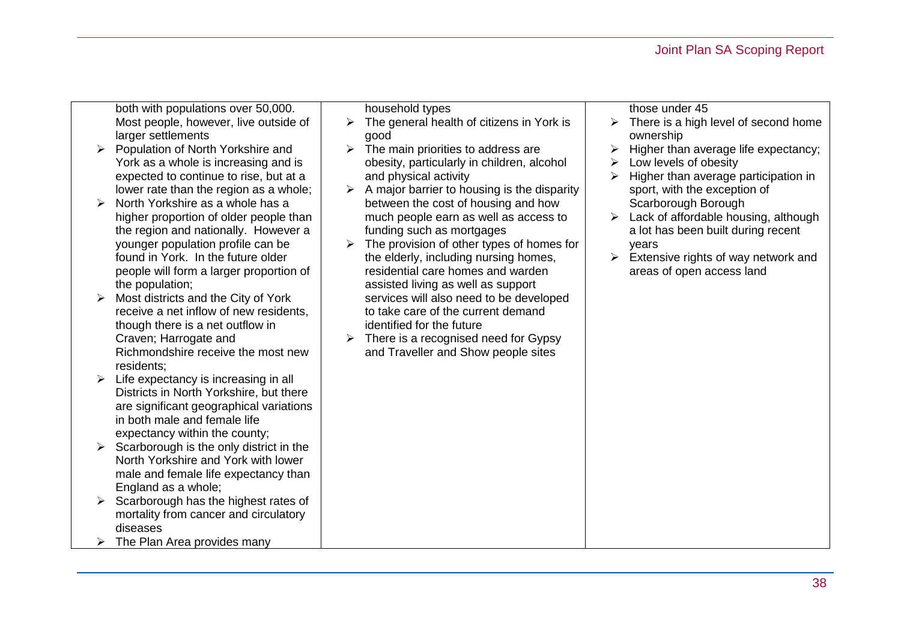## Joint Plan SA Scoping Report

both with populations over 50,000. Most people, however, live outside of larger settlements

- $\triangleright$  Population of North Yorkshire and York as a whole is increasing and is expected to continue to rise, but at a lower rate than the region as a whole;
- $\triangleright$  North Yorkshire as a whole has a higher proportion of older people than the region and nationally. However a younger population profile can be found in York. In the future older people will form a larger proportion of the population;
- $\triangleright$  Most districts and the City of York receive a net inflow of new residents, though there is a net outflow in Craven; Harrogate and Richmondshire receive the most new residents;
- $\triangleright$  Life expectancy is increasing in all Districts in North Yorkshire, but there are significant geographical variations in both male and female life expectancy within the county;
- $\triangleright$  Scarborough is the only district in the North Yorkshire and York with lower male and female life expectancy than England as a whole;
- $\triangleright$  Scarborough has the highest rates of mortality from cancer and circulatory diseases
- $\triangleright$  The Plan Area provides many

household types

- $\triangleright$  The general health of citizens in York is good
- $\triangleright$  The main priorities to address are obesity, particularly in children, alcohol and physical activity
- $\triangleright$  A major barrier to housing is the disparity between the cost of housing and how much people earn as well as access to funding such as mortgages
- $\triangleright$  The provision of other types of homes for the elderly, including nursing homes, residential care homes and warden assisted living as well as support services will also need to be developed to take care of the current demand identified for the future
- $\triangleright$  There is a recognised need for Gypsy and Traveller and Show people sites

those under 45

- $\triangleright$  There is a high level of second home ownership
- $\triangleright$  Higher than average life expectancy;
- $\triangleright$  Low levels of obesity
- $\triangleright$  Higher than average participation in sport, with the exception of Scarborough Borough
- $\triangleright$  Lack of affordable housing, although a lot has been built during recent years
- $\triangleright$  Extensive rights of way network and areas of open access land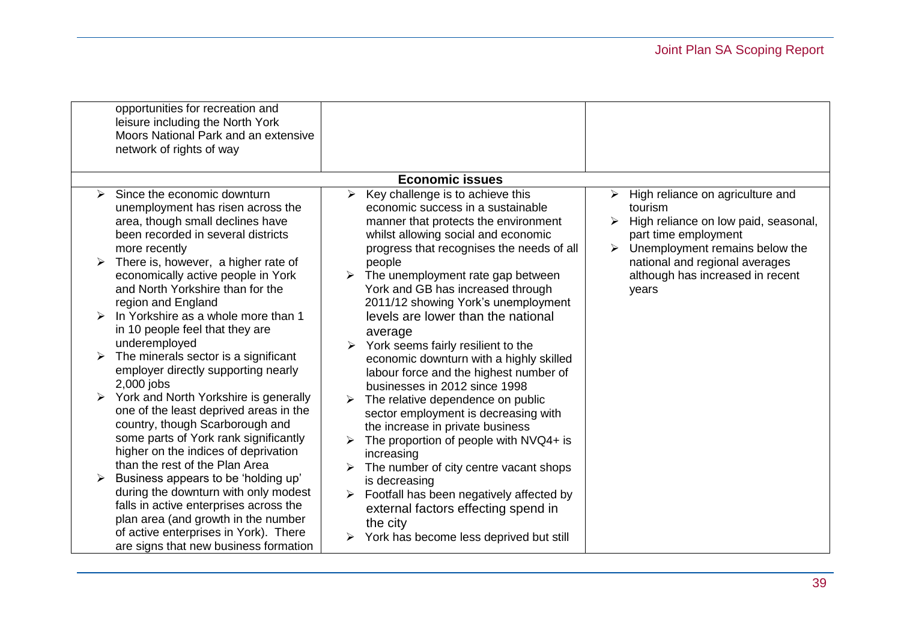|   | opportunities for recreation and<br>leisure including the North York<br>Moors National Park and an extensive<br>network of rights of way                                                                                                       |                                                                                                                                                                                                                 |                                                                                                                                                                |
|---|------------------------------------------------------------------------------------------------------------------------------------------------------------------------------------------------------------------------------------------------|-----------------------------------------------------------------------------------------------------------------------------------------------------------------------------------------------------------------|----------------------------------------------------------------------------------------------------------------------------------------------------------------|
|   |                                                                                                                                                                                                                                                | <b>Economic issues</b>                                                                                                                                                                                          |                                                                                                                                                                |
| ↘ | Since the economic downturn<br>unemployment has risen across the<br>area, though small declines have<br>been recorded in several districts<br>more recently                                                                                    | Key challenge is to achieve this<br>➤<br>economic success in a sustainable<br>manner that protects the environment<br>whilst allowing social and economic<br>progress that recognises the needs of all          | $\triangleright$ High reliance on agriculture and<br>tourism<br>High reliance on low paid, seasonal,<br>part time employment<br>Unemployment remains below the |
|   | There is, however, a higher rate of<br>economically active people in York<br>and North Yorkshire than for the<br>region and England                                                                                                            | people<br>The unemployment rate gap between<br>York and GB has increased through<br>2011/12 showing York's unemployment                                                                                         | national and regional averages<br>although has increased in recent<br>years                                                                                    |
|   | In Yorkshire as a whole more than 1<br>in 10 people feel that they are<br>underemployed                                                                                                                                                        | levels are lower than the national<br>average<br>York seems fairly resilient to the                                                                                                                             |                                                                                                                                                                |
|   | The minerals sector is a significant<br>employer directly supporting nearly<br>2,000 jobs                                                                                                                                                      | economic downturn with a highly skilled<br>labour force and the highest number of<br>businesses in 2012 since 1998                                                                                              |                                                                                                                                                                |
|   | York and North Yorkshire is generally<br>one of the least deprived areas in the<br>country, though Scarborough and<br>some parts of York rank significantly<br>higher on the indices of deprivation<br>than the rest of the Plan Area          | The relative dependence on public<br>sector employment is decreasing with<br>the increase in private business<br>The proportion of people with NVQ4+ is<br>increasing<br>The number of city centre vacant shops |                                                                                                                                                                |
|   | Business appears to be 'holding up'<br>during the downturn with only modest<br>falls in active enterprises across the<br>plan area (and growth in the number<br>of active enterprises in York). There<br>are signs that new business formation | is decreasing<br>Footfall has been negatively affected by<br>external factors effecting spend in<br>the city<br>York has become less deprived but still                                                         |                                                                                                                                                                |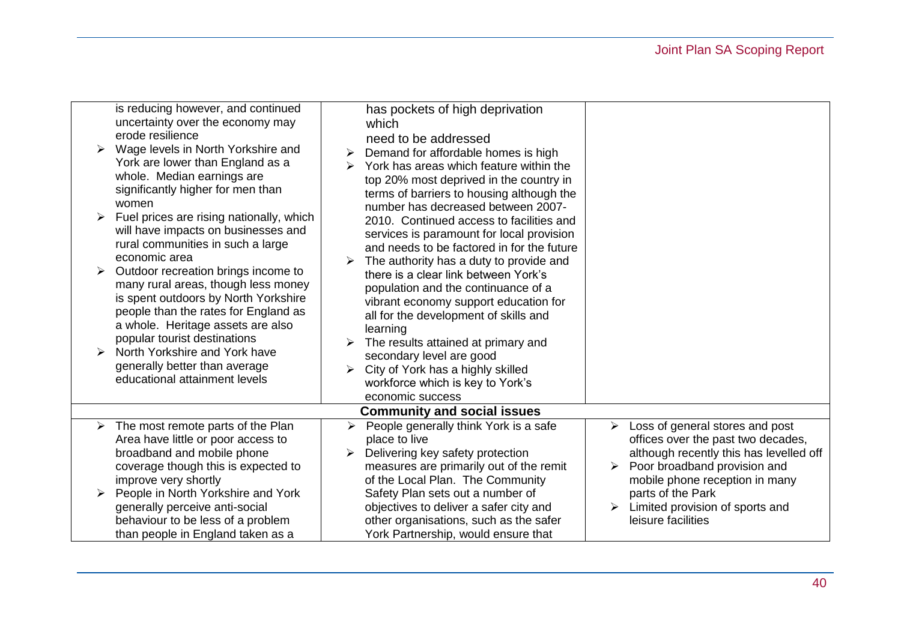| ≻<br>➤ | is reducing however, and continued<br>uncertainty over the economy may<br>erode resilience<br>Wage levels in North Yorkshire and<br>York are lower than England as a<br>whole. Median earnings are<br>significantly higher for men than<br>women<br>Fuel prices are rising nationally, which<br>will have impacts on businesses and<br>rural communities in such a large<br>economic area<br>Outdoor recreation brings income to<br>many rural areas, though less money<br>is spent outdoors by North Yorkshire<br>people than the rates for England as<br>a whole. Heritage assets are also<br>popular tourist destinations<br>North Yorkshire and York have<br>generally better than average<br>educational attainment levels | has pockets of high deprivation<br>which<br>need to be addressed<br>Demand for affordable homes is high<br>York has areas which feature within the<br>top 20% most deprived in the country in<br>terms of barriers to housing although the<br>number has decreased between 2007-<br>2010. Continued access to facilities and<br>services is paramount for local provision<br>and needs to be factored in for the future<br>The authority has a duty to provide and<br>there is a clear link between York's<br>population and the continuance of a<br>vibrant economy support education for<br>all for the development of skills and<br>learning<br>The results attained at primary and<br>secondary level are good<br>City of York has a highly skilled<br>workforce which is key to York's<br>economic success |                                                                                                                                                                                                                                                                            |
|--------|---------------------------------------------------------------------------------------------------------------------------------------------------------------------------------------------------------------------------------------------------------------------------------------------------------------------------------------------------------------------------------------------------------------------------------------------------------------------------------------------------------------------------------------------------------------------------------------------------------------------------------------------------------------------------------------------------------------------------------|-----------------------------------------------------------------------------------------------------------------------------------------------------------------------------------------------------------------------------------------------------------------------------------------------------------------------------------------------------------------------------------------------------------------------------------------------------------------------------------------------------------------------------------------------------------------------------------------------------------------------------------------------------------------------------------------------------------------------------------------------------------------------------------------------------------------|----------------------------------------------------------------------------------------------------------------------------------------------------------------------------------------------------------------------------------------------------------------------------|
|        |                                                                                                                                                                                                                                                                                                                                                                                                                                                                                                                                                                                                                                                                                                                                 | <b>Community and social issues</b>                                                                                                                                                                                                                                                                                                                                                                                                                                                                                                                                                                                                                                                                                                                                                                              |                                                                                                                                                                                                                                                                            |
|        | The most remote parts of the Plan<br>Area have little or poor access to<br>broadband and mobile phone<br>coverage though this is expected to<br>improve very shortly<br>People in North Yorkshire and York<br>generally perceive anti-social<br>behaviour to be less of a problem<br>than people in England taken as a                                                                                                                                                                                                                                                                                                                                                                                                          | People generally think York is a safe<br>➤<br>place to live<br>Delivering key safety protection<br>measures are primarily out of the remit<br>of the Local Plan. The Community<br>Safety Plan sets out a number of<br>objectives to deliver a safer city and<br>other organisations, such as the safer<br>York Partnership, would ensure that                                                                                                                                                                                                                                                                                                                                                                                                                                                                   | Loss of general stores and post<br>➤<br>offices over the past two decades,<br>although recently this has levelled off<br>Poor broadband provision and<br>➤<br>mobile phone reception in many<br>parts of the Park<br>Limited provision of sports and<br>leisure facilities |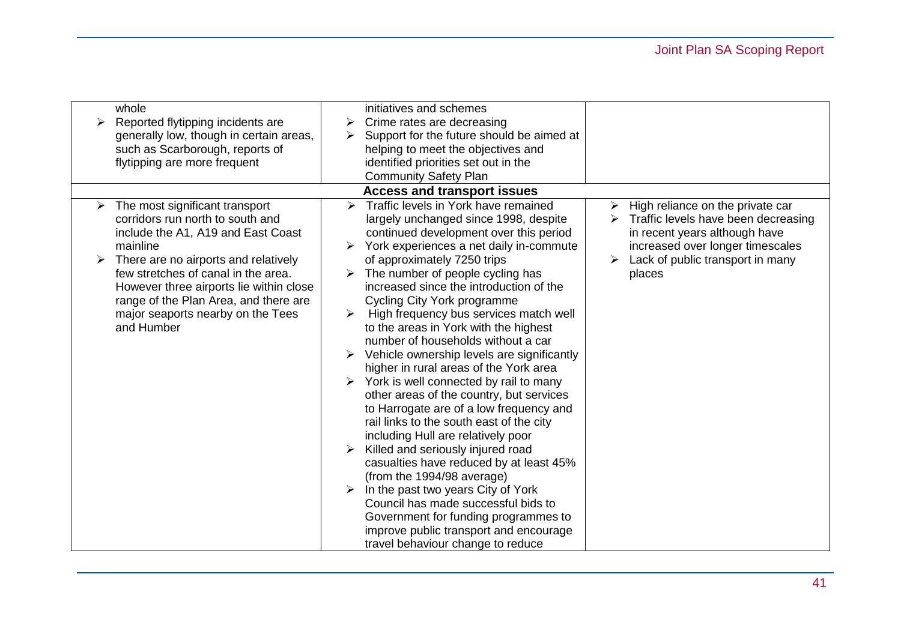# Joint Plan SA Scoping Report

| whole<br>Reported flytipping incidents are<br>➤<br>generally low, though in certain areas,<br>such as Scarborough, reports of<br>flytipping are more frequent                                                                                                                                                                                   | initiatives and schemes<br>Crime rates are decreasing<br>➤<br>Support for the future should be aimed at<br>➤<br>helping to meet the objectives and<br>identified priorities set out in the<br><b>Community Safety Plan</b>                                                                                                                                                                                                                                                                                                                                                                                                                                                                                                                                                                                                                                                                                                                                                                                                                                                                          |                                                                                                                                                                                            |
|-------------------------------------------------------------------------------------------------------------------------------------------------------------------------------------------------------------------------------------------------------------------------------------------------------------------------------------------------|-----------------------------------------------------------------------------------------------------------------------------------------------------------------------------------------------------------------------------------------------------------------------------------------------------------------------------------------------------------------------------------------------------------------------------------------------------------------------------------------------------------------------------------------------------------------------------------------------------------------------------------------------------------------------------------------------------------------------------------------------------------------------------------------------------------------------------------------------------------------------------------------------------------------------------------------------------------------------------------------------------------------------------------------------------------------------------------------------------|--------------------------------------------------------------------------------------------------------------------------------------------------------------------------------------------|
|                                                                                                                                                                                                                                                                                                                                                 | <b>Access and transport issues</b>                                                                                                                                                                                                                                                                                                                                                                                                                                                                                                                                                                                                                                                                                                                                                                                                                                                                                                                                                                                                                                                                  |                                                                                                                                                                                            |
| The most significant transport<br>≻<br>corridors run north to south and<br>include the A1, A19 and East Coast<br>mainline<br>There are no airports and relatively<br>few stretches of canal in the area.<br>However three airports lie within close<br>range of the Plan Area, and there are<br>major seaports nearby on the Tees<br>and Humber | Traffic levels in York have remained<br>$\blacktriangleright$<br>largely unchanged since 1998, despite<br>continued development over this period<br>York experiences a net daily in-commute<br>of approximately 7250 trips<br>The number of people cycling has<br>increased since the introduction of the<br>Cycling City York programme<br>High frequency bus services match well<br>➤<br>to the areas in York with the highest<br>number of households without a car<br>Vehicle ownership levels are significantly<br>higher in rural areas of the York area<br>York is well connected by rail to many<br>other areas of the country, but services<br>to Harrogate are of a low frequency and<br>rail links to the south east of the city<br>including Hull are relatively poor<br>Killed and seriously injured road<br>casualties have reduced by at least 45%<br>(from the 1994/98 average)<br>In the past two years City of York<br>Council has made successful bids to<br>Government for funding programmes to<br>improve public transport and encourage<br>travel behaviour change to reduce | High reliance on the private car<br>Traffic levels have been decreasing<br>in recent years although have<br>increased over longer timescales<br>Lack of public transport in many<br>places |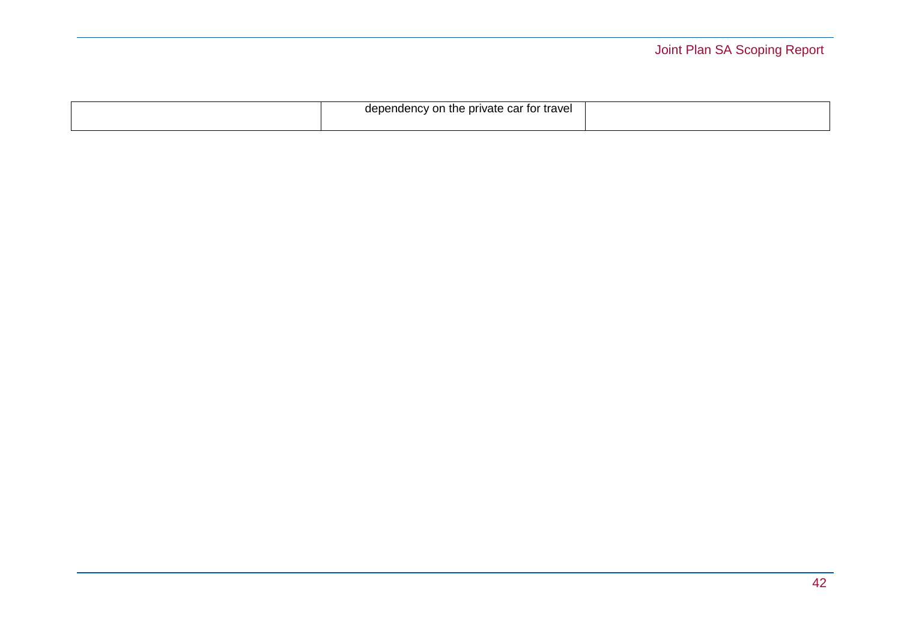|  | dependency<br>on<br>n the private car for travel |  |
|--|--------------------------------------------------|--|
|--|--------------------------------------------------|--|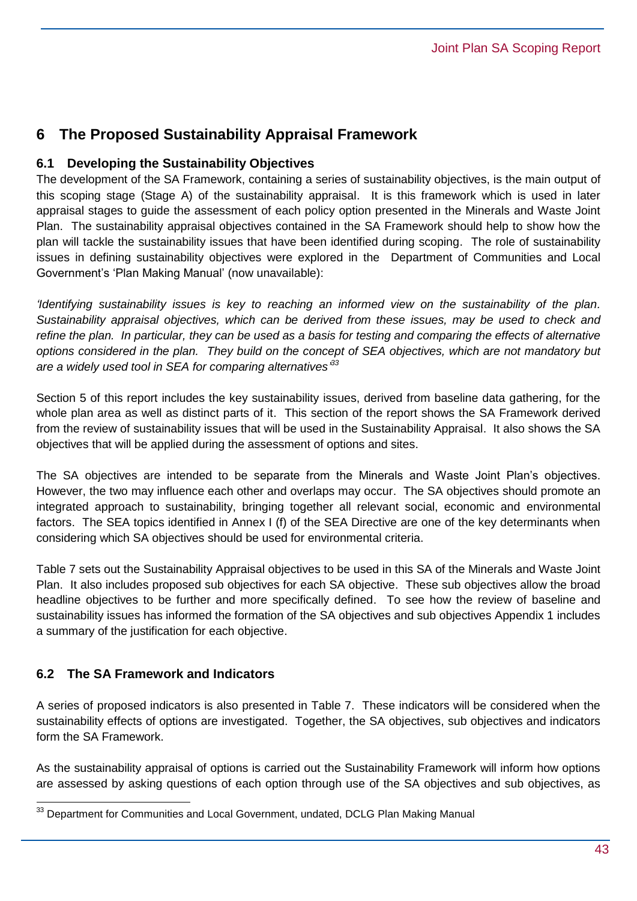## **6 The Proposed Sustainability Appraisal Framework**

## **6.1 Developing the Sustainability Objectives**

The development of the SA Framework, containing a series of sustainability objectives, is the main output of this scoping stage (Stage A) of the sustainability appraisal. It is this framework which is used in later appraisal stages to guide the assessment of each policy option presented in the Minerals and Waste Joint Plan. The sustainability appraisal objectives contained in the SA Framework should help to show how the plan will tackle the sustainability issues that have been identified during scoping. The role of sustainability issues in defining sustainability objectives were explored in the Department of Communities and Local Government's 'Plan Making Manual' (now unavailable):

*'Identifying sustainability issues is key to reaching an informed view on the sustainability of the plan. Sustainability appraisal objectives, which can be derived from these issues, may be used to check and refine the plan. In particular, they can be used as a basis for testing and comparing the effects of alternative options considered in the plan. They build on the concept of SEA objectives, which are not mandatory but are a widely used tool in SEA for comparing alternatives' 33*

Section 5 of this report includes the key sustainability issues, derived from baseline data gathering, for the whole plan area as well as distinct parts of it. This section of the report shows the SA Framework derived from the review of sustainability issues that will be used in the Sustainability Appraisal. It also shows the SA objectives that will be applied during the assessment of options and sites.

The SA objectives are intended to be separate from the Minerals and Waste Joint Plan's objectives. However, the two may influence each other and overlaps may occur. The SA objectives should promote an integrated approach to sustainability, bringing together all relevant social, economic and environmental factors. The SEA topics identified in Annex I (f) of the SEA Directive are one of the key determinants when considering which SA objectives should be used for environmental criteria.

Table 7 sets out the Sustainability Appraisal objectives to be used in this SA of the Minerals and Waste Joint Plan. It also includes proposed sub objectives for each SA objective. These sub objectives allow the broad headline objectives to be further and more specifically defined. To see how the review of baseline and sustainability issues has informed the formation of the SA objectives and sub objectives Appendix 1 includes a summary of the justification for each objective.

## **6.2 The SA Framework and Indicators**

 $\overline{a}$ 

A series of proposed indicators is also presented in Table 7. These indicators will be considered when the sustainability effects of options are investigated. Together, the SA objectives, sub objectives and indicators form the SA Framework.

As the sustainability appraisal of options is carried out the Sustainability Framework will inform how options are assessed by asking questions of each option through use of the SA objectives and sub objectives, as

<sup>33</sup> Department for Communities and Local Government, undated, DCLG Plan Making Manual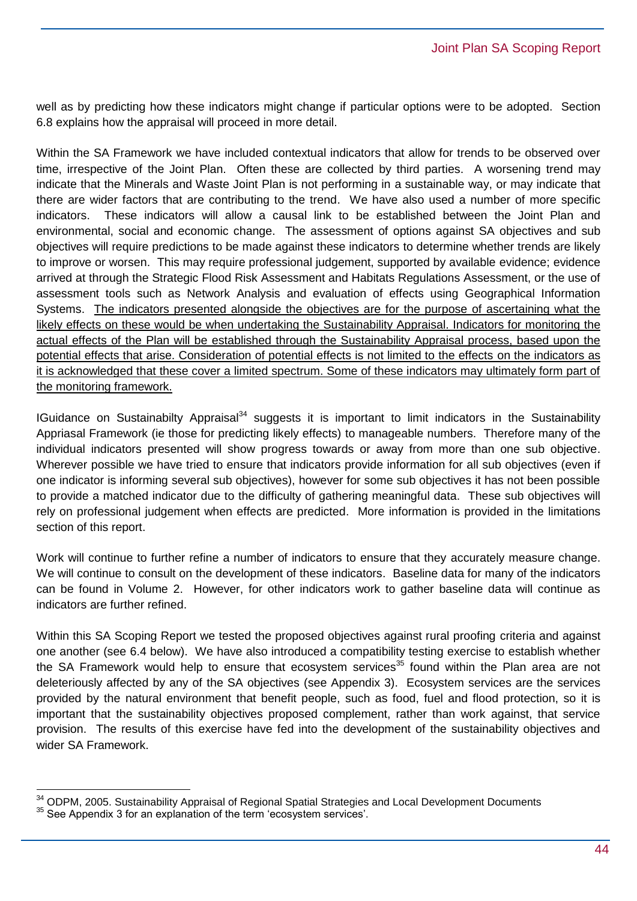well as by predicting how these indicators might change if particular options were to be adopted. Section 6.8 explains how the appraisal will proceed in more detail.

Within the SA Framework we have included contextual indicators that allow for trends to be observed over time, irrespective of the Joint Plan. Often these are collected by third parties. A worsening trend may indicate that the Minerals and Waste Joint Plan is not performing in a sustainable way, or may indicate that there are wider factors that are contributing to the trend. We have also used a number of more specific indicators. These indicators will allow a causal link to be established between the Joint Plan and environmental, social and economic change. The assessment of options against SA objectives and sub objectives will require predictions to be made against these indicators to determine whether trends are likely to improve or worsen. This may require professional judgement, supported by available evidence; evidence arrived at through the Strategic Flood Risk Assessment and Habitats Regulations Assessment, or the use of assessment tools such as Network Analysis and evaluation of effects using Geographical Information Systems. The indicators presented alongside the objectives are for the purpose of ascertaining what the likely effects on these would be when undertaking the Sustainability Appraisal. Indicators for monitoring the actual effects of the Plan will be established through the Sustainability Appraisal process, based upon the potential effects that arise. Consideration of potential effects is not limited to the effects on the indicators as it is acknowledged that these cover a limited spectrum. Some of these indicators may ultimately form part of the monitoring framework.

IGuidance on Sustainabilty Appraisal<sup>34</sup> suggests it is important to limit indicators in the Sustainability Appriasal Framework (ie those for predicting likely effects) to manageable numbers. Therefore many of the individual indicators presented will show progress towards or away from more than one sub objective. Wherever possible we have tried to ensure that indicators provide information for all sub objectives (even if one indicator is informing several sub objectives), however for some sub objectives it has not been possible to provide a matched indicator due to the difficulty of gathering meaningful data. These sub objectives will rely on professional judgement when effects are predicted. More information is provided in the limitations section of this report.

Work will continue to further refine a number of indicators to ensure that they accurately measure change. We will continue to consult on the development of these indicators. Baseline data for many of the indicators can be found in Volume 2. However, for other indicators work to gather baseline data will continue as indicators are further refined.

Within this SA Scoping Report we tested the proposed objectives against rural proofing criteria and against one another (see 6.4 below). We have also introduced a compatibility testing exercise to establish whether the SA Framework would help to ensure that ecosystem services<sup>35</sup> found within the Plan area are not deleteriously affected by any of the SA objectives (see Appendix 3). Ecosystem services are the services provided by the natural environment that benefit people, such as food, fuel and flood protection, so it is important that the sustainability objectives proposed complement, rather than work against, that service provision. The results of this exercise have fed into the development of the sustainability objectives and wider SA Framework.

<sup>&</sup>lt;sup>34</sup> ODPM, 2005. Sustainability Appraisal of Regional Spatial Strategies and Local Development Documents

<sup>&</sup>lt;sup>35</sup> See Appendix 3 for an explanation of the term 'ecosystem services'.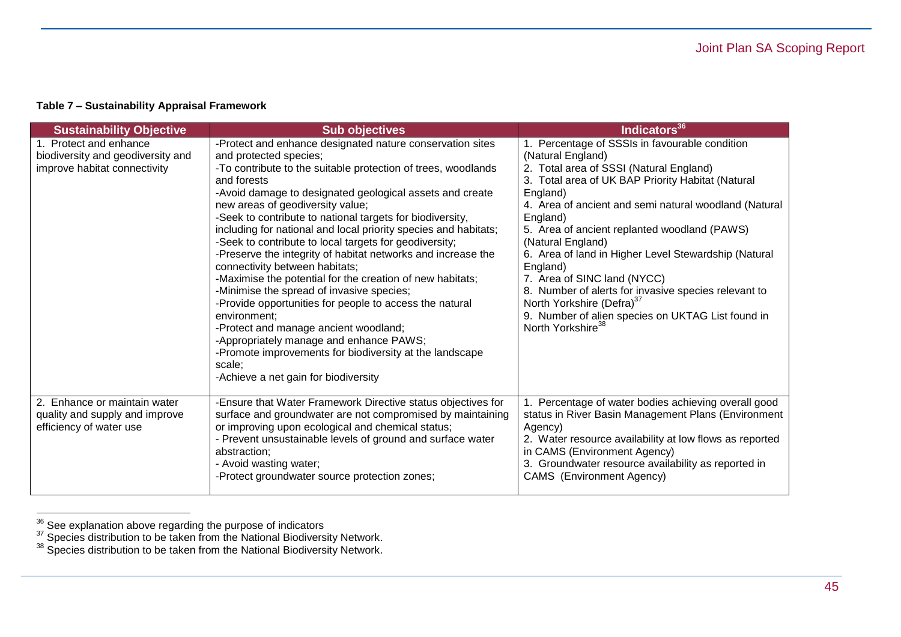| <b>Sustainability Objective</b>                                                             | <b>Sub objectives</b>                                                                                                                                                                                                                                                                                                                                                                                                                                                                                                                                                                                                                                                                                                                                                                                                                                                                                                                                 | Indicators <sup>36</sup>                                                                                                                                                                                                                                                                                                                                                                                                                                                                                                                                                                                            |
|---------------------------------------------------------------------------------------------|-------------------------------------------------------------------------------------------------------------------------------------------------------------------------------------------------------------------------------------------------------------------------------------------------------------------------------------------------------------------------------------------------------------------------------------------------------------------------------------------------------------------------------------------------------------------------------------------------------------------------------------------------------------------------------------------------------------------------------------------------------------------------------------------------------------------------------------------------------------------------------------------------------------------------------------------------------|---------------------------------------------------------------------------------------------------------------------------------------------------------------------------------------------------------------------------------------------------------------------------------------------------------------------------------------------------------------------------------------------------------------------------------------------------------------------------------------------------------------------------------------------------------------------------------------------------------------------|
| 1. Protect and enhance<br>biodiversity and geodiversity and<br>improve habitat connectivity | -Protect and enhance designated nature conservation sites<br>and protected species;<br>-To contribute to the suitable protection of trees, woodlands<br>and forests<br>-Avoid damage to designated geological assets and create<br>new areas of geodiversity value;<br>-Seek to contribute to national targets for biodiversity,<br>including for national and local priority species and habitats;<br>-Seek to contribute to local targets for geodiversity;<br>-Preserve the integrity of habitat networks and increase the<br>connectivity between habitats;<br>-Maximise the potential for the creation of new habitats;<br>-Minimise the spread of invasive species;<br>-Provide opportunities for people to access the natural<br>environment:<br>-Protect and manage ancient woodland;<br>-Appropriately manage and enhance PAWS;<br>-Promote improvements for biodiversity at the landscape<br>scale;<br>-Achieve a net gain for biodiversity | 1. Percentage of SSSIs in favourable condition<br>(Natural England)<br>2. Total area of SSSI (Natural England)<br>3. Total area of UK BAP Priority Habitat (Natural<br>England)<br>4. Area of ancient and semi natural woodland (Natural<br>England)<br>5. Area of ancient replanted woodland (PAWS)<br>(Natural England)<br>6. Area of land in Higher Level Stewardship (Natural<br>England)<br>7. Area of SINC land (NYCC)<br>8. Number of alerts for invasive species relevant to<br>North Yorkshire (Defra) <sup>37</sup><br>9. Number of alien species on UKTAG List found in<br>North Yorkshire <sup>38</sup> |
| 2. Enhance or maintain water<br>quality and supply and improve<br>efficiency of water use   | -Ensure that Water Framework Directive status objectives for<br>surface and groundwater are not compromised by maintaining<br>or improving upon ecological and chemical status;<br>- Prevent unsustainable levels of ground and surface water<br>abstraction;<br>- Avoid wasting water;<br>-Protect groundwater source protection zones;                                                                                                                                                                                                                                                                                                                                                                                                                                                                                                                                                                                                              | 1. Percentage of water bodies achieving overall good<br>status in River Basin Management Plans (Environment<br>Agency)<br>2. Water resource availability at low flows as reported<br>in CAMS (Environment Agency)<br>3. Groundwater resource availability as reported in<br>CAMS (Environment Agency)                                                                                                                                                                                                                                                                                                               |

 $36$  See explanation above regarding the purpose of indicators

 $37$  Species distribution to be taken from the National Biodiversity Network.

 $38$  Species distribution to be taken from the National Biodiversity Network.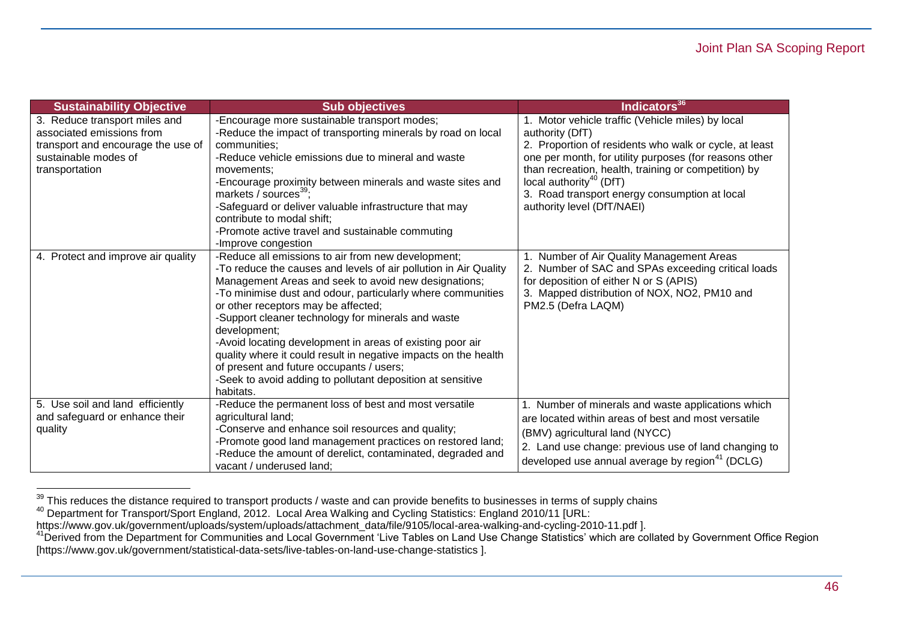| <b>Sustainability Objective</b>    | <b>Sub objectives</b>                                                                                                        | Indicators <sup>36</sup>                                    |
|------------------------------------|------------------------------------------------------------------------------------------------------------------------------|-------------------------------------------------------------|
| 3. Reduce transport miles and      | -Encourage more sustainable transport modes;                                                                                 | 1. Motor vehicle traffic (Vehicle miles) by local           |
| associated emissions from          | -Reduce the impact of transporting minerals by road on local                                                                 | authority (DfT)                                             |
| transport and encourage the use of | communities;                                                                                                                 | 2. Proportion of residents who walk or cycle, at least      |
| sustainable modes of               | -Reduce vehicle emissions due to mineral and waste                                                                           | one per month, for utility purposes (for reasons other      |
| transportation                     | movements;                                                                                                                   | than recreation, health, training or competition) by        |
|                                    | -Encourage proximity between minerals and waste sites and                                                                    | local authority <sup>40</sup> (DfT)                         |
|                                    | markets / sources <sup>39</sup> ;                                                                                            | 3. Road transport energy consumption at local               |
|                                    | -Safeguard or deliver valuable infrastructure that may                                                                       | authority level (DfT/NAEI)                                  |
|                                    | contribute to modal shift;                                                                                                   |                                                             |
|                                    | -Promote active travel and sustainable commuting                                                                             |                                                             |
|                                    | -Improve congestion                                                                                                          |                                                             |
| 4. Protect and improve air quality | -Reduce all emissions to air from new development;                                                                           | Number of Air Quality Management Areas                      |
|                                    | -To reduce the causes and levels of air pollution in Air Quality                                                             | 2. Number of SAC and SPAs exceeding critical loads          |
|                                    | Management Areas and seek to avoid new designations;                                                                         | for deposition of either N or S (APIS)                      |
|                                    | -To minimise dust and odour, particularly where communities                                                                  | 3. Mapped distribution of NOX, NO2, PM10 and                |
|                                    | or other receptors may be affected;                                                                                          | PM2.5 (Defra LAQM)                                          |
|                                    | -Support cleaner technology for minerals and waste                                                                           |                                                             |
|                                    | development;                                                                                                                 |                                                             |
|                                    | -Avoid locating development in areas of existing poor air<br>quality where it could result in negative impacts on the health |                                                             |
|                                    | of present and future occupants / users;                                                                                     |                                                             |
|                                    | -Seek to avoid adding to pollutant deposition at sensitive                                                                   |                                                             |
|                                    | habitats.                                                                                                                    |                                                             |
| 5. Use soil and land efficiently   | -Reduce the permanent loss of best and most versatile                                                                        | 1. Number of minerals and waste applications which          |
| and safeguard or enhance their     | agricultural land;                                                                                                           | are located within areas of best and most versatile         |
| quality                            | -Conserve and enhance soil resources and quality;                                                                            |                                                             |
|                                    | -Promote good land management practices on restored land;                                                                    | (BMV) agricultural land (NYCC)                              |
|                                    | -Reduce the amount of derelict, contaminated, degraded and                                                                   | 2. Land use change: previous use of land changing to        |
|                                    | vacant / underused land;                                                                                                     | developed use annual average by region <sup>41</sup> (DCLG) |

 $39$  This reduces the distance required to transport products / waste and can provide benefits to businesses in terms of supply chains

<sup>&</sup>lt;sup>40</sup> Department for Transport/Sport England, 2012. Local Area Walking and Cycling Statistics: England 2010/11 [URL:

[https://www.gov.uk/government/uploads/system/uploads/attachment\\_data/file/9105/local-area-walking-and-cycling-2010-11.pdf](https://www.gov.uk/government/uploads/system/uploads/attachment_data/file/9105/local-area-walking-and-cycling-2010-11.pdf) ].

<sup>&</sup>lt;sup>41</sup> Derived from the Department for Communities and Local Government 'Live Tables on Land Use Change Statistics' which are collated by Government Office Region [\[https://www.gov.uk/government/statistical-data-sets/live-tables-on-land-use-change-statistics](https://www.gov.uk/government/statistical-data-sets/live-tables-on-land-use-change-statistics) ].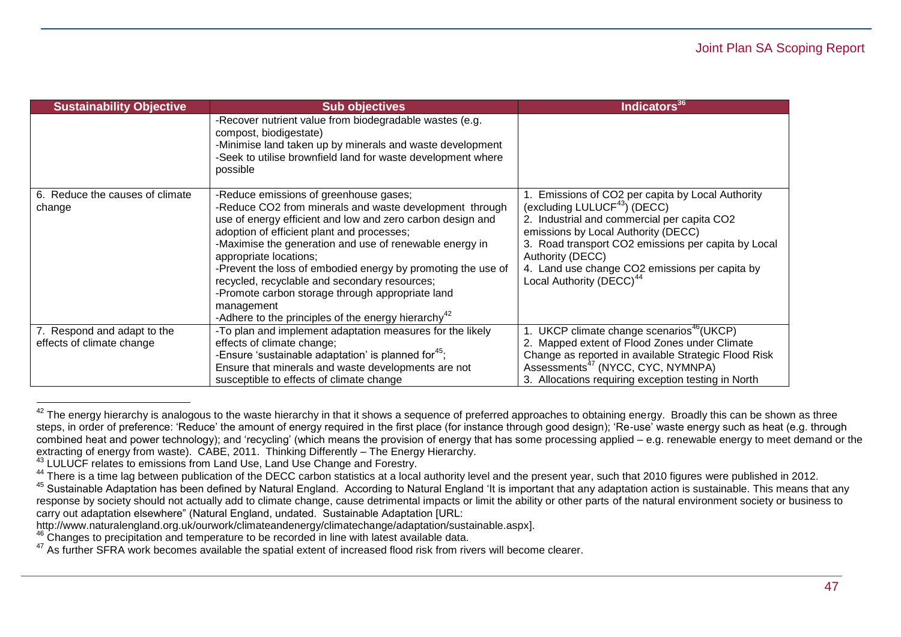| <b>Sustainability Objective</b>                          | <b>Sub objectives</b>                                                                                                                                                                                                                                                                                                                                                                                                                                                                                                                                    | Indicators <sup>36</sup>                                                                                                                                                                                                                                                                                                                              |
|----------------------------------------------------------|----------------------------------------------------------------------------------------------------------------------------------------------------------------------------------------------------------------------------------------------------------------------------------------------------------------------------------------------------------------------------------------------------------------------------------------------------------------------------------------------------------------------------------------------------------|-------------------------------------------------------------------------------------------------------------------------------------------------------------------------------------------------------------------------------------------------------------------------------------------------------------------------------------------------------|
|                                                          | -Recover nutrient value from biodegradable wastes (e.g.<br>compost, biodigestate)<br>-Minimise land taken up by minerals and waste development<br>-Seek to utilise brownfield land for waste development where<br>possible                                                                                                                                                                                                                                                                                                                               |                                                                                                                                                                                                                                                                                                                                                       |
| 6. Reduce the causes of climate<br>change                | -Reduce emissions of greenhouse gases;<br>-Reduce CO2 from minerals and waste development through<br>use of energy efficient and low and zero carbon design and<br>adoption of efficient plant and processes;<br>-Maximise the generation and use of renewable energy in<br>appropriate locations;<br>-Prevent the loss of embodied energy by promoting the use of<br>recycled, recyclable and secondary resources;<br>-Promote carbon storage through appropriate land<br>management<br>-Adhere to the principles of the energy hierarchy <sup>42</sup> | Emissions of CO2 per capita by Local Authority<br>(excluding LULUCF <sup>43</sup> ) (DECC)<br>2. Industrial and commercial per capita CO2<br>emissions by Local Authority (DECC)<br>3. Road transport CO2 emissions per capita by Local<br>Authority (DECC)<br>4. Land use change CO2 emissions per capita by<br>Local Authority (DECC) <sup>44</sup> |
| 7. Respond and adapt to the<br>effects of climate change | -To plan and implement adaptation measures for the likely<br>effects of climate change;<br>-Ensure 'sustainable adaptation' is planned for <sup>45</sup> ;<br>Ensure that minerals and waste developments are not<br>susceptible to effects of climate change                                                                                                                                                                                                                                                                                            | UKCP climate change scenarios <sup>46</sup> (UKCP)<br>2. Mapped extent of Flood Zones under Climate<br>Change as reported in available Strategic Flood Risk<br>Assessments <sup>47</sup> (NYCC, CYC, NYMNPA)<br>3. Allocations requiring exception testing in North                                                                                   |

 $^{42}$  The energy hierarchy is analogous to the waste hierarchy in that it shows a sequence of preferred approaches to obtaining energy. Broadly this can be shown as three steps, in order of preference: 'Reduce' the amount of energy required in the first place (for instance through good design); 'Re-use' waste energy such as heat (e.g. through combined heat and power technology); and 'recycling' (which means the provision of energy that has some processing applied – e.g. renewable energy to meet demand or the extracting of energy from waste). CABE, 2011. Thinking Differently – The Energy Hierarchy.

<sup>43</sup> LULUCF relates to emissions from Land Use, Land Use Change and Forestry.

<sup>&</sup>lt;sup>44</sup> There is a time lag between publication of the DECC carbon statistics at a local authority level and the present year, such that 2010 figures were published in 2012.

<sup>45</sup> Sustainable Adaptation has been defined by Natural England. According to Natural England 'It is important that any adaptation action is sustainable. This means that any response by society should not actually add to climate change, cause detrimental impacts or limit the ability or other parts of the natural environment society or business to carry out adaptation elsewhere" (Natural England, undated. Sustainable Adaptation [URL:

[http://www.naturalengland.org.uk/ourwork/climateandenergy/climatechange/adaptation/sustainable.aspx\]](http://www.naturalengland.org.uk/ourwork/climateandenergy/climatechange/adaptation/sustainable.aspx).

 $46$  Changes to precipitation and temperature to be recorded in line with latest available data.

<sup>47</sup> As further SFRA work becomes available the spatial extent of increased flood risk from rivers will become clearer.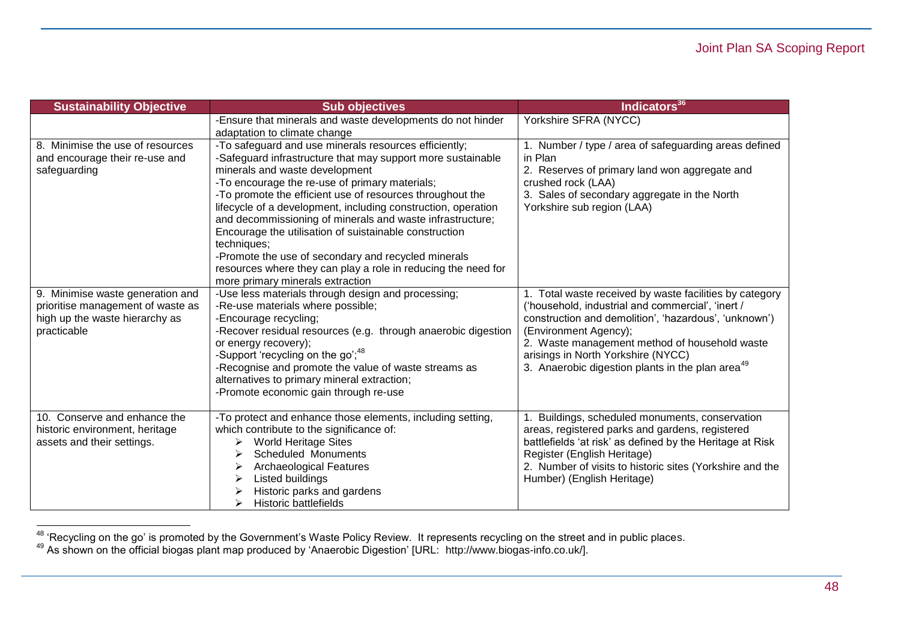| <b>Sustainability Objective</b>   | <b>Sub objectives</b>                                         | Indicators <sup>36</sup>                                     |
|-----------------------------------|---------------------------------------------------------------|--------------------------------------------------------------|
|                                   | -Ensure that minerals and waste developments do not hinder    | Yorkshire SFRA (NYCC)                                        |
|                                   | adaptation to climate change                                  |                                                              |
| 8. Minimise the use of resources  | -To safeguard and use minerals resources efficiently;         | 1. Number / type / area of safeguarding areas defined        |
| and encourage their re-use and    | -Safeguard infrastructure that may support more sustainable   | in Plan                                                      |
| safeguarding                      | minerals and waste development                                | 2. Reserves of primary land won aggregate and                |
|                                   | -To encourage the re-use of primary materials;                | crushed rock (LAA)                                           |
|                                   | -To promote the efficient use of resources throughout the     | 3. Sales of secondary aggregate in the North                 |
|                                   | lifecycle of a development, including construction, operation | Yorkshire sub region (LAA)                                   |
|                                   | and decommissioning of minerals and waste infrastructure;     |                                                              |
|                                   | Encourage the utilisation of suistainable construction        |                                                              |
|                                   | techniques;                                                   |                                                              |
|                                   | -Promote the use of secondary and recycled minerals           |                                                              |
|                                   | resources where they can play a role in reducing the need for |                                                              |
|                                   | more primary minerals extraction                              |                                                              |
| 9. Minimise waste generation and  | -Use less materials through design and processing;            | 1. Total waste received by waste facilities by category      |
| prioritise management of waste as | -Re-use materials where possible;                             | ('household, industrial and commercial', 'inert /            |
| high up the waste hierarchy as    | -Encourage recycling;                                         | construction and demolition', 'hazardous', 'unknown')        |
| practicable                       | -Recover residual resources (e.g. through anaerobic digestion | (Environment Agency);                                        |
|                                   | or energy recovery);                                          | 2. Waste management method of household waste                |
|                                   | -Support 'recycling on the go', <sup>48</sup>                 | arisings in North Yorkshire (NYCC)                           |
|                                   | -Recognise and promote the value of waste streams as          | 3. Anaerobic digestion plants in the plan area <sup>49</sup> |
|                                   | alternatives to primary mineral extraction;                   |                                                              |
|                                   | -Promote economic gain through re-use                         |                                                              |
|                                   |                                                               |                                                              |
| 10. Conserve and enhance the      | -To protect and enhance those elements, including setting,    | Buildings, scheduled monuments, conservation                 |
| historic environment, heritage    | which contribute to the significance of:                      | areas, registered parks and gardens, registered              |
| assets and their settings.        | <b>World Heritage Sites</b><br>➤                              | battlefields 'at risk' as defined by the Heritage at Risk    |
|                                   | Scheduled Monuments                                           | Register (English Heritage)                                  |
|                                   | <b>Archaeological Features</b>                                | 2. Number of visits to historic sites (Yorkshire and the     |
|                                   | Listed buildings                                              | Humber) (English Heritage)                                   |
|                                   | Historic parks and gardens                                    |                                                              |
|                                   | Historic battlefields                                         |                                                              |

<sup>&</sup>lt;sup>48</sup> 'Recycling on the go' is promoted by the Government's Waste Policy Review. It represents recycling on the street and in public places.

<sup>49</sup> As shown on the official biogas plant map produced by 'Anaerobic Digestion' [URL: [http://www.biogas-info.co.uk/\]](http://www.biogas-info.co.uk/).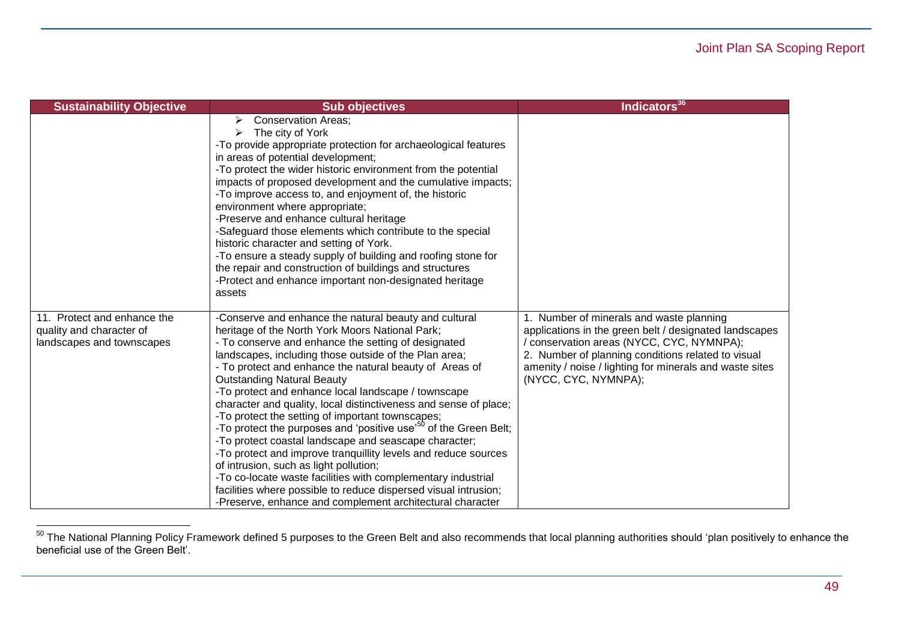| <b>Sustainability Objective</b>                                                      | <b>Sub objectives</b>                                                                                                                                                                                                                                                                                                                                                                                                                                                                                                                                                                                                                                                                                                                                                                                                                                                                                                                                        | Indicators <sup>36</sup>                                                                                                                                                                                                                                                                 |
|--------------------------------------------------------------------------------------|--------------------------------------------------------------------------------------------------------------------------------------------------------------------------------------------------------------------------------------------------------------------------------------------------------------------------------------------------------------------------------------------------------------------------------------------------------------------------------------------------------------------------------------------------------------------------------------------------------------------------------------------------------------------------------------------------------------------------------------------------------------------------------------------------------------------------------------------------------------------------------------------------------------------------------------------------------------|------------------------------------------------------------------------------------------------------------------------------------------------------------------------------------------------------------------------------------------------------------------------------------------|
|                                                                                      | <b>Conservation Areas;</b><br>➤<br>The city of York<br>➤<br>-To provide appropriate protection for archaeological features<br>in areas of potential development;<br>-To protect the wider historic environment from the potential<br>impacts of proposed development and the cumulative impacts;<br>-To improve access to, and enjoyment of, the historic<br>environment where appropriate;<br>-Preserve and enhance cultural heritage<br>-Safeguard those elements which contribute to the special<br>historic character and setting of York.<br>-To ensure a steady supply of building and roofing stone for<br>the repair and construction of buildings and structures<br>-Protect and enhance important non-designated heritage<br>assets                                                                                                                                                                                                                |                                                                                                                                                                                                                                                                                          |
| 11. Protect and enhance the<br>quality and character of<br>landscapes and townscapes | -Conserve and enhance the natural beauty and cultural<br>heritage of the North York Moors National Park;<br>- To conserve and enhance the setting of designated<br>landscapes, including those outside of the Plan area;<br>- To protect and enhance the natural beauty of Areas of<br><b>Outstanding Natural Beauty</b><br>-To protect and enhance local landscape / townscape<br>character and quality, local distinctiveness and sense of place;<br>-To protect the setting of important townscapes;<br>-To protect the purposes and 'positive use' <sup>50</sup> of the Green Belt;<br>-To protect coastal landscape and seascape character;<br>-To protect and improve tranquillity levels and reduce sources<br>of intrusion, such as light pollution;<br>-To co-locate waste facilities with complementary industrial<br>facilities where possible to reduce dispersed visual intrusion;<br>-Preserve, enhance and complement architectural character | 1. Number of minerals and waste planning<br>applications in the green belt / designated landscapes<br>/ conservation areas (NYCC, CYC, NYMNPA);<br>2. Number of planning conditions related to visual<br>amenity / noise / lighting for minerals and waste sites<br>(NYCC, CYC, NYMNPA); |

<sup>&</sup>lt;sup>50</sup> The National Planning Policy Framework defined 5 purposes to the Green Belt and also recommends that local planning authorities should 'plan positively to enhance the beneficial use of the Green Belt'.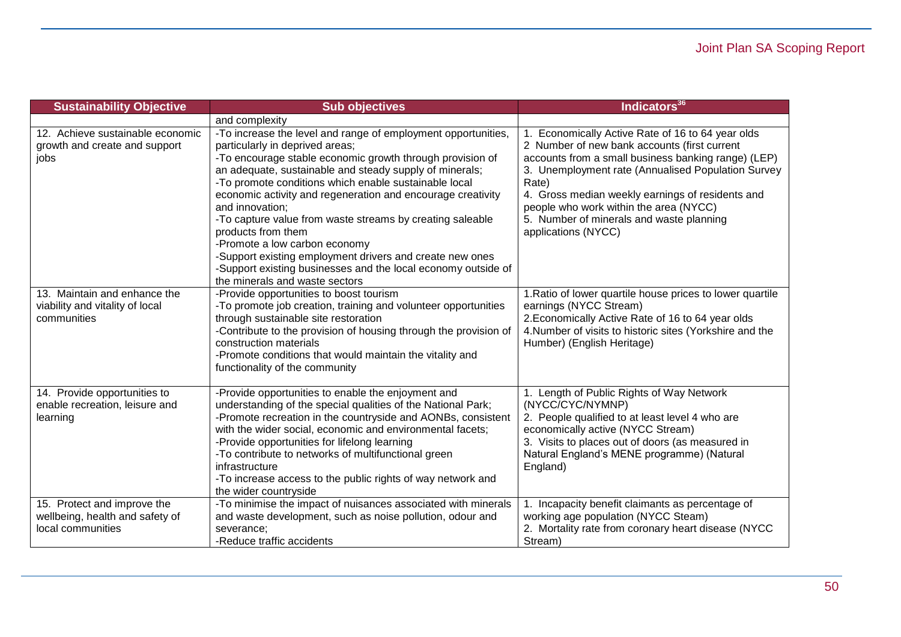| <b>Sustainability Objective</b>                                                     | <b>Sub objectives</b>                                                                                                                                                                                                                                                                                                                                                                                                                                                                                                                                                                                                                                  | Indicators <sup>36</sup>                                                                                                                                                                                                                                                                                                                                                                 |
|-------------------------------------------------------------------------------------|--------------------------------------------------------------------------------------------------------------------------------------------------------------------------------------------------------------------------------------------------------------------------------------------------------------------------------------------------------------------------------------------------------------------------------------------------------------------------------------------------------------------------------------------------------------------------------------------------------------------------------------------------------|------------------------------------------------------------------------------------------------------------------------------------------------------------------------------------------------------------------------------------------------------------------------------------------------------------------------------------------------------------------------------------------|
|                                                                                     | and complexity                                                                                                                                                                                                                                                                                                                                                                                                                                                                                                                                                                                                                                         |                                                                                                                                                                                                                                                                                                                                                                                          |
| 12. Achieve sustainable economic<br>growth and create and support<br>jobs           | -To increase the level and range of employment opportunities,<br>particularly in deprived areas;<br>-To encourage stable economic growth through provision of<br>an adequate, sustainable and steady supply of minerals;<br>-To promote conditions which enable sustainable local<br>economic activity and regeneration and encourage creativity<br>and innovation;<br>-To capture value from waste streams by creating saleable<br>products from them<br>-Promote a low carbon economy<br>-Support existing employment drivers and create new ones<br>-Support existing businesses and the local economy outside of<br>the minerals and waste sectors | 1. Economically Active Rate of 16 to 64 year olds<br>2 Number of new bank accounts (first current<br>accounts from a small business banking range) (LEP)<br>3. Unemployment rate (Annualised Population Survey<br>Rate)<br>4. Gross median weekly earnings of residents and<br>people who work within the area (NYCC)<br>5. Number of minerals and waste planning<br>applications (NYCC) |
| 13. Maintain and enhance the<br>viability and vitality of local<br>communities      | -Provide opportunities to boost tourism<br>-To promote job creation, training and volunteer opportunities<br>through sustainable site restoration<br>-Contribute to the provision of housing through the provision of<br>construction materials<br>-Promote conditions that would maintain the vitality and<br>functionality of the community                                                                                                                                                                                                                                                                                                          | 1. Ratio of lower quartile house prices to lower quartile<br>earnings (NYCC Stream)<br>2. Economically Active Rate of 16 to 64 year olds<br>4. Number of visits to historic sites (Yorkshire and the<br>Humber) (English Heritage)                                                                                                                                                       |
| 14. Provide opportunities to<br>enable recreation, leisure and<br>learning          | -Provide opportunities to enable the enjoyment and<br>understanding of the special qualities of the National Park;<br>-Promote recreation in the countryside and AONBs, consistent<br>with the wider social, economic and environmental facets;<br>-Provide opportunities for lifelong learning<br>-To contribute to networks of multifunctional green<br>infrastructure<br>-To increase access to the public rights of way network and<br>the wider countryside                                                                                                                                                                                       | 1. Length of Public Rights of Way Network<br>(NYCC/CYC/NYMNP)<br>2. People qualified to at least level 4 who are<br>economically active (NYCC Stream)<br>3. Visits to places out of doors (as measured in<br>Natural England's MENE programme) (Natural<br>England)                                                                                                                      |
| 15. Protect and improve the<br>wellbeing, health and safety of<br>local communities | -To minimise the impact of nuisances associated with minerals<br>and waste development, such as noise pollution, odour and<br>severance;<br>-Reduce traffic accidents                                                                                                                                                                                                                                                                                                                                                                                                                                                                                  | Incapacity benefit claimants as percentage of<br>working age population (NYCC Steam)<br>2. Mortality rate from coronary heart disease (NYCC<br>Stream)                                                                                                                                                                                                                                   |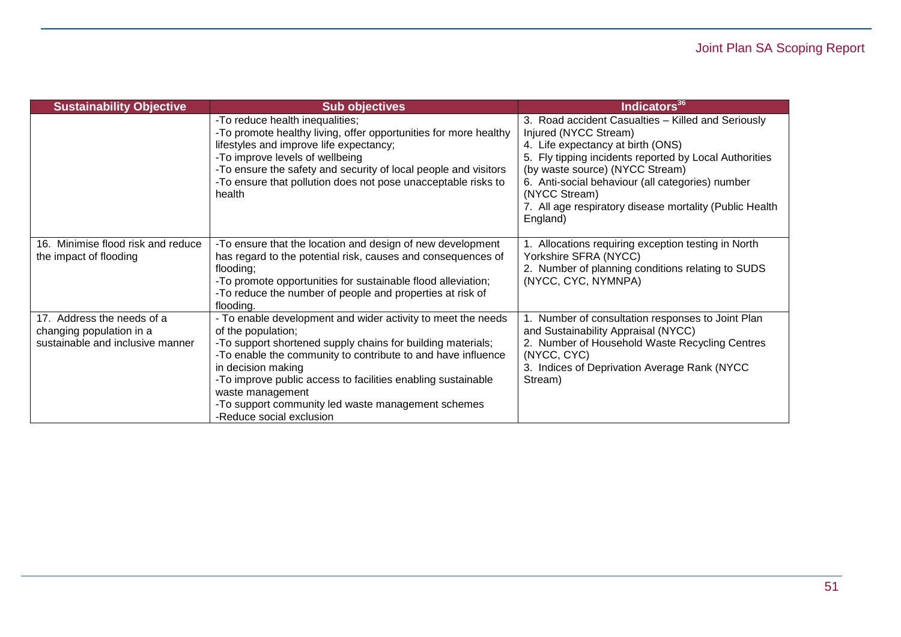| <b>Sustainability Objective</b>                                                            | <b>Sub objectives</b>                                                                                                                                                                                                                                                                                                                                                                                         | Indicators <sup>36</sup>                                                                                                                                                                                                                                                                                                                                  |
|--------------------------------------------------------------------------------------------|---------------------------------------------------------------------------------------------------------------------------------------------------------------------------------------------------------------------------------------------------------------------------------------------------------------------------------------------------------------------------------------------------------------|-----------------------------------------------------------------------------------------------------------------------------------------------------------------------------------------------------------------------------------------------------------------------------------------------------------------------------------------------------------|
|                                                                                            | -To reduce health inequalities;<br>-To promote healthy living, offer opportunities for more healthy<br>lifestyles and improve life expectancy;<br>-To improve levels of wellbeing<br>-To ensure the safety and security of local people and visitors<br>-To ensure that pollution does not pose unacceptable risks to<br>health                                                                               | 3. Road accident Casualties - Killed and Seriously<br>Injured (NYCC Stream)<br>4. Life expectancy at birth (ONS)<br>5. Fly tipping incidents reported by Local Authorities<br>(by waste source) (NYCC Stream)<br>6. Anti-social behaviour (all categories) number<br>(NYCC Stream)<br>7. All age respiratory disease mortality (Public Health<br>England) |
| Minimise flood risk and reduce<br>16.<br>the impact of flooding                            | -To ensure that the location and design of new development<br>has regard to the potential risk, causes and consequences of<br>flooding;<br>-To promote opportunities for sustainable flood alleviation;<br>-To reduce the number of people and properties at risk of<br>flooding.                                                                                                                             | Allocations requiring exception testing in North<br>Yorkshire SFRA (NYCC)<br>2. Number of planning conditions relating to SUDS<br>(NYCC, CYC, NYMNPA)                                                                                                                                                                                                     |
| 17. Address the needs of a<br>changing population in a<br>sustainable and inclusive manner | - To enable development and wider activity to meet the needs<br>of the population;<br>-To support shortened supply chains for building materials;<br>-To enable the community to contribute to and have influence<br>in decision making<br>-To improve public access to facilities enabling sustainable<br>waste management<br>-To support community led waste management schemes<br>-Reduce social exclusion | 1. Number of consultation responses to Joint Plan<br>and Sustainability Appraisal (NYCC)<br>2. Number of Household Waste Recycling Centres<br>(NYCC, CYC)<br>3. Indices of Deprivation Average Rank (NYCC)<br>Stream)                                                                                                                                     |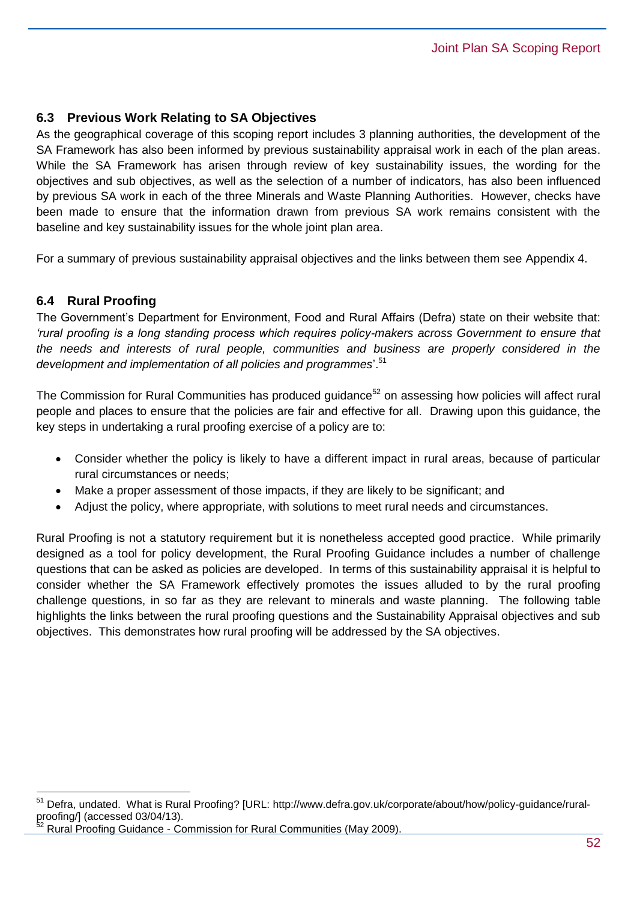## **6.3 Previous Work Relating to SA Objectives**

As the geographical coverage of this scoping report includes 3 planning authorities, the development of the SA Framework has also been informed by previous sustainability appraisal work in each of the plan areas. While the SA Framework has arisen through review of key sustainability issues, the wording for the objectives and sub objectives, as well as the selection of a number of indicators, has also been influenced by previous SA work in each of the three Minerals and Waste Planning Authorities. However, checks have been made to ensure that the information drawn from previous SA work remains consistent with the baseline and key sustainability issues for the whole joint plan area.

For a summary of previous sustainability appraisal objectives and the links between them see Appendix 4.

## **6.4 Rural Proofing**

 $\overline{a}$ 

The Government's Department for Environment, Food and Rural Affairs (Defra) state on their website that: *'rural proofing is a long standing process which requires policy-makers across Government to ensure that the needs and interests of rural people, communities and business are properly considered in the development and implementation of all policies and programmes*'.<sup>51</sup>

The Commission for Rural Communities has produced quidance<sup>52</sup> on assessing how policies will affect rural people and places to ensure that the policies are fair and effective for all. Drawing upon this guidance, the key steps in undertaking a rural proofing exercise of a policy are to:

- Consider whether the policy is likely to have a different impact in rural areas, because of particular rural circumstances or needs;
- Make a proper assessment of those impacts, if they are likely to be significant; and
- Adjust the policy, where appropriate, with solutions to meet rural needs and circumstances.

Rural Proofing is not a statutory requirement but it is nonetheless accepted good practice. While primarily designed as a tool for policy development, the Rural Proofing Guidance includes a number of challenge questions that can be asked as policies are developed. In terms of this sustainability appraisal it is helpful to consider whether the SA Framework effectively promotes the issues alluded to by the rural proofing challenge questions, in so far as they are relevant to minerals and waste planning. The following table highlights the links between the rural proofing questions and the Sustainability Appraisal objectives and sub objectives. This demonstrates how rural proofing will be addressed by the SA objectives.

<sup>51</sup> Defra, undated. What is Rural Proofing? [URL: [http://www.defra.gov.uk/corporate/about/how/policy-guidance/rural](http://www.defra.gov.uk/corporate/about/how/policy-guidance/rural-proofing/)[proofing/\]](http://www.defra.gov.uk/corporate/about/how/policy-guidance/rural-proofing/) (accessed 03/04/13).

<sup>52</sup> Rural Proofing Guidance - Commission for Rural Communities (May 2009).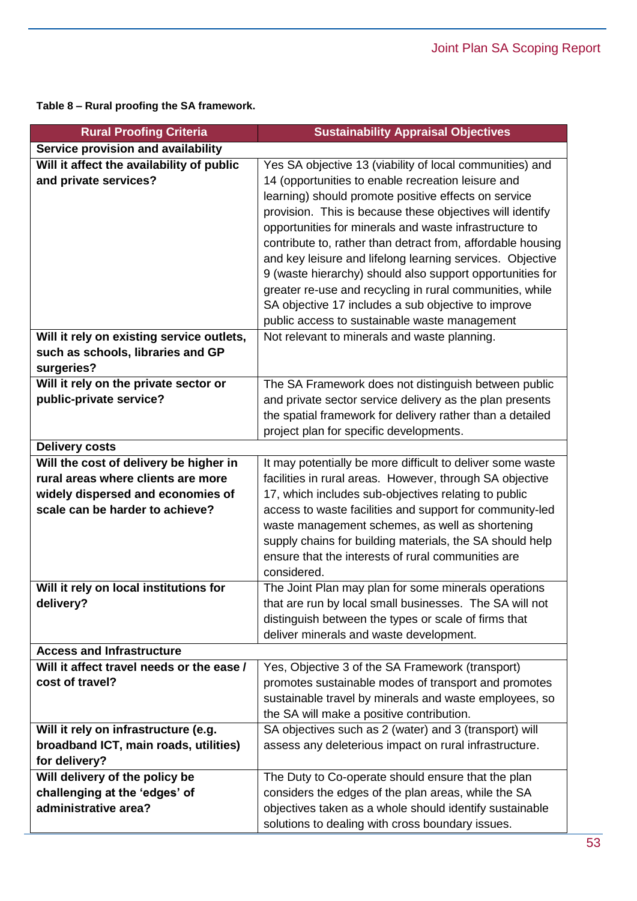**Table 8 – Rural proofing the SA framework.**

| <b>Rural Proofing Criteria</b>                                  | <b>Sustainability Appraisal Objectives</b>                                                                     |
|-----------------------------------------------------------------|----------------------------------------------------------------------------------------------------------------|
| Service provision and availability                              |                                                                                                                |
| Will it affect the availability of public                       | Yes SA objective 13 (viability of local communities) and                                                       |
| and private services?                                           | 14 (opportunities to enable recreation leisure and                                                             |
|                                                                 | learning) should promote positive effects on service                                                           |
|                                                                 | provision. This is because these objectives will identify                                                      |
|                                                                 | opportunities for minerals and waste infrastructure to                                                         |
|                                                                 | contribute to, rather than detract from, affordable housing                                                    |
|                                                                 | and key leisure and lifelong learning services. Objective                                                      |
|                                                                 | 9 (waste hierarchy) should also support opportunities for                                                      |
|                                                                 | greater re-use and recycling in rural communities, while                                                       |
|                                                                 | SA objective 17 includes a sub objective to improve                                                            |
|                                                                 | public access to sustainable waste management                                                                  |
| Will it rely on existing service outlets,                       | Not relevant to minerals and waste planning.                                                                   |
| such as schools, libraries and GP                               |                                                                                                                |
| surgeries?                                                      |                                                                                                                |
| Will it rely on the private sector or                           | The SA Framework does not distinguish between public                                                           |
| public-private service?                                         | and private sector service delivery as the plan presents                                                       |
|                                                                 | the spatial framework for delivery rather than a detailed                                                      |
|                                                                 | project plan for specific developments.                                                                        |
| <b>Delivery costs</b>                                           |                                                                                                                |
| Will the cost of delivery be higher in                          | It may potentially be more difficult to deliver some waste                                                     |
| rural areas where clients are more                              | facilities in rural areas. However, through SA objective                                                       |
| widely dispersed and economies of                               | 17, which includes sub-objectives relating to public                                                           |
| scale can be harder to achieve?                                 | access to waste facilities and support for community-led                                                       |
|                                                                 | waste management schemes, as well as shortening                                                                |
|                                                                 | supply chains for building materials, the SA should help                                                       |
|                                                                 | ensure that the interests of rural communities are                                                             |
|                                                                 | considered.                                                                                                    |
| Will it rely on local institutions for                          | The Joint Plan may plan for some minerals operations                                                           |
| delivery?                                                       | that are run by local small businesses. The SA will not                                                        |
|                                                                 | distinguish between the types or scale of firms that                                                           |
|                                                                 | deliver minerals and waste development.                                                                        |
| <b>Access and Infrastructure</b>                                |                                                                                                                |
| Will it affect travel needs or the ease /                       | Yes, Objective 3 of the SA Framework (transport)                                                               |
| cost of travel?                                                 | promotes sustainable modes of transport and promotes                                                           |
|                                                                 | sustainable travel by minerals and waste employees, so                                                         |
|                                                                 | the SA will make a positive contribution.                                                                      |
| Will it rely on infrastructure (e.g.                            | SA objectives such as 2 (water) and 3 (transport) will                                                         |
| broadband ICT, main roads, utilities)                           | assess any deleterious impact on rural infrastructure.                                                         |
| for delivery?                                                   |                                                                                                                |
| Will delivery of the policy be<br>challenging at the 'edges' of | The Duty to Co-operate should ensure that the plan                                                             |
| administrative area?                                            | considers the edges of the plan areas, while the SA<br>objectives taken as a whole should identify sustainable |
|                                                                 |                                                                                                                |
|                                                                 | solutions to dealing with cross boundary issues.                                                               |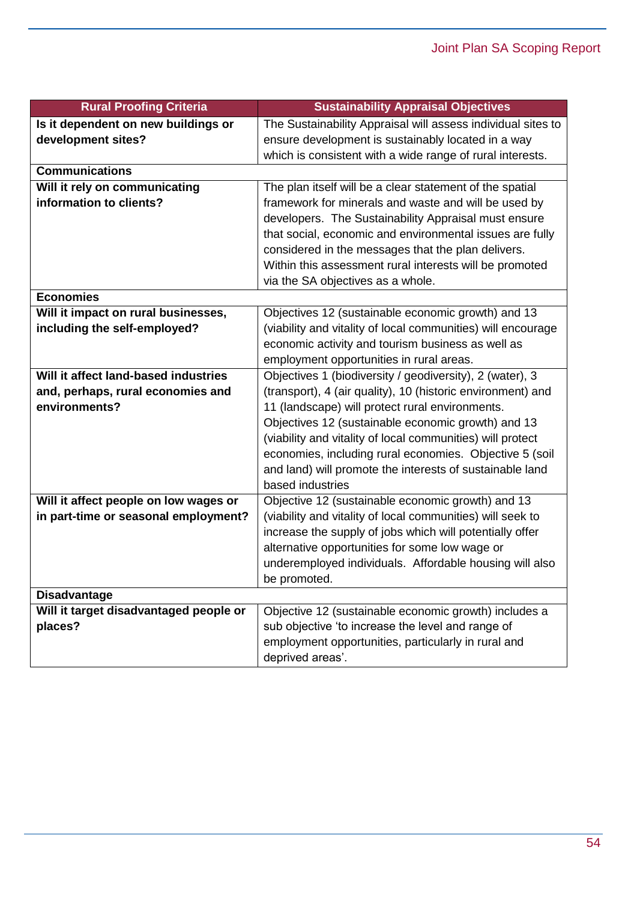| <b>Rural Proofing Criteria</b>         | <b>Sustainability Appraisal Objectives</b>                                   |
|----------------------------------------|------------------------------------------------------------------------------|
| Is it dependent on new buildings or    | The Sustainability Appraisal will assess individual sites to                 |
| development sites?                     | ensure development is sustainably located in a way                           |
|                                        | which is consistent with a wide range of rural interests.                    |
| <b>Communications</b>                  |                                                                              |
| Will it rely on communicating          | The plan itself will be a clear statement of the spatial                     |
| information to clients?                | framework for minerals and waste and will be used by                         |
|                                        | developers. The Sustainability Appraisal must ensure                         |
|                                        | that social, economic and environmental issues are fully                     |
|                                        | considered in the messages that the plan delivers.                           |
|                                        | Within this assessment rural interests will be promoted                      |
|                                        | via the SA objectives as a whole.                                            |
| <b>Economies</b>                       |                                                                              |
| Will it impact on rural businesses,    | Objectives 12 (sustainable economic growth) and 13                           |
| including the self-employed?           | (viability and vitality of local communities) will encourage                 |
|                                        | economic activity and tourism business as well as                            |
|                                        | employment opportunities in rural areas.                                     |
| Will it affect land-based industries   | Objectives 1 (biodiversity / geodiversity), 2 (water), 3                     |
| and, perhaps, rural economies and      | (transport), 4 (air quality), 10 (historic environment) and                  |
| environments?                          | 11 (landscape) will protect rural environments.                              |
|                                        | Objectives 12 (sustainable economic growth) and 13                           |
|                                        | (viability and vitality of local communities) will protect                   |
|                                        | economies, including rural economies. Objective 5 (soil                      |
|                                        | and land) will promote the interests of sustainable land<br>based industries |
| Will it affect people on low wages or  | Objective 12 (sustainable economic growth) and 13                            |
| in part-time or seasonal employment?   | (viability and vitality of local communities) will seek to                   |
|                                        | increase the supply of jobs which will potentially offer                     |
|                                        | alternative opportunities for some low wage or                               |
|                                        | underemployed individuals. Affordable housing will also                      |
|                                        | be promoted.                                                                 |
| <b>Disadvantage</b>                    |                                                                              |
| Will it target disadvantaged people or | Objective 12 (sustainable economic growth) includes a                        |
| places?                                | sub objective 'to increase the level and range of                            |
|                                        | employment opportunities, particularly in rural and                          |
|                                        | deprived areas'.                                                             |
|                                        |                                                                              |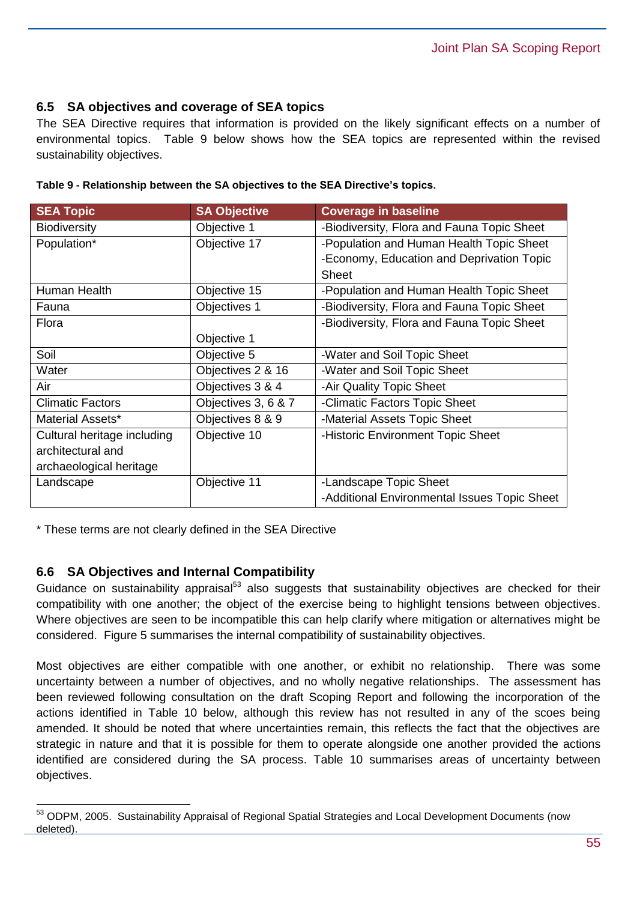### **6.5 SA objectives and coverage of SEA topics**

The SEA Directive requires that information is provided on the likely significant effects on a number of environmental topics. Table 9 below shows how the SEA topics are represented within the revised sustainability objectives.

| <b>SEA Topic</b>            | <b>SA Objective</b> | <b>Coverage in baseline</b>                  |
|-----------------------------|---------------------|----------------------------------------------|
| <b>Biodiversity</b>         | Objective 1         | -Biodiversity, Flora and Fauna Topic Sheet   |
| Population*                 | Objective 17        | -Population and Human Health Topic Sheet     |
|                             |                     | -Economy, Education and Deprivation Topic    |
|                             |                     | <b>Sheet</b>                                 |
| Human Health                | Objective 15        | -Population and Human Health Topic Sheet     |
| Fauna                       | Objectives 1        | -Biodiversity, Flora and Fauna Topic Sheet   |
| Flora                       |                     | -Biodiversity, Flora and Fauna Topic Sheet   |
|                             | Objective 1         |                                              |
| Soil                        | Objective 5         | -Water and Soil Topic Sheet                  |
| Water                       | Objectives 2 & 16   | -Water and Soil Topic Sheet                  |
| Air                         | Objectives 3 & 4    | -Air Quality Topic Sheet                     |
| <b>Climatic Factors</b>     | Objectives 3, 6 & 7 | -Climatic Factors Topic Sheet                |
| Material Assets*            | Objectives 8 & 9    | -Material Assets Topic Sheet                 |
| Cultural heritage including | Objective 10        | -Historic Environment Topic Sheet            |
| architectural and           |                     |                                              |
| archaeological heritage     |                     |                                              |
| Landscape                   | Objective 11        | -Landscape Topic Sheet                       |
|                             |                     | -Additional Environmental Issues Topic Sheet |

|  |  |  | Table 9 - Relationship between the SA objectives to the SEA Directive's topics. |  |
|--|--|--|---------------------------------------------------------------------------------|--|
|  |  |  |                                                                                 |  |

\* These terms are not clearly defined in the SEA Directive

## **6.6 SA Objectives and Internal Compatibility**

 $\overline{a}$ 

Guidance on sustainability appraisal<sup>53</sup> also suggests that sustainability objectives are checked for their compatibility with one another; the object of the exercise being to highlight tensions between objectives. Where objectives are seen to be incompatible this can help clarify where mitigation or alternatives might be considered. Figure 5 summarises the internal compatibility of sustainability objectives.

Most objectives are either compatible with one another, or exhibit no relationship. There was some uncertainty between a number of objectives, and no wholly negative relationships. The assessment has been reviewed following consultation on the draft Scoping Report and following the incorporation of the actions identified in Table 10 below, although this review has not resulted in any of the scoes being amended. It should be noted that where uncertainties remain, this reflects the fact that the objectives are strategic in nature and that it is possible for them to operate alongside one another provided the actions identified are considered during the SA process. Table 10 summarises areas of uncertainty between objectives.

<sup>53</sup> ODPM, 2005. Sustainability Appraisal of Regional Spatial Strategies and Local Development Documents (now deleted).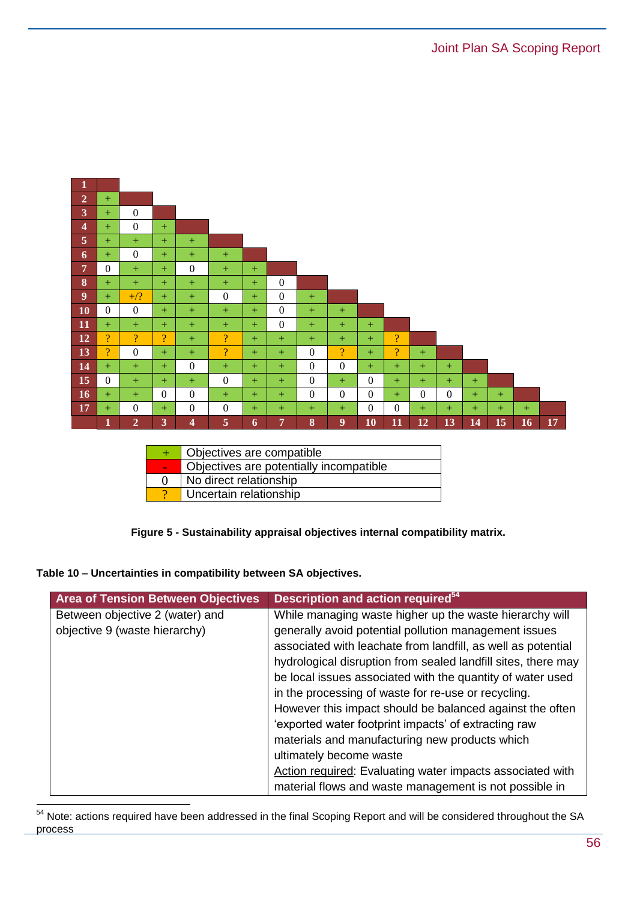| $\mathbf{1}$             |                |                |                |              |                          |     |                  |                  |                |                |                |          |                |     |     |     |    |
|--------------------------|----------------|----------------|----------------|--------------|--------------------------|-----|------------------|------------------|----------------|----------------|----------------|----------|----------------|-----|-----|-----|----|
| $\overline{2}$           | $+$            |                |                |              |                          |     |                  |                  |                |                |                |          |                |     |     |     |    |
| $\overline{\mathbf{3}}$  | $+$            | $\overline{0}$ |                |              |                          |     |                  |                  |                |                |                |          |                |     |     |     |    |
| $\overline{\mathbf{4}}$  | $+$            | $\overline{0}$ | $+$            |              |                          |     |                  |                  |                |                |                |          |                |     |     |     |    |
| $\overline{5}$           | $+$            | $+$            | $+$            | $^{+}$       |                          |     |                  |                  |                |                |                |          |                |     |     |     |    |
| $\boldsymbol{6}$         | $+$            | $\overline{0}$ | $+$            | $^{+}$       | $+$                      |     |                  |                  |                |                |                |          |                |     |     |     |    |
| $\overline{7}$           | $\theta$       | $+$            | $+$            | $\mathbf{0}$ | $+$                      | $+$ |                  |                  |                |                |                |          |                |     |     |     |    |
| $-8$                     | $^{+}$         | $+$            | $+$            | $+$          | $+$                      | $+$ | $\overline{0}$   |                  |                |                |                |          |                |     |     |     |    |
| $\overline{\phantom{a}}$ | $+$            | $+/?$          | $+$            | $+$          | $\mathbf{0}$             | $+$ | $\overline{0}$   | $+$              |                |                |                |          |                |     |     |     |    |
| $-10$                    | $\Omega$       | $\overline{0}$ | $+$            | $+$          | $+$                      | $+$ | $\overline{0}$   | $+$              | $+$            |                |                |          |                |     |     |     |    |
| $\vert$ 11               | $^{+}$         | $+$            | $+$            | $^{+}$       | $^{+}$                   | $+$ | $\boldsymbol{0}$ | $+$              | $+$            | $+$            |                |          |                |     |     |     |    |
| $-12$                    | $\overline{?}$ | $\overline{?}$ | $\overline{?}$ | $+$          | $\overline{?}$           | $+$ | $+$              | $+$              | $+$            | $+$            | $\overline{?}$ |          |                |     |     |     |    |
| 13                       | $\overline{?}$ | $\mathbf{0}$   | $+$            | $+$          | $\overline{\mathcal{L}}$ | $+$ | $+$              | $\mathbf{0}$     | $\overline{?}$ | $+$            | $\overline{?}$ | $+$      |                |     |     |     |    |
| 14                       | $+$            | $+$            | $+$            | $\mathbf{0}$ | $+$                      | $+$ | $+$              | $\mathbf{0}$     | $\mathbf{0}$   | $+$            | $+$            | $+$      | $+$            |     |     |     |    |
| 15                       | $\theta$       | $+$            | $+$            | $+$          | $\mathbf{0}$             | $+$ | $+$              | $\boldsymbol{0}$ | $+$            | $\Omega$       | $+$            | $+$      | $+$            | $+$ |     |     |    |
| 16                       | $+$            | $+$            | $\theta$       | $\mathbf{0}$ | $^{+}$                   | $+$ | $+$              | $\mathbf{0}$     | $\Omega$       | $\theta$       | $+$            | $\Omega$ | $\overline{0}$ | $+$ | $+$ |     |    |
| 17                       | $+$            | $\mathbf{0}$   | $+$            | $\mathbf{0}$ | $\mathbf{0}$             | $+$ | $+$              | $+$              | $+$            | $\overline{0}$ | $\mathbf{0}$   | $+$      | $+$            | $+$ | $+$ | $+$ |    |
|                          | 1              | $\overline{2}$ | 3              | 4            | 5                        | 6   | 7                | $\boldsymbol{8}$ | 9              | <b>10</b>      | 11             | 12       | 13             | 14  | 15  | 16  | 17 |

| Objectives are compatible               |
|-----------------------------------------|
| Objectives are potentially incompatible |
| No direct relationship                  |
| Uncertain relationship                  |

**Figure 5 - Sustainability appraisal objectives internal compatibility matrix.**

#### **Table 10 – Uncertainties in compatibility between SA objectives.**

| <b>Area of Tension Between Objectives</b> | Description and action required <sup>54</sup>                 |
|-------------------------------------------|---------------------------------------------------------------|
| Between objective 2 (water) and           | While managing waste higher up the waste hierarchy will       |
| objective 9 (waste hierarchy)             | generally avoid potential pollution management issues         |
|                                           | associated with leachate from landfill, as well as potential  |
|                                           | hydrological disruption from sealed landfill sites, there may |
|                                           | be local issues associated with the quantity of water used    |
|                                           | in the processing of waste for re-use or recycling.           |
|                                           | However this impact should be balanced against the often      |
|                                           | 'exported water footprint impacts' of extracting raw          |
|                                           | materials and manufacturing new products which                |
|                                           | ultimately become waste                                       |
|                                           | Action required: Evaluating water impacts associated with     |
|                                           | material flows and waste management is not possible in        |

<sup>&</sup>lt;sup>54</sup> Note: actions required have been addressed in the final Scoping Report and will be considered throughout the SA process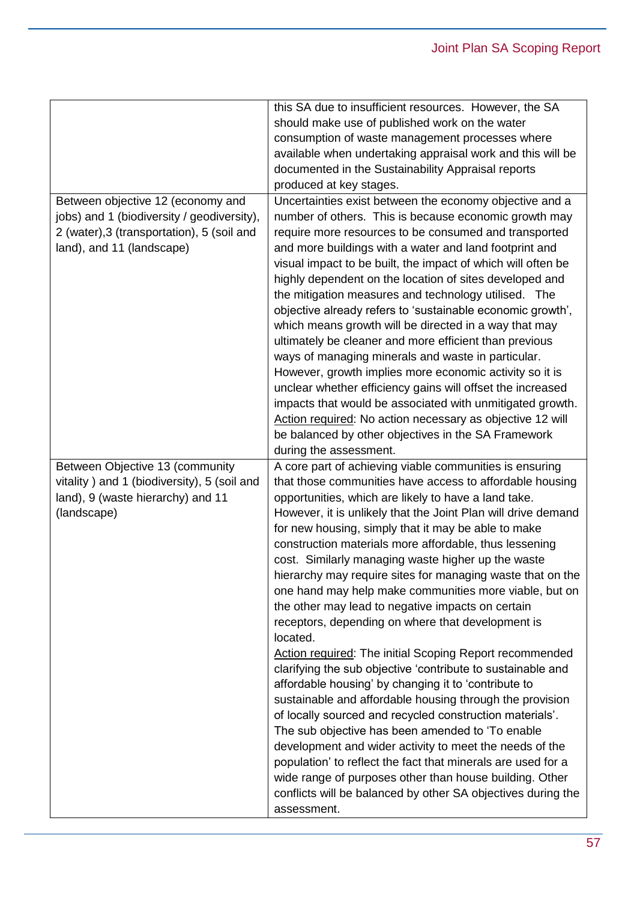|                                             | this SA due to insufficient resources. However, the SA                      |
|---------------------------------------------|-----------------------------------------------------------------------------|
|                                             | should make use of published work on the water                              |
|                                             | consumption of waste management processes where                             |
|                                             | available when undertaking appraisal work and this will be                  |
|                                             | documented in the Sustainability Appraisal reports                          |
|                                             | produced at key stages.                                                     |
| Between objective 12 (economy and           | Uncertainties exist between the economy objective and a                     |
| jobs) and 1 (biodiversity / geodiversity),  | number of others. This is because economic growth may                       |
| 2 (water), 3 (transportation), 5 (soil and  | require more resources to be consumed and transported                       |
| land), and 11 (landscape)                   | and more buildings with a water and land footprint and                      |
|                                             | visual impact to be built, the impact of which will often be                |
|                                             | highly dependent on the location of sites developed and                     |
|                                             | the mitigation measures and technology utilised. The                        |
|                                             | objective already refers to 'sustainable economic growth',                  |
|                                             | which means growth will be directed in a way that may                       |
|                                             | ultimately be cleaner and more efficient than previous                      |
|                                             | ways of managing minerals and waste in particular.                          |
|                                             | However, growth implies more economic activity so it is                     |
|                                             | unclear whether efficiency gains will offset the increased                  |
|                                             | impacts that would be associated with unmitigated growth.                   |
|                                             | Action required: No action necessary as objective 12 will                   |
|                                             | be balanced by other objectives in the SA Framework                         |
|                                             | during the assessment.                                                      |
|                                             |                                                                             |
| Between Objective 13 (community             | A core part of achieving viable communities is ensuring                     |
| vitality) and 1 (biodiversity), 5 (soil and | that those communities have access to affordable housing                    |
| land), 9 (waste hierarchy) and 11           | opportunities, which are likely to have a land take.                        |
| (landscape)                                 | However, it is unlikely that the Joint Plan will drive demand               |
|                                             | for new housing, simply that it may be able to make                         |
|                                             | construction materials more affordable, thus lessening                      |
|                                             | cost. Similarly managing waste higher up the waste                          |
|                                             | hierarchy may require sites for managing waste that on the                  |
|                                             | one hand may help make communities more viable, but on                      |
|                                             | the other may lead to negative impacts on certain                           |
|                                             | receptors, depending on where that development is                           |
|                                             | located.                                                                    |
|                                             | <b>Action required: The initial Scoping Report recommended</b>              |
|                                             | clarifying the sub objective 'contribute to sustainable and                 |
|                                             | affordable housing' by changing it to 'contribute to                        |
|                                             | sustainable and affordable housing through the provision                    |
|                                             | of locally sourced and recycled construction materials'.                    |
|                                             | The sub objective has been amended to 'To enable                            |
|                                             | development and wider activity to meet the needs of the                     |
|                                             | population' to reflect the fact that minerals are used for a                |
|                                             | wide range of purposes other than house building. Other                     |
|                                             | conflicts will be balanced by other SA objectives during the<br>assessment. |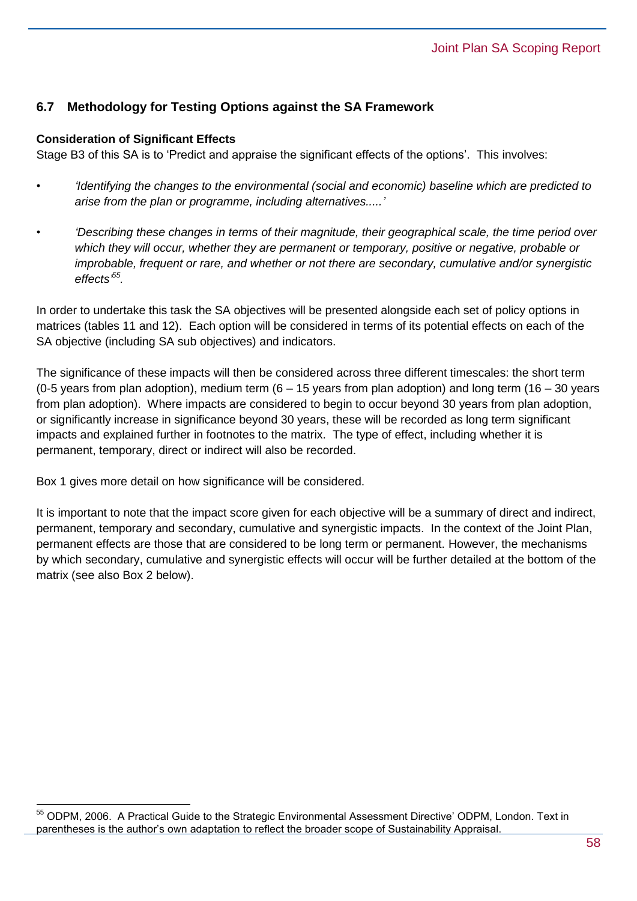## **6.7 Methodology for Testing Options against the SA Framework**

#### **Consideration of Significant Effects**

Stage B3 of this SA is to 'Predict and appraise the significant effects of the options'. This involves:

- *'Identifying the changes to the environmental (social and economic) baseline which are predicted to arise from the plan or programme, including alternatives.....'*
- *• 'Describing these changes in terms of their magnitude, their geographical scale, the time period over which they will occur, whether they are permanent or temporary, positive or negative, probable or improbable, frequent or rare, and whether or not there are secondary, cumulative and/or synergistic effects' 55 .*

In order to undertake this task the SA objectives will be presented alongside each set of policy options in matrices (tables 11 and 12). Each option will be considered in terms of its potential effects on each of the SA objective (including SA sub objectives) and indicators.

The significance of these impacts will then be considered across three different timescales: the short term (0-5 years from plan adoption), medium term  $(6 - 15$  years from plan adoption) and long term (16 – 30 years from plan adoption). Where impacts are considered to begin to occur beyond 30 years from plan adoption, or significantly increase in significance beyond 30 years, these will be recorded as long term significant impacts and explained further in footnotes to the matrix. The type of effect, including whether it is permanent, temporary, direct or indirect will also be recorded.

Box 1 gives more detail on how significance will be considered.

 $\overline{a}$ 

It is important to note that the impact score given for each objective will be a summary of direct and indirect, permanent, temporary and secondary, cumulative and synergistic impacts. In the context of the Joint Plan, permanent effects are those that are considered to be long term or permanent. However, the mechanisms by which secondary, cumulative and synergistic effects will occur will be further detailed at the bottom of the matrix (see also Box 2 below).

<sup>55</sup> ODPM, 2006. A Practical Guide to the Strategic Environmental Assessment Directive' ODPM, London. Text in parentheses is the author's own adaptation to reflect the broader scope of Sustainability Appraisal.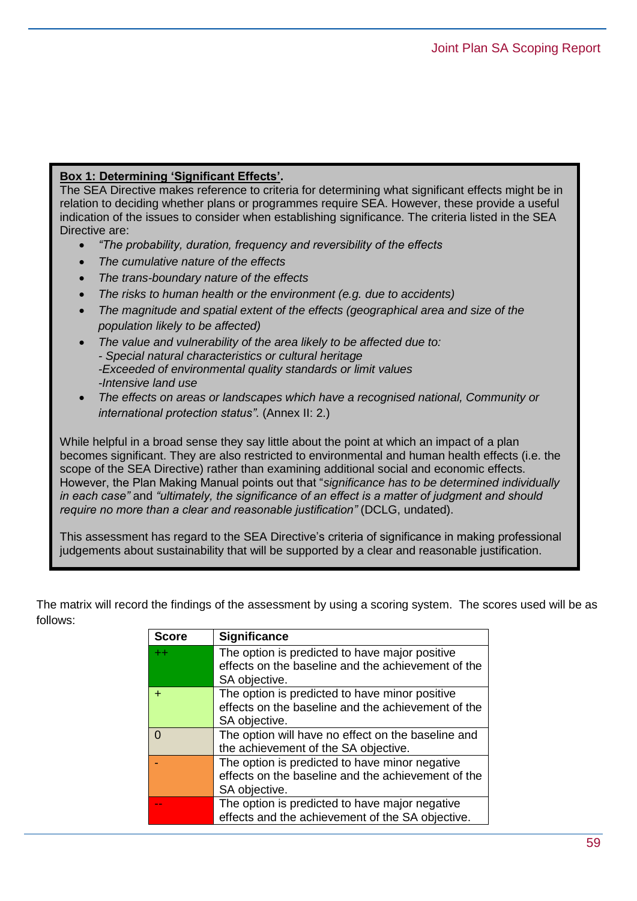#### **Box 1: Determining 'Significant Effects'.**

The SEA Directive makes reference to criteria for determining what significant effects might be in relation to deciding whether plans or programmes require SEA. However, these provide a useful indication of the issues to consider when establishing significance. The criteria listed in the SEA Directive are:

- *"The probability, duration, frequency and reversibility of the effects*
- *The cumulative nature of the effects*
- *The trans-boundary nature of the effects*
- *The risks to human health or the environment (e.g. due to accidents)*
- *The magnitude and spatial extent of the effects (geographical area and size of the population likely to be affected)*
- *The value and vulnerability of the area likely to be affected due to: - Special natural characteristics or cultural heritage -Exceeded of environmental quality standards or limit values -Intensive land use*
- *The effects on areas or landscapes which have a recognised national, Community or international protection status"*. (Annex II: 2.)

While helpful in a broad sense they say little about the point at which an impact of a plan becomes significant. They are also restricted to environmental and human health effects (i.e. the scope of the SEA Directive) rather than examining additional social and economic effects. However, the Plan Making Manual points out that "*significance has to be determined individually in each case"* and *"ultimately, the significance of an effect is a matter of judgment and should require no more than a clear and reasonable justification"* (DCLG, undated).

This assessment has regard to the SEA Directive's criteria of significance in making professional judgements about sustainability that will be supported by a clear and reasonable justification.

The matrix will record the findings of the assessment by using a scoring system. The scores used will be as follows:

| Score   | <b>Significance</b>                                                                                                   |
|---------|-----------------------------------------------------------------------------------------------------------------------|
| $^{++}$ | The option is predicted to have major positive<br>effects on the baseline and the achievement of the<br>SA objective. |
| +       | The option is predicted to have minor positive<br>effects on the baseline and the achievement of the<br>SA objective. |
| O       | The option will have no effect on the baseline and<br>the achievement of the SA objective.                            |
|         | The option is predicted to have minor negative<br>effects on the baseline and the achievement of the<br>SA objective. |
|         | The option is predicted to have major negative<br>effects and the achievement of the SA objective.                    |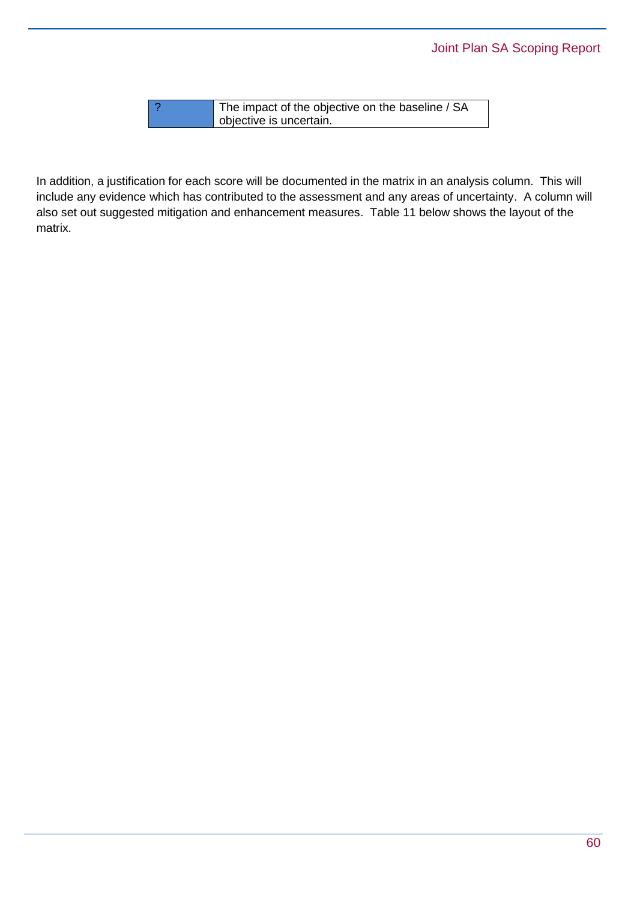? The impact of the objective on the baseline / SA objective is uncertain.

In addition, a justification for each score will be documented in the matrix in an analysis column. This will include any evidence which has contributed to the assessment and any areas of uncertainty. A column will also set out suggested mitigation and enhancement measures. Table 11 below shows the layout of the matrix.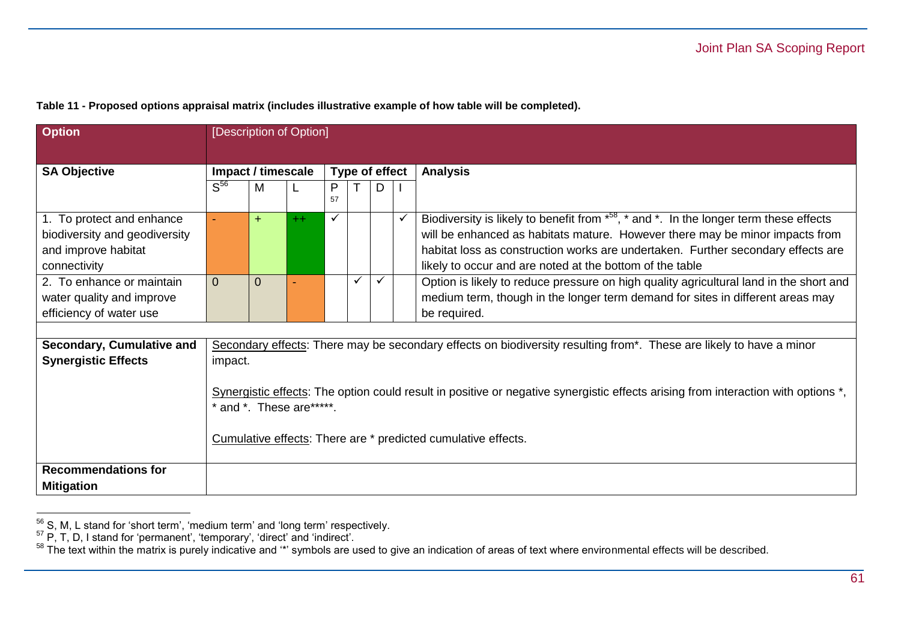| <b>Option</b>                                              |                                      | [Description of Option]    |      |         |              |                                                                                                                                                                                  |
|------------------------------------------------------------|--------------------------------------|----------------------------|------|---------|--------------|----------------------------------------------------------------------------------------------------------------------------------------------------------------------------------|
| <b>SA Objective</b>                                        | Impact / timescale<br>Type of effect |                            |      |         |              | <b>Analysis</b>                                                                                                                                                                  |
|                                                            | S <sup>56</sup>                      | M                          | L    | P<br>57 | D            |                                                                                                                                                                                  |
| 1. To protect and enhance<br>biodiversity and geodiversity |                                      | $+$                        | $++$ |         |              | Biodiversity is likely to benefit from $*^{58}$ , $*$ and $*$ . In the longer term these effects<br>will be enhanced as habitats mature. However there may be minor impacts from |
| and improve habitat                                        |                                      |                            |      |         |              | habitat loss as construction works are undertaken. Further secondary effects are                                                                                                 |
| connectivity                                               |                                      |                            |      |         |              | likely to occur and are noted at the bottom of the table                                                                                                                         |
| 2. To enhance or maintain                                  | $\mathbf 0$                          | $\overline{0}$             |      |         | $\checkmark$ | Option is likely to reduce pressure on high quality agricultural land in the short and                                                                                           |
| water quality and improve                                  |                                      |                            |      |         |              | medium term, though in the longer term demand for sites in different areas may                                                                                                   |
| efficiency of water use                                    |                                      |                            |      |         |              | be required.                                                                                                                                                                     |
|                                                            |                                      |                            |      |         |              |                                                                                                                                                                                  |
| Secondary, Cumulative and                                  |                                      |                            |      |         |              | Secondary effects: There may be secondary effects on biodiversity resulting from*. These are likely to have a minor                                                              |
| <b>Synergistic Effects</b>                                 | impact.                              |                            |      |         |              |                                                                                                                                                                                  |
|                                                            |                                      |                            |      |         |              |                                                                                                                                                                                  |
|                                                            |                                      |                            |      |         |              | Synergistic effects: The option could result in positive or negative synergistic effects arising from interaction with options *,                                                |
|                                                            |                                      | * and *. These are ******. |      |         |              |                                                                                                                                                                                  |
|                                                            |                                      |                            |      |         |              |                                                                                                                                                                                  |
|                                                            |                                      |                            |      |         |              | Cumulative effects: There are * predicted cumulative effects.                                                                                                                    |
| <b>Recommendations for</b>                                 |                                      |                            |      |         |              |                                                                                                                                                                                  |
| <b>Mitigation</b>                                          |                                      |                            |      |         |              |                                                                                                                                                                                  |

**Table 11 - Proposed options appraisal matrix (includes illustrative example of how table will be completed).**

 $56$  S, M, L stand for 'short term', 'medium term' and 'long term' respectively.

 $57$  P, T, D, I stand for 'permanent', 'temporary', 'direct' and 'indirect'.

 $58$  The text within the matrix is purely indicative and  $\cdot\cdot$  symbols are used to give an indication of areas of text where environmental effects will be described.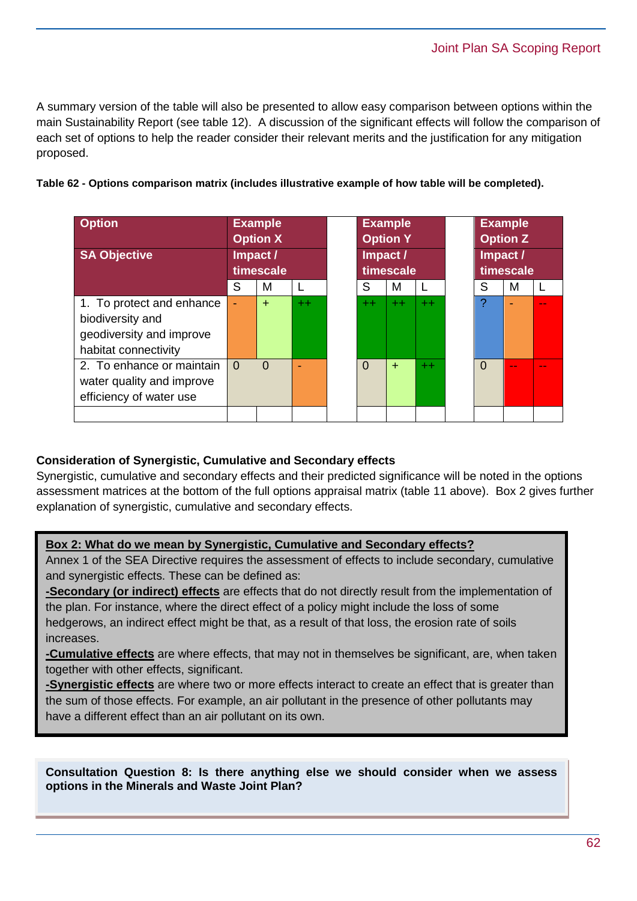A summary version of the table will also be presented to allow easy comparison between options within the main Sustainability Report (see table 12). A discussion of the significant effects will follow the comparison of each set of options to help the reader consider their relevant merits and the justification for any mitigation proposed.

| <b>Option</b><br><b>SA Objective</b>                                                              | <b>Example</b><br><b>Option X</b><br>Impact /<br>timescale |           |         | <b>Example</b><br><b>Option Y</b><br>Impact /<br>timescale |      |       | <b>Example</b><br><b>Option Z</b><br>Impact /<br>timescale |        |  |
|---------------------------------------------------------------------------------------------------|------------------------------------------------------------|-----------|---------|------------------------------------------------------------|------|-------|------------------------------------------------------------|--------|--|
|                                                                                                   | S                                                          | м         |         | S                                                          | м    | L     | S                                                          | м      |  |
| 1. To protect and enhance<br>biodiversity and<br>geodiversity and improve<br>habitat connectivity | ٠                                                          | $\ddot{}$ | $^{++}$ | $^{++}$                                                    | $++$ | $+ +$ |                                                            |        |  |
| 2. To enhance or maintain<br>water quality and improve<br>efficiency of water use                 | $\Omega$                                                   | $\Omega$  | ٠       | $\Omega$                                                   | $+$  | $+ +$ | $\Omega$                                                   | $\sim$ |  |

## **Consideration of Synergistic, Cumulative and Secondary effects**

Synergistic, cumulative and secondary effects and their predicted significance will be noted in the options assessment matrices at the bottom of the full options appraisal matrix (table 11 above). Box 2 gives further explanation of synergistic, cumulative and secondary effects.

### **Box 2: What do we mean by Synergistic, Cumulative and Secondary effects?**

Annex 1 of the SEA Directive requires the assessment of effects to include secondary, cumulative and synergistic effects. These can be defined as:

**-Secondary (or indirect) effects** are effects that do not directly result from the implementation of the plan. For instance, where the direct effect of a policy might include the loss of some hedgerows, an indirect effect might be that, as a result of that loss, the erosion rate of soils increases.

**-Cumulative effects** are where effects, that may not in themselves be significant, are, when taken together with other effects, significant.

**-Synergistic effects** are where two or more effects interact to create an effect that is greater than the sum of those effects. For example, an air pollutant in the presence of other pollutants may have a different effect than an air pollutant on its own.

**Consultation Question 8: Is there anything else we should consider when we assess options in the Minerals and Waste Joint Plan?**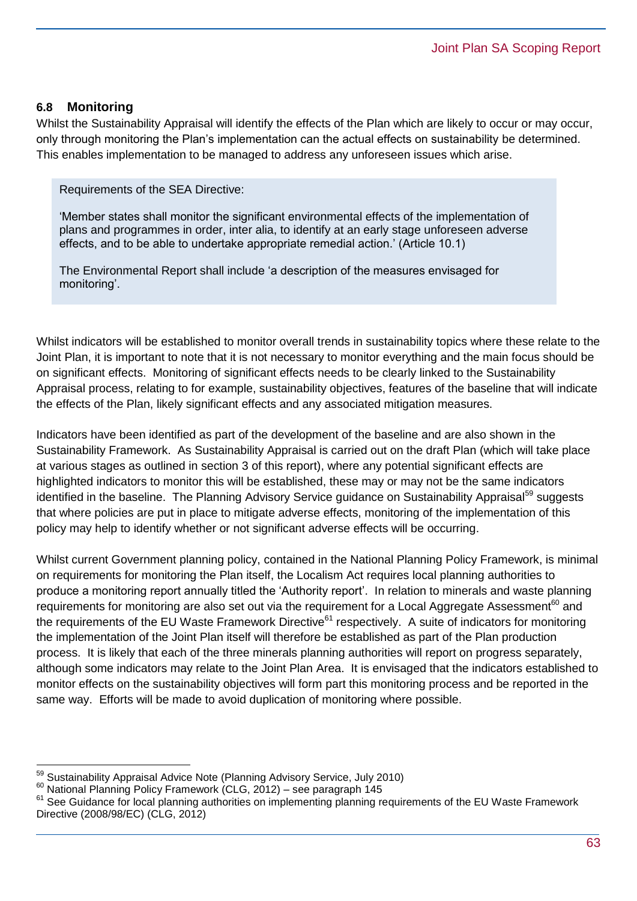#### **6.8 Monitoring**

Whilst the Sustainability Appraisal will identify the effects of the Plan which are likely to occur or may occur, only through monitoring the Plan's implementation can the actual effects on sustainability be determined. This enables implementation to be managed to address any unforeseen issues which arise.

Requirements of the SEA Directive:

'Member states shall monitor the significant environmental effects of the implementation of plans and programmes in order, inter alia, to identify at an early stage unforeseen adverse effects, and to be able to undertake appropriate remedial action.' (Article 10.1)

The Environmental Report shall include 'a description of the measures envisaged for monitoring'.

Whilst indicators will be established to monitor overall trends in sustainability topics where these relate to the Joint Plan, it is important to note that it is not necessary to monitor everything and the main focus should be on significant effects. Monitoring of significant effects needs to be clearly linked to the Sustainability Appraisal process, relating to for example, sustainability objectives, features of the baseline that will indicate the effects of the Plan, likely significant effects and any associated mitigation measures.

Indicators have been identified as part of the development of the baseline and are also shown in the Sustainability Framework. As Sustainability Appraisal is carried out on the draft Plan (which will take place at various stages as outlined in section 3 of this report), where any potential significant effects are highlighted indicators to monitor this will be established, these may or may not be the same indicators identified in the baseline. The Planning Advisory Service guidance on Sustainability Appraisal<sup>59</sup> suggests that where policies are put in place to mitigate adverse effects, monitoring of the implementation of this policy may help to identify whether or not significant adverse effects will be occurring.

Whilst current Government planning policy, contained in the National Planning Policy Framework, is minimal on requirements for monitoring the Plan itself, the Localism Act requires local planning authorities to produce a monitoring report annually titled the 'Authority report'. In relation to minerals and waste planning requirements for monitoring are also set out via the requirement for a Local Aggregate Assessment<sup>60</sup> and the requirements of the EU Waste Framework Directive<sup>61</sup> respectively. A suite of indicators for monitoring the implementation of the Joint Plan itself will therefore be established as part of the Plan production process. It is likely that each of the three minerals planning authorities will report on progress separately, although some indicators may relate to the Joint Plan Area. It is envisaged that the indicators established to monitor effects on the sustainability objectives will form part this monitoring process and be reported in the same way. Efforts will be made to avoid duplication of monitoring where possible.

Sustainability Appraisal Advice Note (Planning Advisory Service, July 2010)

 $60$  National Planning Policy Framework (CLG, 2012) – see paragraph 145

<sup>&</sup>lt;sup>61</sup> See Guidance for local planning authorities on implementing planning requirements of the EU Waste Framework Directive (2008/98/EC) (CLG, 2012)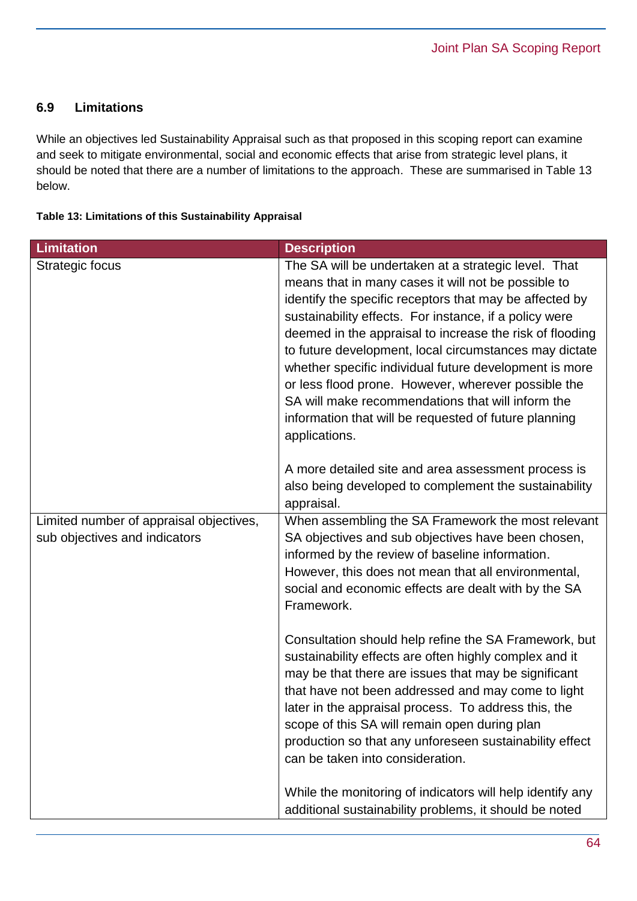## **6.9 Limitations**

While an objectives led Sustainability Appraisal such as that proposed in this scoping report can examine and seek to mitigate environmental, social and economic effects that arise from strategic level plans, it should be noted that there are a number of limitations to the approach. These are summarised in Table 13 below.

#### **Table 13: Limitations of this Sustainability Appraisal**

| <b>Limitation</b>                                                        | <b>Description</b>                                                                                                                                                                                                                                                                                                                                                                                                                                                                                                                                                                                                                                            |
|--------------------------------------------------------------------------|---------------------------------------------------------------------------------------------------------------------------------------------------------------------------------------------------------------------------------------------------------------------------------------------------------------------------------------------------------------------------------------------------------------------------------------------------------------------------------------------------------------------------------------------------------------------------------------------------------------------------------------------------------------|
| Strategic focus                                                          | The SA will be undertaken at a strategic level. That<br>means that in many cases it will not be possible to<br>identify the specific receptors that may be affected by<br>sustainability effects. For instance, if a policy were<br>deemed in the appraisal to increase the risk of flooding<br>to future development, local circumstances may dictate<br>whether specific individual future development is more<br>or less flood prone. However, wherever possible the<br>SA will make recommendations that will inform the<br>information that will be requested of future planning<br>applications.<br>A more detailed site and area assessment process is |
|                                                                          | also being developed to complement the sustainability<br>appraisal.                                                                                                                                                                                                                                                                                                                                                                                                                                                                                                                                                                                           |
| Limited number of appraisal objectives,<br>sub objectives and indicators | When assembling the SA Framework the most relevant<br>SA objectives and sub objectives have been chosen,<br>informed by the review of baseline information.<br>However, this does not mean that all environmental,<br>social and economic effects are dealt with by the SA<br>Framework.                                                                                                                                                                                                                                                                                                                                                                      |
|                                                                          | Consultation should help refine the SA Framework, but<br>sustainability effects are often highly complex and it<br>may be that there are issues that may be significant<br>that have not been addressed and may come to light<br>later in the appraisal process. To address this, the<br>scope of this SA will remain open during plan<br>production so that any unforeseen sustainability effect<br>can be taken into consideration.                                                                                                                                                                                                                         |
|                                                                          | While the monitoring of indicators will help identify any<br>additional sustainability problems, it should be noted                                                                                                                                                                                                                                                                                                                                                                                                                                                                                                                                           |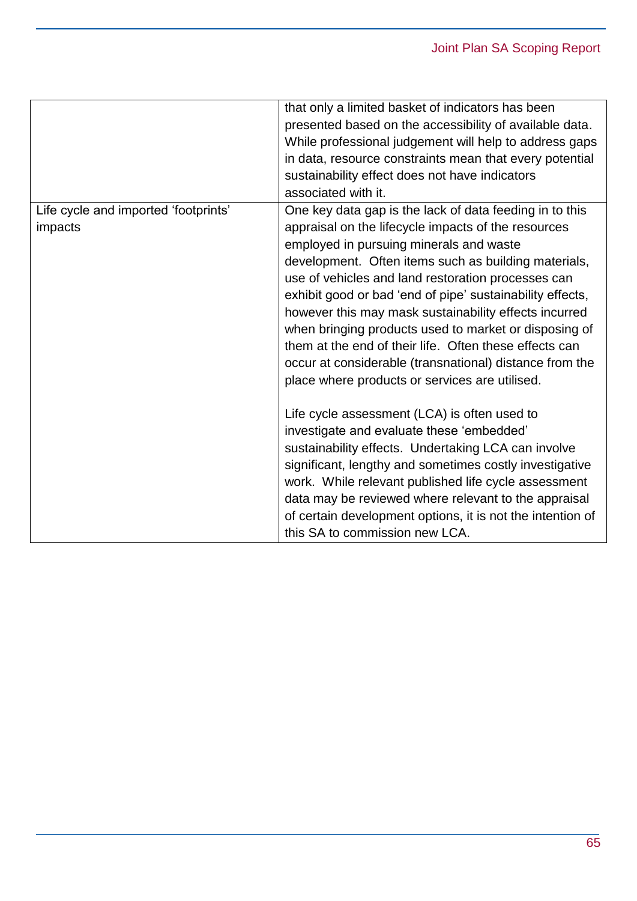|                                                 | that only a limited basket of indicators has been<br>presented based on the accessibility of available data.<br>While professional judgement will help to address gaps<br>in data, resource constraints mean that every potential<br>sustainability effect does not have indicators<br>associated with it.                                                                                                                                                                                                                                                                                                                    |
|-------------------------------------------------|-------------------------------------------------------------------------------------------------------------------------------------------------------------------------------------------------------------------------------------------------------------------------------------------------------------------------------------------------------------------------------------------------------------------------------------------------------------------------------------------------------------------------------------------------------------------------------------------------------------------------------|
| Life cycle and imported 'footprints'<br>impacts | One key data gap is the lack of data feeding in to this<br>appraisal on the lifecycle impacts of the resources<br>employed in pursuing minerals and waste<br>development. Often items such as building materials,<br>use of vehicles and land restoration processes can<br>exhibit good or bad 'end of pipe' sustainability effects,<br>however this may mask sustainability effects incurred<br>when bringing products used to market or disposing of<br>them at the end of their life. Often these effects can<br>occur at considerable (transnational) distance from the<br>place where products or services are utilised. |
|                                                 | Life cycle assessment (LCA) is often used to<br>investigate and evaluate these 'embedded'<br>sustainability effects. Undertaking LCA can involve<br>significant, lengthy and sometimes costly investigative<br>work. While relevant published life cycle assessment<br>data may be reviewed where relevant to the appraisal<br>of certain development options, it is not the intention of<br>this SA to commission new LCA.                                                                                                                                                                                                   |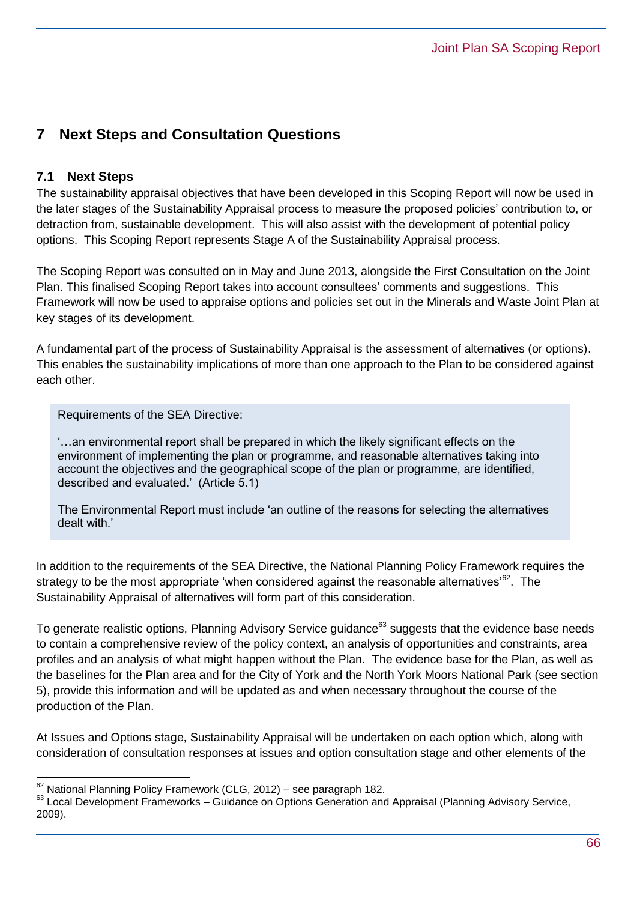## **7 Next Steps and Consultation Questions**

## **7.1 Next Steps**

 $\overline{a}$ 

The sustainability appraisal objectives that have been developed in this Scoping Report will now be used in the later stages of the Sustainability Appraisal process to measure the proposed policies' contribution to, or detraction from, sustainable development. This will also assist with the development of potential policy options. This Scoping Report represents Stage A of the Sustainability Appraisal process.

The Scoping Report was consulted on in May and June 2013, alongside the First Consultation on the Joint Plan. This finalised Scoping Report takes into account consultees' comments and suggestions. This Framework will now be used to appraise options and policies set out in the Minerals and Waste Joint Plan at key stages of its development.

A fundamental part of the process of Sustainability Appraisal is the assessment of alternatives (or options). This enables the sustainability implications of more than one approach to the Plan to be considered against each other.

Requirements of the SEA Directive:

'…an environmental report shall be prepared in which the likely significant effects on the environment of implementing the plan or programme, and reasonable alternatives taking into account the objectives and the geographical scope of the plan or programme, are identified, described and evaluated.' (Article 5.1)

The Environmental Report must include 'an outline of the reasons for selecting the alternatives dealt with.'

In addition to the requirements of the SEA Directive, the National Planning Policy Framework requires the strategy to be the most appropriate 'when considered against the reasonable alternatives'<sup>62</sup>. The Sustainability Appraisal of alternatives will form part of this consideration.

To generate realistic options, Planning Advisory Service guidance<sup>63</sup> suggests that the evidence base needs to contain a comprehensive review of the policy context, an analysis of opportunities and constraints, area profiles and an analysis of what might happen without the Plan. The evidence base for the Plan, as well as the baselines for the Plan area and for the City of York and the North York Moors National Park (see section 5), provide this information and will be updated as and when necessary throughout the course of the production of the Plan.

At Issues and Options stage, Sustainability Appraisal will be undertaken on each option which, along with consideration of consultation responses at issues and option consultation stage and other elements of the

 $62$  National Planning Policy Framework (CLG, 2012) – see paragraph 182.

<sup>&</sup>lt;sup>63</sup> Local Development Frameworks – Guidance on Options Generation and Appraisal (Planning Advisory Service, 2009).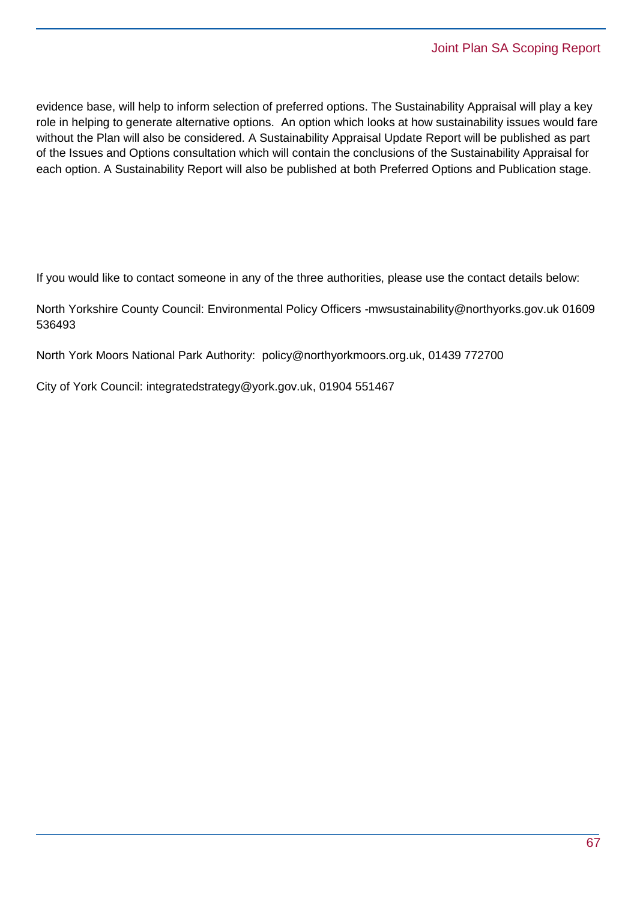evidence base, will help to inform selection of preferred options. The Sustainability Appraisal will play a key role in helping to generate alternative options. An option which looks at how sustainability issues would fare without the Plan will also be considered. A Sustainability Appraisal Update Report will be published as part of the Issues and Options consultation which will contain the conclusions of the Sustainability Appraisal for each option. A Sustainability Report will also be published at both Preferred Options and Publication stage.

If you would like to contact someone in any of the three authorities, please use the contact details below:

North Yorkshire County Council: Environmental Policy Officers -mwsustainability@northyorks.gov.uk 01609 536493

North York Moors National Park Authority: [policy@northyorkmoors.org.uk,](mailto:policy@northyorkmoors.org.uk) 01439 772700

City of York Council: [integratedstrategy@york.gov.uk,](mailto:integratedstrategy@york.gov.uk) 01904 551467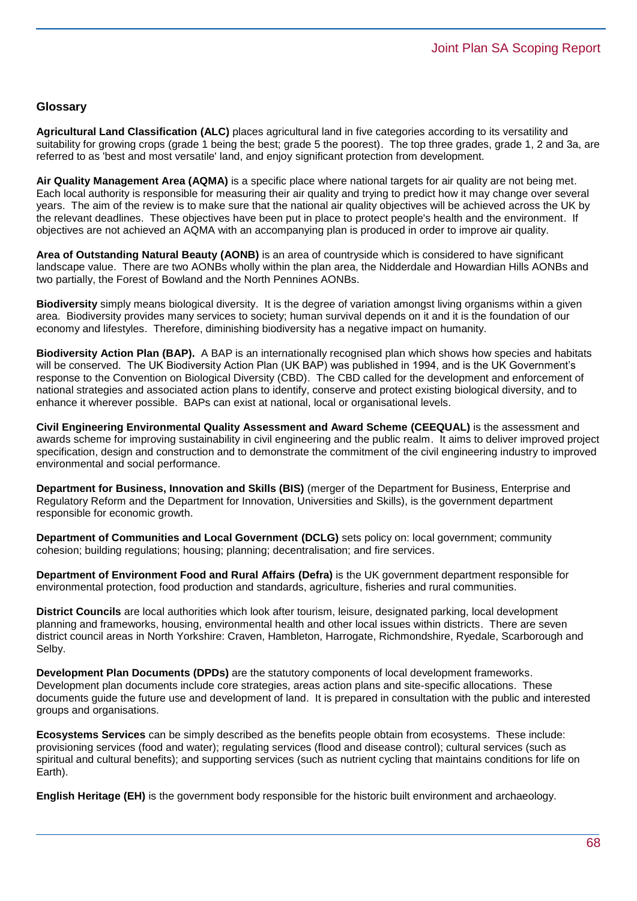#### **Glossary**

**Agricultural Land Classification (ALC)** places agricultural land in five categories according to its versatility and suitability for growing crops (grade 1 being the best; grade 5 the poorest). The top three grades, grade 1, 2 and 3a, are referred to as 'best and most versatile' land, and enjoy significant protection from development.

**Air Quality Management Area (AQMA)** is a specific place where national targets for air quality are not being met. Each local authority is responsible for measuring their air quality and trying to predict how it may change over several years. The aim of the review is to make sure that the national air quality objectives will be achieved across the UK by the relevant deadlines. These objectives have been put in place to protect people's health and the environment. If objectives are not achieved an AQMA with an accompanying plan is produced in order to improve air quality.

**Area of Outstanding Natural Beauty (AONB)** is an area of countryside which is considered to have significant landscape value. There are two AONBs wholly within the plan area, the Nidderdale and Howardian Hills AONBs and two partially, the Forest of Bowland and the North Pennines AONBs.

**Biodiversity** simply means biological diversity. It is the degree of variation amongst living organisms within a given area. Biodiversity provides many services to society; human survival depends on it and it is the foundation of our economy and lifestyles. Therefore, diminishing biodiversity has a negative impact on humanity.

**Biodiversity Action Plan (BAP).** A BAP is an internationally recognised plan which shows how species and habitats will be conserved. The UK Biodiversity Action Plan (UK BAP) was published in 1994, and is the UK Government's response to the Convention on Biological Diversity (CBD). The CBD called for the development and enforcement of national strategies and associated action plans to identify, conserve and protect existing biological diversity, and to enhance it wherever possible. BAPs can exist at national, local or organisational levels.

**Civil Engineering Environmental Quality Assessment and Award Scheme (CEEQUAL)** is the assessment and awards scheme for improving sustainability in civil engineering and the public realm. It aims to deliver improved project specification, design and construction and to demonstrate the commitment of the civil engineering industry to improved environmental and social performance.

**Department for Business, Innovation and Skills (BIS)** (merger of the Department for Business, Enterprise and Regulatory Reform and the Department for Innovation, Universities and Skills), is the government department responsible for economic growth.

**Department of Communities and Local Government (DCLG)** sets policy on: local government; community cohesion; building regulations; housing; planning; decentralisation; and fire services.

**Department of Environment Food and Rural Affairs (Defra)** is the UK government department responsible for environmental protection, food production and standards, agriculture, fisheries and rural communities.

**District Councils** are local authorities which look after tourism, leisure, designated parking, local development planning and frameworks, housing, environmental health and other local issues within districts. There are seven district council areas in North Yorkshire: Craven, Hambleton, Harrogate, Richmondshire, Ryedale, Scarborough and Selby.

**Development Plan Documents (DPDs)** are the statutory components of local development frameworks. Development plan documents include core strategies, areas action plans and site-specific allocations. These documents guide the future use and development of land. It is prepared in consultation with the public and interested groups and organisations.

**Ecosystems Services** can be simply described as the benefits people obtain from ecosystems. These include: provisioning services (food and water); regulating services (flood and disease control); cultural services (such as spiritual and cultural benefits); and supporting services (such as nutrient cycling that maintains conditions for life on Earth).

**English Heritage (EH)** is the government body responsible for the historic built environment and archaeology.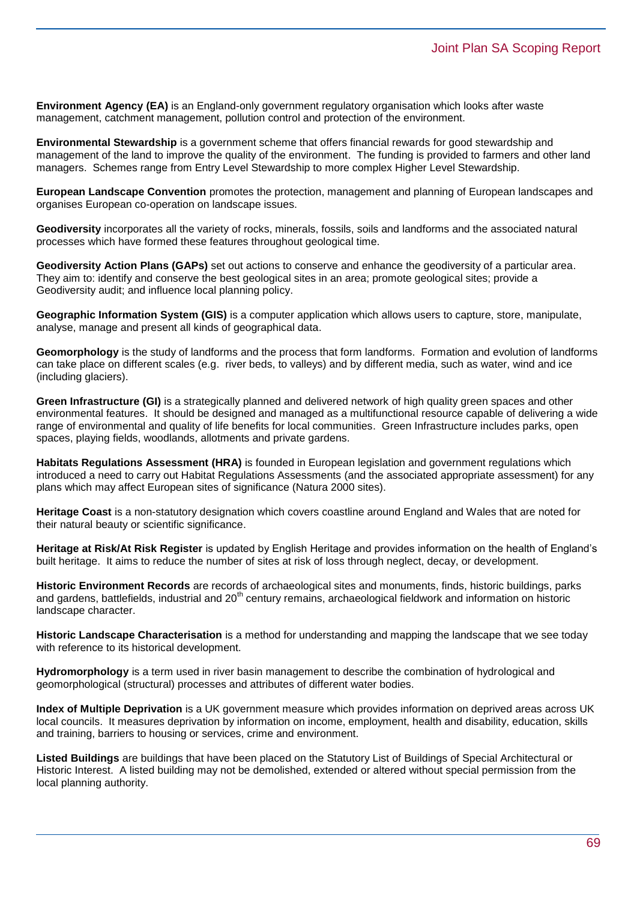**Environment Agency (EA)** is an England-only government regulatory organisation which looks after waste management, catchment management, pollution control and protection of the environment.

**Environmental Stewardship** is a government scheme that offers financial rewards for good stewardship and management of the land to improve the quality of the environment. The funding is provided to farmers and other land managers. Schemes range from Entry Level Stewardship to more complex Higher Level Stewardship.

**European Landscape Convention** promotes the protection, management and planning of European landscapes and organises European co-operation on landscape issues.

**Geodiversity** incorporates all the variety of rocks, minerals, fossils, soils and landforms and the associated natural processes which have formed these features throughout geological time.

**Geodiversity Action Plans (GAPs)** set out actions to conserve and enhance the geodiversity of a particular area. They aim to: identify and conserve the best geological sites in an area; promote geological sites; provide a Geodiversity audit; and influence local planning policy.

**Geographic Information System (GIS)** is a computer application which allows users to capture, store, manipulate, analyse, manage and present all kinds of geographical data.

**Geomorphology** is the study of landforms and the process that form landforms. Formation and evolution of landforms can take place on different scales (e.g. river beds, to valleys) and by different media, such as water, wind and ice (including glaciers).

**Green Infrastructure (GI)** is a strategically planned and delivered network of high quality green spaces and other environmental features. It should be designed and managed as a multifunctional resource capable of delivering a wide range of environmental and quality of life benefits for local communities. Green Infrastructure includes parks, open spaces, playing fields, woodlands, allotments and private gardens.

**Habitats Regulations Assessment (HRA)** is founded in European legislation and government regulations which introduced a need to carry out Habitat Regulations Assessments (and the associated appropriate assessment) for any plans which may affect European sites of significance (Natura 2000 sites).

**Heritage Coast** is a non-statutory designation which covers coastline around England and Wales that are noted for their natural beauty or scientific significance.

**Heritage at Risk/At Risk Register** is updated by English Heritage and provides information on the health of England's built heritage. It aims to reduce the number of sites at risk of loss through neglect, decay, or development.

**Historic Environment Records** are records of archaeological sites and monuments, finds, historic buildings, parks and gardens, battlefields, industrial and 20<sup>th</sup> century remains, archaeological fieldwork and information on historic landscape character.

**Historic Landscape Characterisation** is a method for understanding and mapping the landscape that we see today with reference to its historical development.

**Hydromorphology** is a term used in river basin management to describe the combination of hydrological and geomorphological (structural) processes and attributes of different water bodies.

**Index of Multiple Deprivation** is a UK government measure which provides information on deprived areas across UK local councils. It measures deprivation by information on income, employment, health and disability, education, skills and training, barriers to housing or services, crime and environment.

**Listed Buildings** are buildings that have been placed on the Statutory List of Buildings of Special Architectural or Historic Interest. A listed building may not be demolished, extended or altered without special permission from the local planning authority.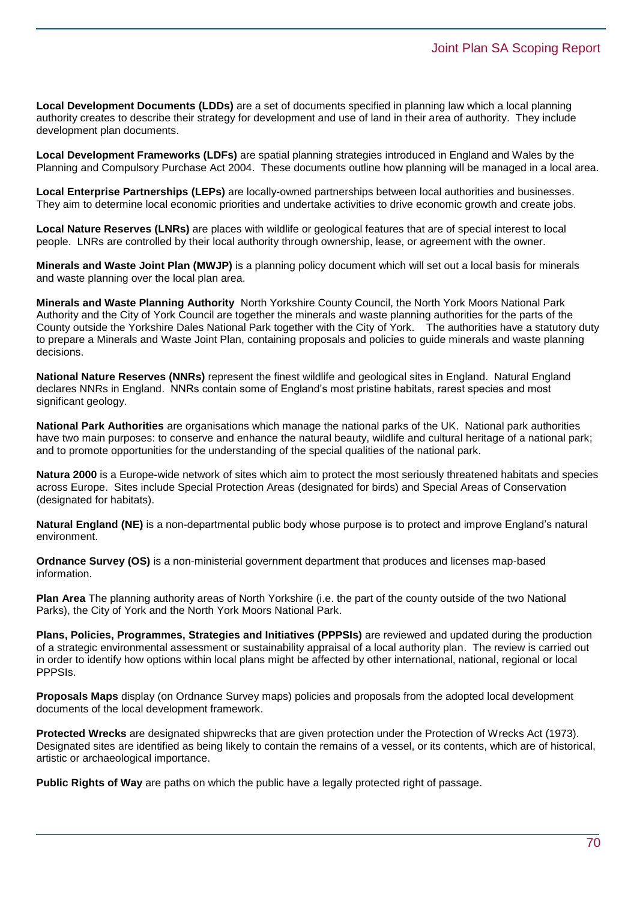**Local Development Documents (LDDs)** are a set of documents specified in planning law which a local planning authority creates to describe their strategy for development and use of land in their area of authority. They include development plan documents.

**Local Development Frameworks (LDFs)** are spatial planning strategies introduced in England and Wales by the Planning and Compulsory Purchase Act 2004. These documents outline how planning will be managed in a local area.

**Local Enterprise Partnerships (LEPs)** are locally-owned partnerships between local authorities and businesses. They aim to determine local economic priorities and undertake activities to drive economic growth and create jobs.

**Local Nature Reserves (LNRs)** are places with wildlife or geological features that are of special interest to local people. LNRs are controlled by their local authority through ownership, lease, or agreement with the owner.

**Minerals and Waste Joint Plan (MWJP)** is a planning policy document which will set out a local basis for minerals and waste planning over the local plan area.

**Minerals and Waste Planning Authority** North Yorkshire County Council, the North York Moors National Park Authority and the City of York Council are together the minerals and waste planning authorities for the parts of the County outside the Yorkshire Dales National Park together with the City of York. The authorities have a statutory duty to prepare a Minerals and Waste Joint Plan, containing proposals and policies to guide minerals and waste planning decisions.

**National Nature Reserves (NNRs)** represent the finest wildlife and geological sites in England. Natural England declares NNRs in England. NNRs contain some of England's most pristine habitats, rarest species and most significant geology.

**National Park Authorities** are organisations which manage the national parks of the UK. National park authorities have two main purposes: to conserve and enhance the natural beauty, wildlife and cultural heritage of a national park; and to promote opportunities for the understanding of the special qualities of the national park.

**Natura 2000** is a Europe-wide network of sites which aim to protect the most seriously threatened habitats and species across Europe. Sites include Special Protection Areas (designated for birds) and Special Areas of Conservation (designated for habitats).

**Natural England (NE)** is a non-departmental public body whose purpose is to protect and improve England's natural environment.

**Ordnance Survey (OS)** is a non-ministerial government department that produces and licenses map-based information.

**Plan Area** The planning authority areas of North Yorkshire (i.e. the part of the county outside of the two National Parks), the City of York and the North York Moors National Park.

**Plans, Policies, Programmes, Strategies and Initiatives (PPPSIs)** are reviewed and updated during the production of a strategic environmental assessment or sustainability appraisal of a local authority plan. The review is carried out in order to identify how options within local plans might be affected by other international, national, regional or local PPPSIs.

**Proposals Maps** display (on Ordnance Survey maps) policies and proposals from the adopted local development documents of the local development framework.

**Protected Wrecks** are designated shipwrecks that are given protection under the Protection of Wrecks Act (1973). Designated sites are identified as being likely to contain the remains of a vessel, or its contents, which are of historical, artistic or archaeological importance.

**Public Rights of Way** are paths on which the public have a legally protected right of passage.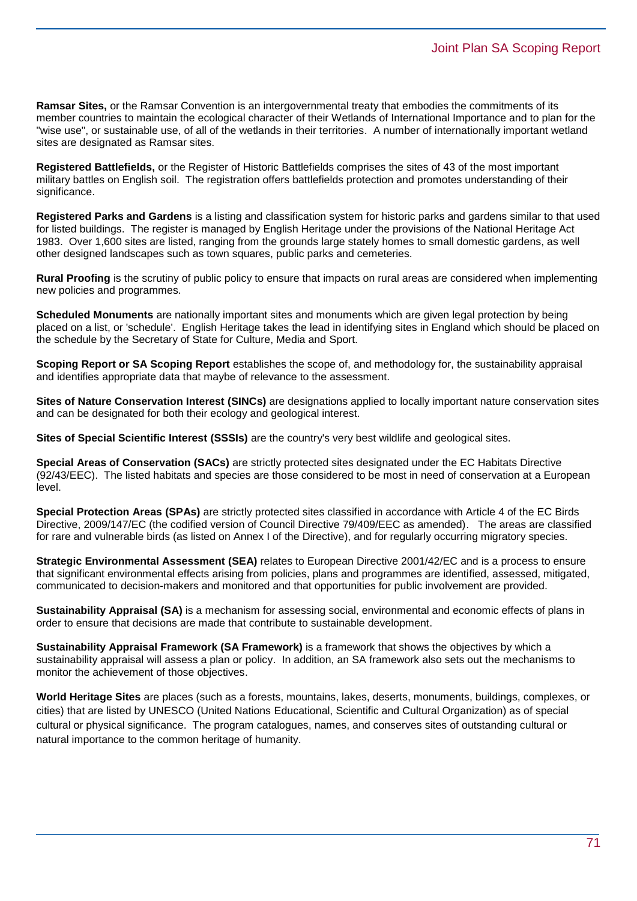**Ramsar Sites,** or the Ramsar Convention is an intergovernmental treaty that embodies the commitments of its member countries to maintain the ecological character of their Wetlands of International Importance and to plan for the "wise use", or sustainable use, of all of the wetlands in their territories. A number of internationally important wetland sites are designated as Ramsar sites.

**Registered Battlefields,** or the Register of Historic Battlefields comprises the sites of 43 of the most important military battles on English soil. The registration offers battlefields protection and promotes understanding of their significance.

**Registered Parks and Gardens** is a listing and classification system for historic parks and gardens similar to that used for listed buildings. The register is managed by English Heritage under the provisions of the National Heritage Act 1983. Over 1,600 sites are listed, ranging from the grounds large stately homes to small domestic gardens, as well other designed landscapes such as town squares, public parks and cemeteries.

**Rural Proofing** is the scrutiny of public policy to ensure that impacts on rural areas are considered when implementing new policies and programmes.

**Scheduled Monuments** are nationally important sites and monuments which are given legal protection by being placed on a list, or 'schedule'. English Heritage takes the lead in identifying sites in England which should be placed on the schedule by the Secretary of State for Culture, Media and Sport.

**Scoping Report or SA Scoping Report** establishes the scope of, and methodology for, the sustainability appraisal and identifies appropriate data that maybe of relevance to the assessment.

**Sites of Nature Conservation Interest (SINCs)** are designations applied to locally important nature conservation sites and can be designated for both their ecology and geological interest.

**Sites of Special Scientific Interest (SSSIs)** are the country's very best wildlife and geological sites.

**Special Areas of Conservation (SACs)** are strictly protected sites designated under the EC Habitats Directive (92/43/EEC). The listed habitats and species are those considered to be most in need of conservation at a European level.

**Special Protection Areas (SPAs)** are strictly protected sites classified in accordance with Article 4 of the EC Birds Directive, 2009/147/EC (the codified version of Council Directive 79/409/EEC as amended). The areas are classified for rare and vulnerable birds (as listed on Annex I of the Directive), and for regularly occurring migratory species.

**Strategic Environmental Assessment (SEA)** relates to European Directive 2001/42/EC and is a process to ensure that significant environmental effects arising from policies, plans and programmes are identified, assessed, mitigated, communicated to decision-makers and monitored and that opportunities for public involvement are provided.

**Sustainability Appraisal (SA)** is a mechanism for assessing social, environmental and economic effects of plans in order to ensure that decisions are made that contribute to sustainable development.

**Sustainability Appraisal Framework (SA Framework)** is a framework that shows the objectives by which a sustainability appraisal will assess a plan or policy. In addition, an SA framework also sets out the mechanisms to monitor the achievement of those objectives.

**World Heritage Sites** are places (such as a forests, mountains, lakes, deserts, monuments, buildings, complexes, or cities) that are listed by UNESCO (United Nations Educational, Scientific and Cultural Organization) as of special cultural or physical significance. The program catalogues, names, and conserves sites of outstanding cultural or natural importance to the common heritage of humanity.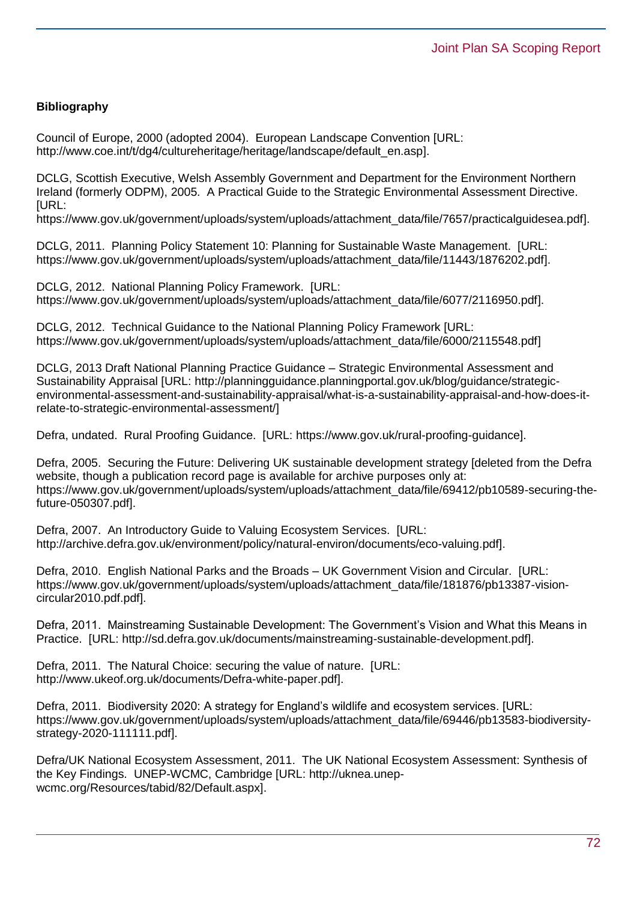### **Bibliography**

Council of Europe, 2000 (adopted 2004). European Landscape Convention [URL: [http://www.coe.int/t/dg4/cultureheritage/heritage/landscape/default\\_en.asp\]](http://www.coe.int/t/dg4/cultureheritage/heritage/landscape/default_en.asp).

DCLG, Scottish Executive, Welsh Assembly Government and Department for the Environment Northern Ireland (formerly ODPM), 2005. A Practical Guide to the Strategic Environmental Assessment Directive. [URL:

[https://www.gov.uk/government/uploads/system/uploads/attachment\\_data/file/7657/practicalguidesea.pdf\]](https://www.gov.uk/government/uploads/system/uploads/attachment_data/file/7657/practicalguidesea.pdf).

DCLG, 2011. Planning Policy Statement 10: Planning for Sustainable Waste Management. [URL: [https://www.gov.uk/government/uploads/system/uploads/attachment\\_data/file/11443/1876202.pdf\]](https://www.gov.uk/government/uploads/system/uploads/attachment_data/file/11443/1876202.pdf).

DCLG, 2012. National Planning Policy Framework. [URL: [https://www.gov.uk/government/uploads/system/uploads/attachment\\_data/file/6077/2116950.pdf\]](https://www.gov.uk/government/uploads/system/uploads/attachment_data/file/6077/2116950.pdf).

DCLG, 2012. Technical Guidance to the National Planning Policy Framework [URL: [https://www.gov.uk/government/uploads/system/uploads/attachment\\_data/file/6000/2115548.pdf\]](https://www.gov.uk/government/uploads/system/uploads/attachment_data/file/6000/2115548.pdf)

DCLG, 2013 Draft National Planning Practice Guidance – Strategic Environmental Assessment and Sustainability Appraisal [URL: http://planningguidance.planningportal.gov.uk/blog/guidance/strategicenvironmental-assessment-and-sustainability-appraisal/what-is-a-sustainability-appraisal-and-how-does-itrelate-to-strategic-environmental-assessment/]

Defra, undated. Rural Proofing Guidance. [URL: [https://www.gov.uk/rural-proofing-guidance\]](https://www.gov.uk/rural-proofing-guidance).

Defra, 2005. Securing the Future: Delivering UK sustainable development strategy [deleted from the Defra website, though a publication record page is available for archive purposes only at: [https://www.gov.uk/government/uploads/system/uploads/attachment\\_data/file/69412/pb10589-securing-the](https://www.gov.uk/government/uploads/system/uploads/attachment_data/file/69412/pb10589-securing-the-future-050307.pdf)[future-050307.pdf\]](https://www.gov.uk/government/uploads/system/uploads/attachment_data/file/69412/pb10589-securing-the-future-050307.pdf).

Defra, 2007. An Introductory Guide to Valuing Ecosystem Services. [URL: [http://archive.defra.gov.uk/environment/policy/natural-environ/documents/eco-valuing.pdf\]](http://archive.defra.gov.uk/environment/policy/natural-environ/documents/eco-valuing.pdf).

Defra, 2010. English National Parks and the Broads – UK Government Vision and Circular. [URL: [https://www.gov.uk/government/uploads/system/uploads/attachment\\_data/file/181876/pb13387-vision](https://www.gov.uk/government/uploads/system/uploads/attachment_data/file/181876/pb13387-vision-circular2010.pdf.pdf)[circular2010.pdf.pdf\]](https://www.gov.uk/government/uploads/system/uploads/attachment_data/file/181876/pb13387-vision-circular2010.pdf.pdf).

Defra, 2011. Mainstreaming Sustainable Development: The Government's Vision and What this Means in Practice. [URL: [http://sd.defra.gov.uk/documents/mainstreaming-sustainable-development.pdf\]](http://sd.defra.gov.uk/documents/mainstreaming-sustainable-development.pdf).

Defra, 2011. The Natural Choice: securing the value of nature. [URL: [http://www.ukeof.org.uk/documents/Defra-white-paper.pdf\]](http://www.ukeof.org.uk/documents/Defra-white-paper.pdf).

Defra, 2011. Biodiversity 2020: A strategy for England's wildlife and ecosystem services. [URL: [https://www.gov.uk/government/uploads/system/uploads/attachment\\_data/file/69446/pb13583-biodiversity](https://www.gov.uk/government/uploads/system/uploads/attachment_data/file/69446/pb13583-biodiversity-strategy-2020-111111.pdf)[strategy-2020-111111.pdf\]](https://www.gov.uk/government/uploads/system/uploads/attachment_data/file/69446/pb13583-biodiversity-strategy-2020-111111.pdf).

Defra/UK National Ecosystem Assessment, 2011. The UK National Ecosystem Assessment: Synthesis of the Key Findings. UNEP-WCMC, Cambridge [URL: [http://uknea.unep](http://uknea.unep-wcmc.org/Resources/tabid/82/Default.aspx)[wcmc.org/Resources/tabid/82/Default.aspx\]](http://uknea.unep-wcmc.org/Resources/tabid/82/Default.aspx).